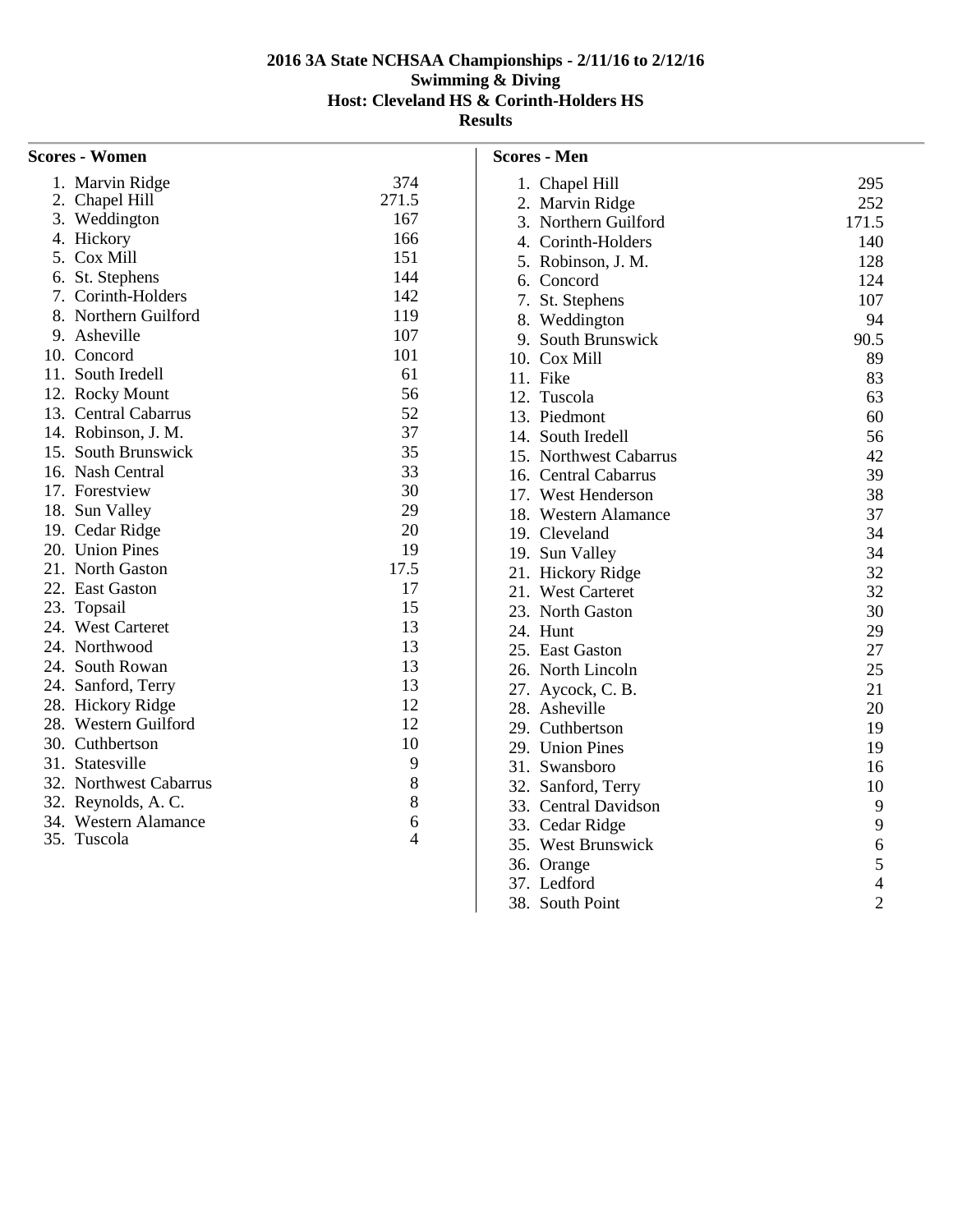| <b>Scores - Women</b>  |       | <b>Scores - Men</b>       |
|------------------------|-------|---------------------------|
| 1. Marvin Ridge        | 374   | 1. Chapel                 |
| 2. Chapel Hill         | 271.5 | 2. Marvin                 |
| 3. Weddington          | 167   | 3. Northe                 |
| 4. Hickory             | 166   | 4. Corinth                |
| 5. Cox Mill            | 151   | 5. Robins                 |
| 6. St. Stephens        | 144   | 6. Concor                 |
| 7. Corinth-Holders     | 142   | 7. St. Step               |
| 8. Northern Guilford   | 119   | 8. Weddi                  |
| 9. Asheville           | 107   | 9. South I                |
| 10. Concord            | 101   | 10. Cox M                 |
| 11. South Iredell      | 61    | 11. Fike                  |
| 12. Rocky Mount        | 56    | 12. Tuscola               |
| 13. Central Cabarrus   | 52    | 13. Piedmo                |
| 14. Robinson, J. M.    | 37    | 14. South I               |
| 15. South Brunswick    | 35    | 15. Northw                |
| 16. Nash Central       | 33    | 16. Central               |
| 17. Forestview         | 30    | 17. West E                |
| 18. Sun Valley         | 29    | 18. Wester                |
| 19. Cedar Ridge        | 20    | 19. Clevela               |
| 20. Union Pines        | 19    | 19. Sun $V_{\mathcal{E}}$ |
| 21. North Gaston       | 17.5  | 21. Hickor                |
| 22. East Gaston        | 17    | 21. West C                |
| 23. Topsail            | 15    | 23. North                 |
| 24. West Carteret      | 13    | 24. Hunt                  |
| 24. Northwood          | 13    | 25. East Ga               |
| 24. South Rowan        | 13    | 26. North I               |
| 24. Sanford, Terry     | 13    | 27. Aycocl                |
| 28. Hickory Ridge      | 12    | 28. Ashevi                |
| 28. Western Guilford   | 12    | 29. Cuthbe                |
| 30. Cuthbertson        | 10    | 29. Union                 |
| 31. Statesville        | 9     | 31. Swansl                |
| 32. Northwest Cabarrus | 8     | 32. Sanfore               |
| 32. Reynolds, A. C.    | 8     | 33. Central               |
| 34. Western Alamance   | 6     | 33. Cedar l               |
| 35. Tuscola            | 4     | 35. West B                |
|                        |       | 36 Orange                 |

|     | 1. Chapel Hill         | 295            |
|-----|------------------------|----------------|
| 2.  | <b>Marvin Ridge</b>    | 252            |
|     | 3. Northern Guilford   | 171.5          |
|     | 4. Corinth-Holders     | 140            |
|     | 5. Robinson, J. M.     | 128            |
|     | 6. Concord             | 124            |
|     | 7. St. Stephens        | 107            |
|     | 8. Weddington          | 94             |
|     | 9. South Brunswick     | 90.5           |
|     | 10. Cox Mill           | 89             |
|     | 11. Fike               | 83             |
|     | 12. Tuscola            | 63             |
|     | 13. Piedmont           | 60             |
|     | 14. South Iredell      | 56             |
|     | 15. Northwest Cabarrus | 42             |
|     | 16. Central Cabarrus   | 39             |
|     | 17. West Henderson     | 38             |
|     | 18. Western Alamance   | 37             |
|     | 19. Cleveland          | 34             |
|     | 19. Sun Valley         | 34             |
|     | 21. Hickory Ridge      | 32             |
|     | 21. West Carteret      | 32             |
|     | 23. North Gaston       | 30             |
|     | 24. Hunt               | 29             |
|     | 25. East Gaston        | 27             |
|     | 26. North Lincoln      | 25             |
|     | 27. Aycock, C. B.      | 21             |
|     | 28. Asheville          | 20             |
|     | 29. Cuthbertson        | 19             |
|     | 29. Union Pines        | 19             |
|     | 31. Swansboro          | 16             |
|     | 32. Sanford, Terry     | 10             |
|     | 33. Central Davidson   | 9              |
|     | 33. Cedar Ridge        | 9              |
|     | 35. West Brunswick     | 6              |
|     | 36. Orange             | 5              |
|     | 37. Ledford            | $\overline{4}$ |
| 38. | South Point            | $\overline{2}$ |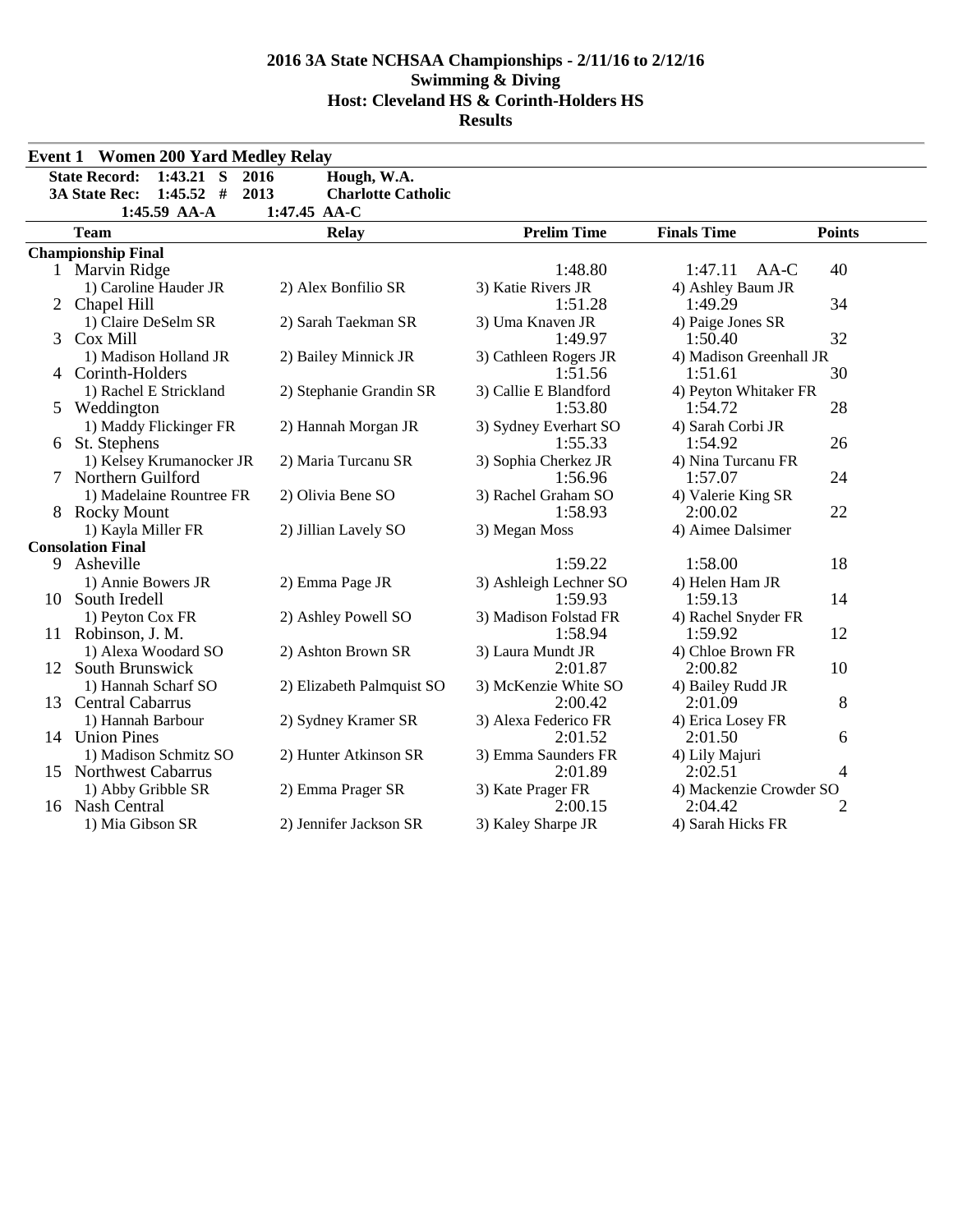|    | <b>Event 1 Women 200 Yard Medley Relay</b>  |                           |                        |                         |               |
|----|---------------------------------------------|---------------------------|------------------------|-------------------------|---------------|
|    | <b>State Record:</b><br>$1:43.21$ S<br>2016 | Hough, W.A.               |                        |                         |               |
|    | $1:45.52$ #<br>2013<br><b>3A State Rec:</b> | <b>Charlotte Catholic</b> |                        |                         |               |
|    | 1:45.59 AA-A                                | 1:47.45 AA-C              |                        |                         |               |
|    | <b>Team</b>                                 | <b>Relay</b>              | <b>Prelim Time</b>     | <b>Finals Time</b>      | <b>Points</b> |
|    | <b>Championship Final</b>                   |                           |                        |                         |               |
|    | 1 Marvin Ridge                              |                           | 1:48.80                | 1:47.11<br>AA-C         | 40            |
|    | 1) Caroline Hauder JR                       | 2) Alex Bonfilio SR       | 3) Katie Rivers JR     | 4) Ashley Baum JR       |               |
|    | 2 Chapel Hill                               |                           | 1:51.28                | 1:49.29                 | 34            |
|    | 1) Claire DeSelm SR                         | 2) Sarah Taekman SR       | 3) Uma Knaven JR       | 4) Paige Jones SR       |               |
| 3  | Cox Mill                                    |                           | 1:49.97                | 1:50.40                 | 32            |
|    | 1) Madison Holland JR                       | 2) Bailey Minnick JR      | 3) Cathleen Rogers JR  | 4) Madison Greenhall JR |               |
| 4  | Corinth-Holders                             |                           | 1:51.56                | 1:51.61                 | 30            |
|    | 1) Rachel E Strickland                      | 2) Stephanie Grandin SR   | 3) Callie E Blandford  | 4) Peyton Whitaker FR   |               |
|    | 5 Weddington                                |                           | 1:53.80                | 1:54.72                 | 28            |
|    | 1) Maddy Flickinger FR                      | 2) Hannah Morgan JR       | 3) Sydney Everhart SO  | 4) Sarah Corbi JR       |               |
| 6  | St. Stephens                                |                           | 1:55.33                | 1:54.92                 | 26            |
|    | 1) Kelsey Krumanocker JR                    | 2) Maria Turcanu SR       | 3) Sophia Cherkez JR   | 4) Nina Turcanu FR      |               |
|    | 7 Northern Guilford                         |                           | 1:56.96                | 1:57.07                 | 24            |
|    | 1) Madelaine Rountree FR                    | 2) Olivia Bene SO         | 3) Rachel Graham SO    | 4) Valerie King SR      |               |
|    | 8 Rocky Mount                               |                           | 1:58.93                | 2:00.02                 | 22            |
|    | 1) Kayla Miller FR                          | 2) Jillian Lavely SO      | 3) Megan Moss          | 4) Aimee Dalsimer       |               |
|    | <b>Consolation Final</b>                    |                           |                        |                         |               |
| 9  | Asheville                                   |                           | 1:59.22                | 1:58.00                 | 18            |
|    | 1) Annie Bowers JR                          | 2) Emma Page JR           | 3) Ashleigh Lechner SO | 4) Helen Ham JR         |               |
|    | 10 South Iredell                            |                           | 1:59.93                | 1:59.13                 | 14            |
|    | 1) Peyton Cox FR                            | 2) Ashley Powell SO       | 3) Madison Folstad FR  | 4) Rachel Snyder FR     |               |
|    | 11 Robinson, J. M.                          |                           | 1:58.94                | 1:59.92                 | 12            |
|    | 1) Alexa Woodard SO                         | 2) Ashton Brown SR        | 3) Laura Mundt JR      | 4) Chloe Brown FR       |               |
| 12 | South Brunswick                             |                           | 2:01.87                | 2:00.82                 | 10            |
|    | 1) Hannah Scharf SO                         | 2) Elizabeth Palmquist SO | 3) McKenzie White SO   | 4) Bailey Rudd JR       |               |
| 13 | <b>Central Cabarrus</b>                     |                           | 2:00.42                | 2:01.09                 | 8             |
|    | 1) Hannah Barbour                           | 2) Sydney Kramer SR       | 3) Alexa Federico FR   | 4) Erica Losey FR       |               |
|    | 14 Union Pines                              |                           | 2:01.52                | 2:01.50                 | 6             |
|    | 1) Madison Schmitz SO                       | 2) Hunter Atkinson SR     | 3) Emma Saunders FR    | 4) Lily Majuri          |               |
|    | 15 Northwest Cabarrus                       |                           | 2:01.89                | 2:02.51                 | 4             |
|    | 1) Abby Gribble SR                          | 2) Emma Prager SR         | 3) Kate Prager FR      | 4) Mackenzie Crowder SO |               |
|    | 16 Nash Central                             |                           | 2:00.15                | 2:04.42                 | 2             |
|    | 1) Mia Gibson SR                            | 2) Jennifer Jackson SR    | 3) Kaley Sharpe JR     | 4) Sarah Hicks FR       |               |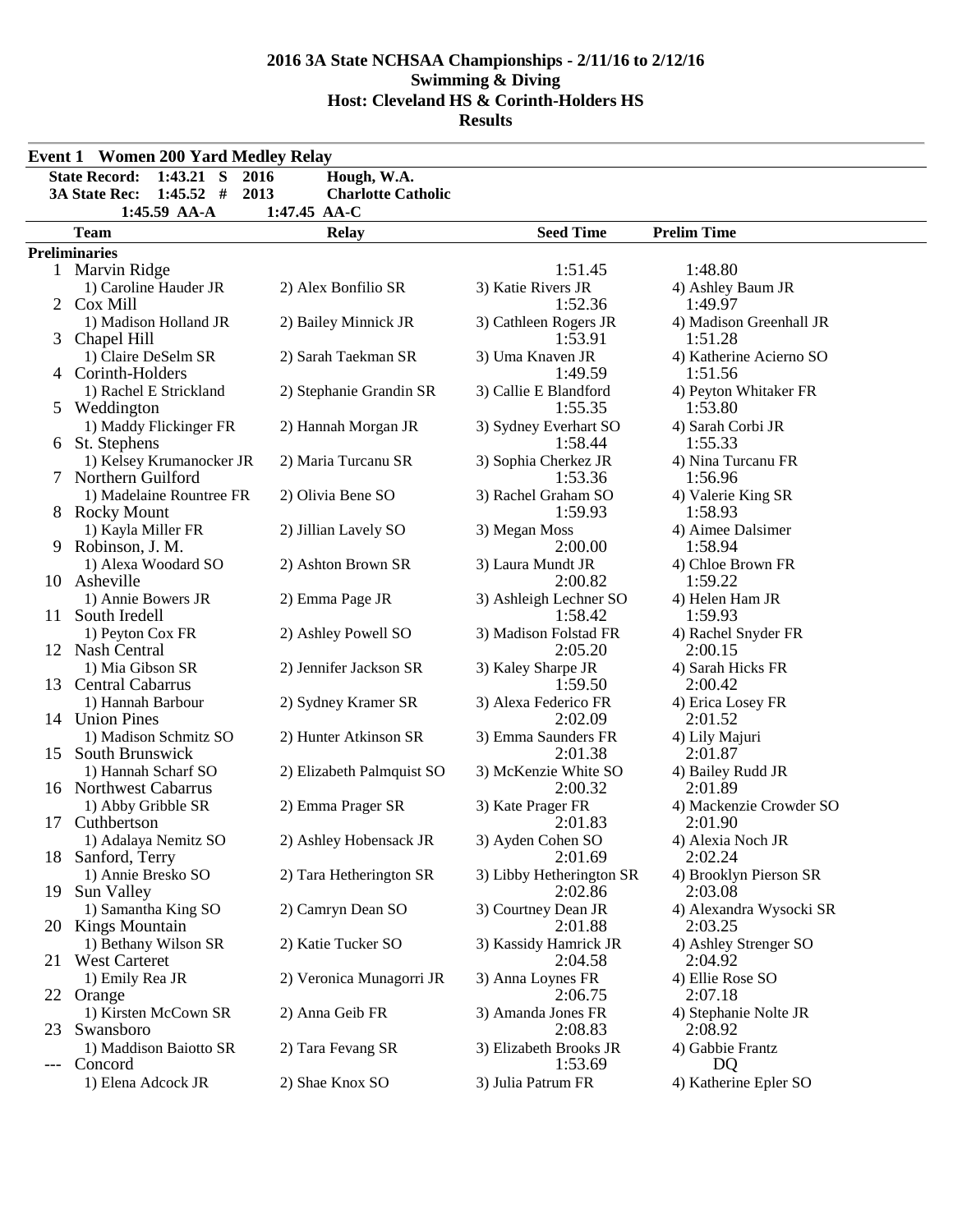|    | <b>Event 1 Women 200 Yard Medley Relay</b>   |                                   |                                     |                                    |  |  |  |  |  |
|----|----------------------------------------------|-----------------------------------|-------------------------------------|------------------------------------|--|--|--|--|--|
|    | $1:43.21$ S<br><b>State Record:</b>          | 2016<br>Hough, W.A.               |                                     |                                    |  |  |  |  |  |
|    | $1:45.52$ #<br><b>3A State Rec:</b>          | 2013<br><b>Charlotte Catholic</b> |                                     |                                    |  |  |  |  |  |
|    | 1:45.59 AA-A                                 | 1:47.45 AA-C                      |                                     |                                    |  |  |  |  |  |
|    | <b>Team</b>                                  | <b>Relay</b>                      | <b>Seed Time</b>                    | <b>Prelim Time</b>                 |  |  |  |  |  |
|    | <b>Preliminaries</b>                         |                                   |                                     |                                    |  |  |  |  |  |
|    | 1 Marvin Ridge                               |                                   | 1:51.45                             | 1:48.80                            |  |  |  |  |  |
|    | 1) Caroline Hauder JR                        | 2) Alex Bonfilio SR               | 3) Katie Rivers JR                  | 4) Ashley Baum JR                  |  |  |  |  |  |
|    | 2 Cox Mill                                   |                                   | 1:52.36                             | 1:49.97                            |  |  |  |  |  |
| 3  | 1) Madison Holland JR<br>Chapel Hill         | 2) Bailey Minnick JR              | 3) Cathleen Rogers JR<br>1:53.91    | 4) Madison Greenhall JR<br>1:51.28 |  |  |  |  |  |
|    | 1) Claire DeSelm SR<br>4 Corinth-Holders     | 2) Sarah Taekman SR               | 3) Uma Knaven JR<br>1:49.59         | 4) Katherine Acierno SO<br>1:51.56 |  |  |  |  |  |
|    | 1) Rachel E Strickland<br>5 Weddington       | 2) Stephanie Grandin SR           | 3) Callie E Blandford<br>1:55.35    | 4) Peyton Whitaker FR<br>1:53.80   |  |  |  |  |  |
|    | 1) Maddy Flickinger FR<br>6 St. Stephens     | 2) Hannah Morgan JR               | 3) Sydney Everhart SO<br>1:58.44    | 4) Sarah Corbi JR<br>1:55.33       |  |  |  |  |  |
|    | 1) Kelsey Krumanocker JR                     | 2) Maria Turcanu SR               | 3) Sophia Cherkez JR                | 4) Nina Turcanu FR                 |  |  |  |  |  |
|    | Northern Guilford                            |                                   | 1:53.36                             | 1:56.96                            |  |  |  |  |  |
|    | 1) Madelaine Rountree FR                     | 2) Olivia Bene SO                 | 3) Rachel Graham SO                 | 4) Valerie King SR                 |  |  |  |  |  |
|    | 8 Rocky Mount                                |                                   | 1:59.93                             | 1:58.93                            |  |  |  |  |  |
|    | 1) Kayla Miller FR                           | 2) Jillian Lavely SO              | 3) Megan Moss                       | 4) Aimee Dalsimer                  |  |  |  |  |  |
| 9  | Robinson, J. M.                              |                                   | 2:00.00                             | 1:58.94                            |  |  |  |  |  |
|    | 1) Alexa Woodard SO                          | 2) Ashton Brown SR                | 3) Laura Mundt JR                   | 4) Chloe Brown FR                  |  |  |  |  |  |
|    | 10 Asheville                                 |                                   | 2:00.82                             | 1:59.22                            |  |  |  |  |  |
| 11 | 1) Annie Bowers JR<br>South Iredell          | 2) Emma Page JR                   | 3) Ashleigh Lechner SO<br>1:58.42   | 4) Helen Ham JR<br>1:59.93         |  |  |  |  |  |
|    | 1) Peyton Cox FR<br>12 Nash Central          | 2) Ashley Powell SO               | 3) Madison Folstad FR<br>2:05.20    | 4) Rachel Snyder FR<br>2:00.15     |  |  |  |  |  |
|    | 1) Mia Gibson SR<br>13 Central Cabarrus      | 2) Jennifer Jackson SR            | 3) Kaley Sharpe JR<br>1:59.50       | 4) Sarah Hicks FR<br>2:00.42       |  |  |  |  |  |
|    | 1) Hannah Barbour                            | 2) Sydney Kramer SR               | 3) Alexa Federico FR                | 4) Erica Losey FR                  |  |  |  |  |  |
|    | 14 Union Pines                               |                                   | 2:02.09                             | 2:01.52                            |  |  |  |  |  |
| 15 | 1) Madison Schmitz SO<br>South Brunswick     | 2) Hunter Atkinson SR             | 3) Emma Saunders FR<br>2:01.38      | 4) Lily Majuri<br>2:01.87          |  |  |  |  |  |
|    | 1) Hannah Scharf SO<br>16 Northwest Cabarrus | 2) Elizabeth Palmquist SO         | 3) McKenzie White SO<br>2:00.32     | 4) Bailey Rudd JR<br>2:01.89       |  |  |  |  |  |
| 17 | 1) Abby Gribble SR<br>Cuthbertson            | 2) Emma Prager SR                 | 3) Kate Prager FR<br>2:01.83        | 4) Mackenzie Crowder SO            |  |  |  |  |  |
|    | 1) Adalaya Nemitz SO                         | 2) Ashley Hobensack JR            | 3) Ayden Cohen SO                   | 2:01.90<br>4) Alexia Noch JR       |  |  |  |  |  |
|    | 18 Sanford, Terry                            |                                   | 2:01.69                             | 2:02.24                            |  |  |  |  |  |
| 19 | 1) Annie Bresko SO<br>Sun Valley             | 2) Tara Hetherington SR           | 3) Libby Hetherington SR<br>2:02.86 | 4) Brooklyn Pierson SR<br>2:03.08  |  |  |  |  |  |
|    | 1) Samantha King SO<br>20 Kings Mountain     | 2) Camryn Dean SO                 | 3) Courtney Dean JR<br>2:01.88      | 4) Alexandra Wysocki SR<br>2:03.25 |  |  |  |  |  |
|    | 1) Bethany Wilson SR<br>21 West Carteret     | 2) Katie Tucker SO                | 3) Kassidy Hamrick JR<br>2:04.58    | 4) Ashley Strenger SO<br>2:04.92   |  |  |  |  |  |
|    | 1) Emily Rea JR<br>22 Orange                 | 2) Veronica Munagorri JR          | 3) Anna Loynes FR<br>2:06.75        | 4) Ellie Rose SO<br>2:07.18        |  |  |  |  |  |
| 23 | 1) Kirsten McCown SR<br>Swansboro            | 2) Anna Geib FR                   | 3) Amanda Jones FR<br>2:08.83       | 4) Stephanie Nolte JR<br>2:08.92   |  |  |  |  |  |
|    | 1) Maddison Baiotto SR                       | 2) Tara Fevang SR                 | 3) Elizabeth Brooks JR              | 4) Gabbie Frantz                   |  |  |  |  |  |
|    | Concord<br>1) Elena Adcock JR                | 2) Shae Knox SO                   | 1:53.69<br>3) Julia Patrum FR       | DQ<br>4) Katherine Epler SO        |  |  |  |  |  |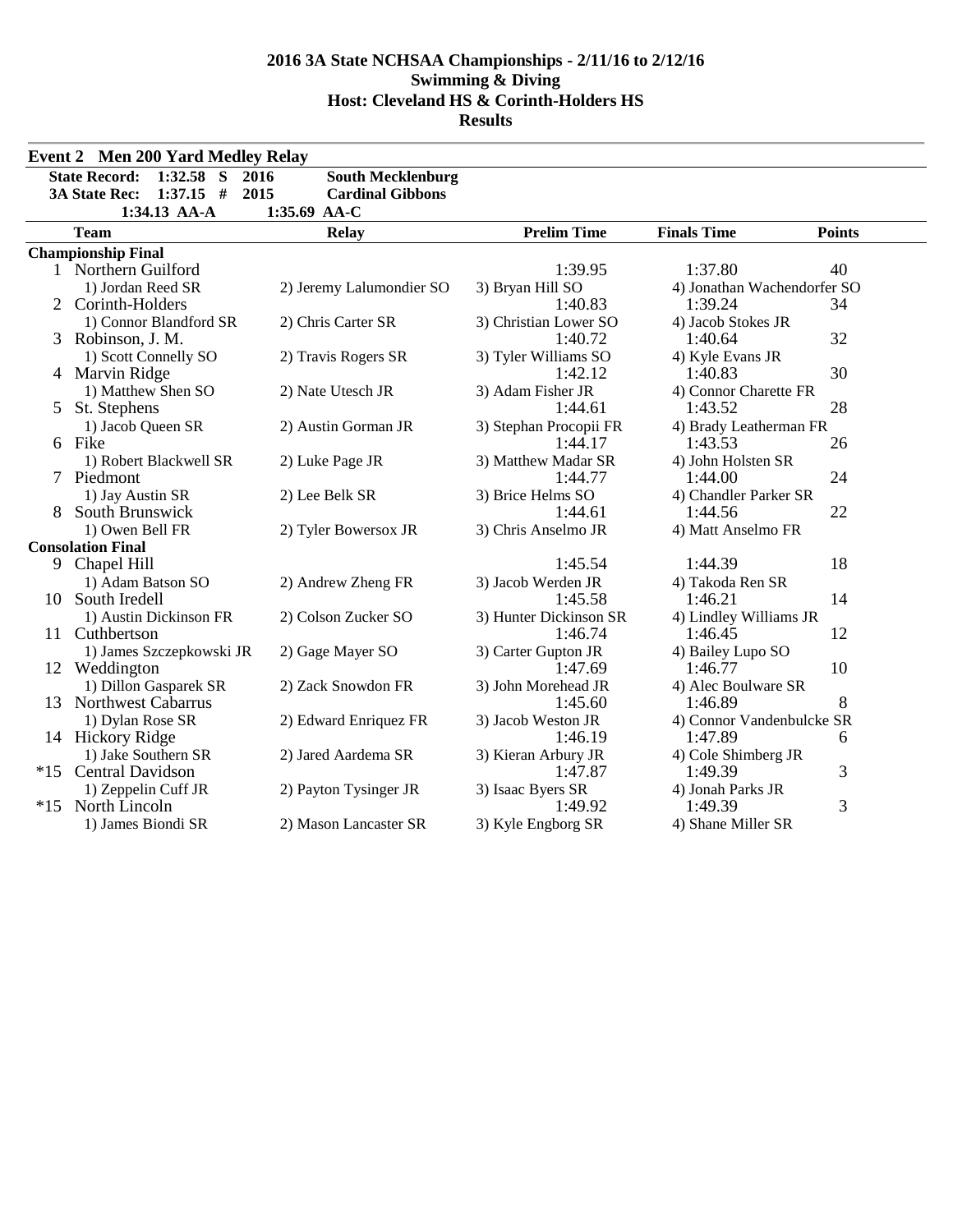|       | <b>Event 2 Men 200 Yard Medley Relay</b> |                                  |                        |                             |               |
|-------|------------------------------------------|----------------------------------|------------------------|-----------------------------|---------------|
|       | <b>State Record:</b><br>$1:32.58$ S      | 2016<br><b>South Mecklenburg</b> |                        |                             |               |
|       | $1:37.15$ #<br><b>3A State Rec:</b>      | 2015<br><b>Cardinal Gibbons</b>  |                        |                             |               |
|       | 1:34.13 AA-A                             | 1:35.69 AA-C                     |                        |                             |               |
|       | <b>Team</b>                              | <b>Relay</b>                     | <b>Prelim Time</b>     | <b>Finals Time</b>          | <b>Points</b> |
|       | <b>Championship Final</b>                |                                  |                        |                             |               |
|       | 1 Northern Guilford                      |                                  | 1:39.95                | 1:37.80                     | 40            |
|       | 1) Jordan Reed SR                        | 2) Jeremy Lalumondier SO         | 3) Bryan Hill SO       | 4) Jonathan Wachendorfer SO |               |
|       | Corinth-Holders                          |                                  | 1:40.83                | 1:39.24                     | 34            |
|       | 1) Connor Blandford SR                   | 2) Chris Carter SR               | 3) Christian Lower SO  | 4) Jacob Stokes JR          |               |
| 3     | Robinson, J. M.                          |                                  | 1:40.72                | 1:40.64                     | 32            |
|       | 1) Scott Connelly SO                     | 2) Travis Rogers SR              | 3) Tyler Williams SO   | 4) Kyle Evans JR            |               |
|       | 4 Marvin Ridge                           |                                  | 1:42.12                | 1:40.83                     | 30            |
|       | 1) Matthew Shen SO                       | 2) Nate Utesch JR                | 3) Adam Fisher JR      | 4) Connor Charette FR       |               |
| 5     | St. Stephens                             |                                  | 1:44.61                | 1:43.52                     | 28            |
|       | 1) Jacob Queen SR                        | 2) Austin Gorman JR              | 3) Stephan Procopii FR | 4) Brady Leatherman FR      |               |
|       | 6 Fike                                   |                                  | 1:44.17                | 1:43.53                     | 26            |
|       | 1) Robert Blackwell SR                   | 2) Luke Page JR                  | 3) Matthew Madar SR    | 4) John Holsten SR          |               |
|       | 7 Piedmont                               |                                  | 1:44.77                | 1:44.00                     | 24            |
|       | 1) Jay Austin SR                         | 2) Lee Belk SR                   | 3) Brice Helms SO      | 4) Chandler Parker SR       |               |
|       | South Brunswick                          |                                  | 1:44.61                | 1:44.56                     | 22            |
|       | 1) Owen Bell FR                          | 2) Tyler Bowersox JR             | 3) Chris Anselmo JR    | 4) Matt Anselmo FR          |               |
|       | <b>Consolation Final</b>                 |                                  | 1:45.54                | 1:44.39                     | 18            |
| 9     | Chapel Hill                              |                                  | 3) Jacob Werden JR     |                             |               |
| 10    | 1) Adam Batson SO<br>South Iredell       | 2) Andrew Zheng FR               | 1:45.58                | 4) Takoda Ren SR<br>1:46.21 | 14            |
|       | 1) Austin Dickinson FR                   | 2) Colson Zucker SO              | 3) Hunter Dickinson SR | 4) Lindley Williams JR      |               |
| 11.   | Cuthbertson                              |                                  | 1:46.74                | 1:46.45                     | 12            |
|       | 1) James Szczepkowski JR                 | 2) Gage Mayer SO                 | 3) Carter Gupton JR    | 4) Bailey Lupo SO           |               |
|       | 12 Weddington                            |                                  | 1:47.69                | 1:46.77                     | 10            |
|       | 1) Dillon Gasparek SR                    | 2) Zack Snowdon FR               | 3) John Morehead JR    | 4) Alec Boulware SR         |               |
|       | 13 Northwest Cabarrus                    |                                  | 1:45.60                | 1:46.89                     | 8             |
|       | 1) Dylan Rose SR                         | 2) Edward Enriquez FR            | 3) Jacob Weston JR     | 4) Connor Vandenbulcke SR   |               |
|       | 14 Hickory Ridge                         |                                  | 1:46.19                | 1:47.89                     | 6             |
|       | 1) Jake Southern SR                      | 2) Jared Aardema SR              | 3) Kieran Arbury JR    | 4) Cole Shimberg JR         |               |
| $*15$ | <b>Central Davidson</b>                  |                                  | 1:47.87                | 1:49.39                     | 3             |
|       | 1) Zeppelin Cuff JR                      | 2) Payton Tysinger JR            | 3) Isaac Byers SR      | 4) Jonah Parks JR           |               |
| $*15$ | North Lincoln                            |                                  | 1:49.92                | 1:49.39                     | 3             |
|       | 1) James Biondi SR                       | 2) Mason Lancaster SR            | 3) Kyle Engborg SR     | 4) Shane Miller SR          |               |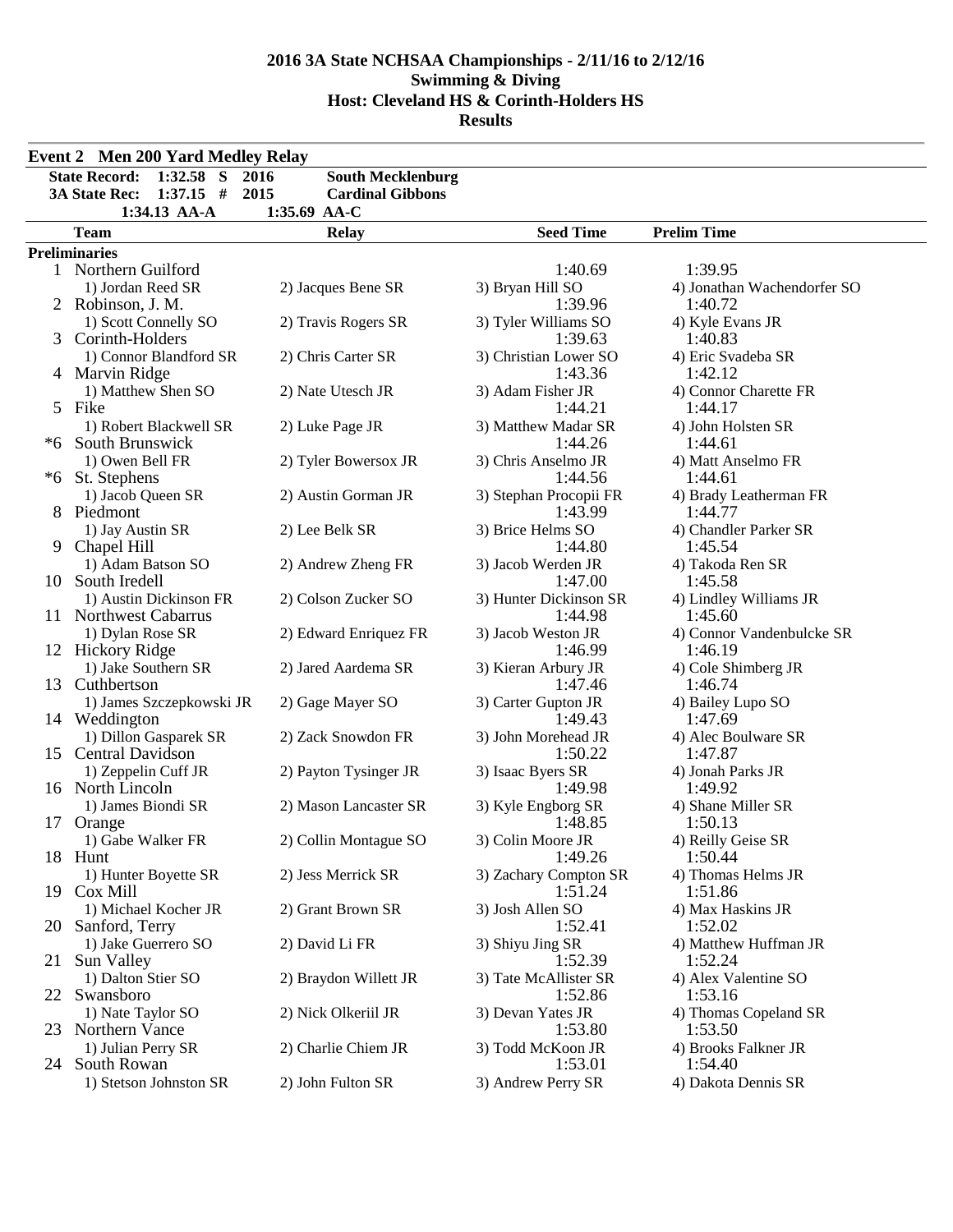|      | <b>Event 2 Men 200 Yard Medley Relay</b>     |                          |                                |                                  |  |  |  |  |
|------|----------------------------------------------|--------------------------|--------------------------------|----------------------------------|--|--|--|--|
|      | <b>State Record:</b><br>$1:32.58$ S<br>2016  | <b>South Mecklenburg</b> |                                |                                  |  |  |  |  |
|      | <b>3A State Rec:</b><br>$1:37.15$ #<br>2015  | <b>Cardinal Gibbons</b>  |                                |                                  |  |  |  |  |
|      | 1:34.13 AA-A                                 | 1:35.69 AA-C             |                                |                                  |  |  |  |  |
|      | <b>Team</b>                                  | <b>Relay</b>             | <b>Seed Time</b>               | <b>Prelim Time</b>               |  |  |  |  |
|      | <b>Preliminaries</b>                         |                          |                                |                                  |  |  |  |  |
|      | 1 Northern Guilford                          |                          | 1:40.69                        | 1:39.95                          |  |  |  |  |
|      | 1) Jordan Reed SR                            | 2) Jacques Bene SR       | 3) Bryan Hill SO               | 4) Jonathan Wachendorfer SO      |  |  |  |  |
|      | 2 Robinson, J. M.                            |                          | 1:39.96                        | 1:40.72                          |  |  |  |  |
|      | 1) Scott Connelly SO                         | 2) Travis Rogers SR      | 3) Tyler Williams SO           | 4) Kyle Evans JR                 |  |  |  |  |
| 3    | Corinth-Holders                              |                          | 1:39.63                        | 1:40.83                          |  |  |  |  |
|      | 1) Connor Blandford SR                       | 2) Chris Carter SR       | 3) Christian Lower SO          | 4) Eric Svadeba SR               |  |  |  |  |
|      | 4 Marvin Ridge                               |                          | 1:43.36                        | 1:42.12                          |  |  |  |  |
|      | 1) Matthew Shen SO                           | 2) Nate Utesch JR        | 3) Adam Fisher JR              | 4) Connor Charette FR            |  |  |  |  |
|      | 5 Fike                                       |                          | 1:44.21                        | 1:44.17                          |  |  |  |  |
|      | 1) Robert Blackwell SR<br>*6 South Brunswick | 2) Luke Page JR          | 3) Matthew Madar SR<br>1:44.26 | 4) John Holsten SR<br>1:44.61    |  |  |  |  |
|      | 1) Owen Bell FR                              | 2) Tyler Bowersox JR     | 3) Chris Anselmo JR            | 4) Matt Anselmo FR               |  |  |  |  |
| $*6$ | St. Stephens                                 |                          | 1:44.56                        | 1:44.61                          |  |  |  |  |
|      | 1) Jacob Queen SR                            | 2) Austin Gorman JR      | 3) Stephan Procopii FR         | 4) Brady Leatherman FR           |  |  |  |  |
|      | Piedmont                                     |                          | 1:43.99                        | 1:44.77                          |  |  |  |  |
|      | 1) Jay Austin SR                             | 2) Lee Belk SR           | 3) Brice Helms SO              | 4) Chandler Parker SR            |  |  |  |  |
| 9    | Chapel Hill                                  |                          | 1:44.80                        | 1:45.54                          |  |  |  |  |
|      | 1) Adam Batson SO                            | 2) Andrew Zheng FR       | 3) Jacob Werden JR             | 4) Takoda Ren SR                 |  |  |  |  |
|      | 10 South Iredell                             |                          | 1:47.00                        | 1:45.58                          |  |  |  |  |
|      | 1) Austin Dickinson FR                       | 2) Colson Zucker SO      | 3) Hunter Dickinson SR         | 4) Lindley Williams JR           |  |  |  |  |
|      | 11 Northwest Cabarrus                        |                          | 1:44.98                        | 1:45.60                          |  |  |  |  |
|      | 1) Dylan Rose SR                             | 2) Edward Enriquez FR    | 3) Jacob Weston JR             | 4) Connor Vandenbulcke SR        |  |  |  |  |
|      | 12 Hickory Ridge                             |                          | 1:46.99                        | 1:46.19                          |  |  |  |  |
|      | 1) Jake Southern SR                          | 2) Jared Aardema SR      | 3) Kieran Arbury JR            | 4) Cole Shimberg JR              |  |  |  |  |
|      | 13 Cuthbertson                               | 2) Gage Mayer SO         | 1:47.46<br>3) Carter Gupton JR | 1:46.74<br>4) Bailey Lupo SO     |  |  |  |  |
|      | 1) James Szczepkowski JR<br>14 Weddington    |                          | 1:49.43                        | 1:47.69                          |  |  |  |  |
|      | 1) Dillon Gasparek SR                        | 2) Zack Snowdon FR       | 3) John Morehead JR            | 4) Alec Boulware SR              |  |  |  |  |
|      | 15 Central Davidson                          |                          | 1:50.22                        | 1:47.87                          |  |  |  |  |
|      | 1) Zeppelin Cuff JR                          | 2) Payton Tysinger JR    | 3) Isaac Byers SR              | 4) Jonah Parks JR                |  |  |  |  |
|      | 16 North Lincoln                             |                          | 1:49.98                        | 1:49.92                          |  |  |  |  |
|      | 1) James Biondi SR                           | 2) Mason Lancaster SR    | 3) Kyle Engborg SR             | 4) Shane Miller SR               |  |  |  |  |
| 17   | Orange                                       |                          | 1:48.85                        | 1:50.13                          |  |  |  |  |
|      | 1) Gabe Walker FR                            | 2) Collin Montague SO    | 3) Colin Moore JR              | 4) Reilly Geise SR               |  |  |  |  |
|      | 18 Hunt                                      |                          | 1:49.26                        | 1:50.44                          |  |  |  |  |
|      | 1) Hunter Boyette SR                         | 2) Jess Merrick SR       | 3) Zachary Compton SR          | 4) Thomas Helms JR               |  |  |  |  |
|      | 19 Cox Mill                                  |                          | 1:51.24                        | 1:51.86                          |  |  |  |  |
|      | 1) Michael Kocher JR                         | 2) Grant Brown SR        | 3) Josh Allen SO               | 4) Max Haskins JR                |  |  |  |  |
| 20   | Sanford, Terry<br>1) Jake Guerrero SO        | 2) David Li FR           | 1:52.41                        | 1:52.02<br>4) Matthew Huffman JR |  |  |  |  |
| 21   | Sun Valley                                   |                          | 3) Shiyu Jing SR<br>1:52.39    | 1:52.24                          |  |  |  |  |
|      | 1) Dalton Stier SO                           | 2) Braydon Willett JR    | 3) Tate McAllister SR          | 4) Alex Valentine SO             |  |  |  |  |
| 22   | Swansboro                                    |                          | 1:52.86                        | 1:53.16                          |  |  |  |  |
|      | 1) Nate Taylor SO                            | 2) Nick Olkeriil JR      | 3) Devan Yates JR              | 4) Thomas Copeland SR            |  |  |  |  |
| 23   | Northern Vance                               |                          | 1:53.80                        | 1:53.50                          |  |  |  |  |
|      | 1) Julian Perry SR                           | 2) Charlie Chiem JR      | 3) Todd McKoon JR              | 4) Brooks Falkner JR             |  |  |  |  |
| 24   | South Rowan                                  |                          | 1:53.01                        | 1:54.40                          |  |  |  |  |
|      | 1) Stetson Johnston SR                       | 2) John Fulton SR        | 3) Andrew Perry SR             | 4) Dakota Dennis SR              |  |  |  |  |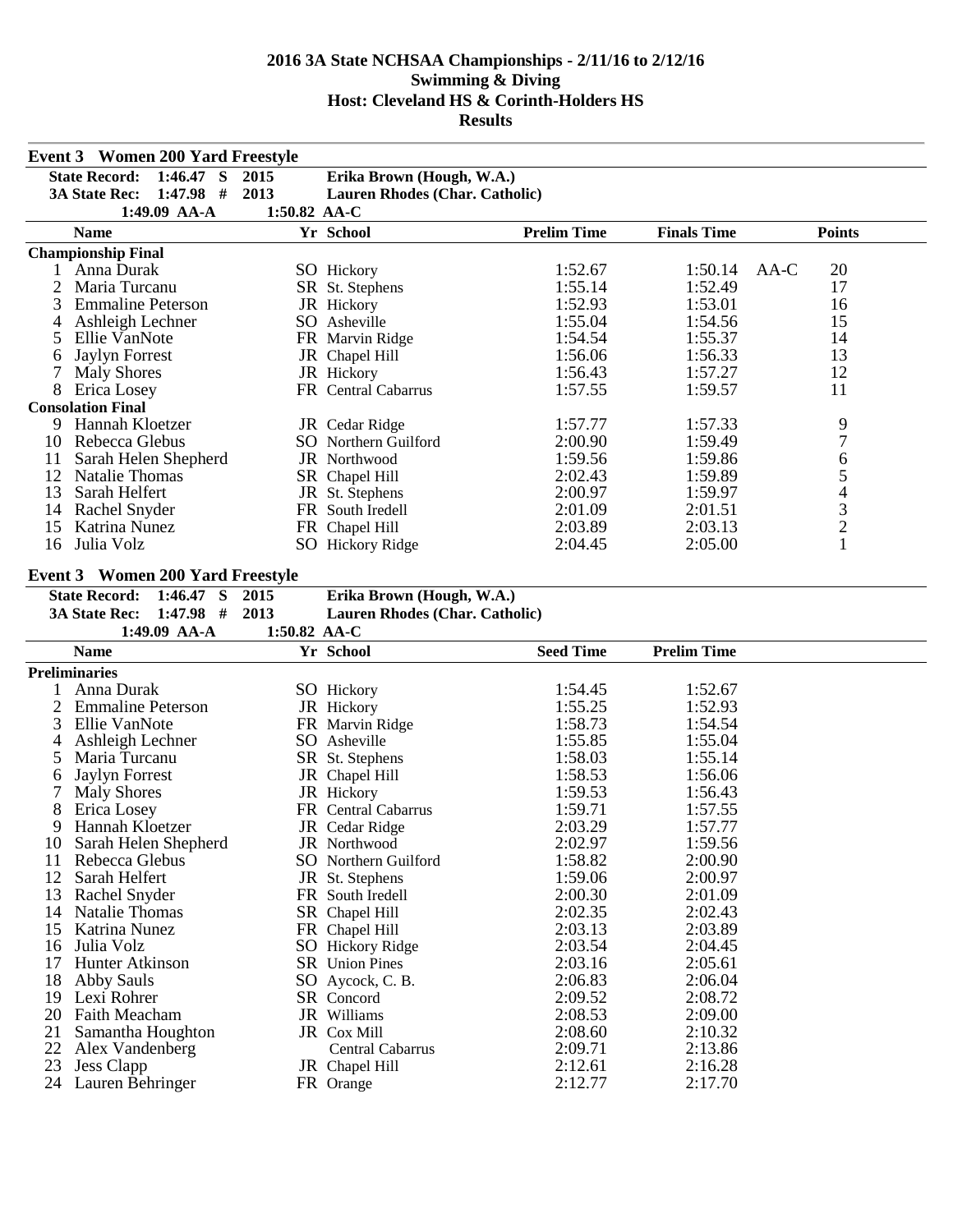|                                                                          | <b>Event 3 Women 200 Yard Freestyle</b> |              |                                                             |                    |                    |                                                 |  |
|--------------------------------------------------------------------------|-----------------------------------------|--------------|-------------------------------------------------------------|--------------------|--------------------|-------------------------------------------------|--|
| <b>State Record:</b><br>$1:46.47$ S<br>2015<br>Erika Brown (Hough, W.A.) |                                         |              |                                                             |                    |                    |                                                 |  |
|                                                                          | $1:47.98$ #<br><b>3A State Rec:</b>     | 2013         | Lauren Rhodes (Char. Catholic)                              |                    |                    |                                                 |  |
|                                                                          | 1:49.09 AA-A                            | 1:50.82 AA-C |                                                             |                    |                    |                                                 |  |
|                                                                          | <b>Name</b>                             |              | Yr School                                                   | <b>Prelim Time</b> | <b>Finals Time</b> | <b>Points</b>                                   |  |
|                                                                          | <b>Championship Final</b>               |              |                                                             |                    |                    |                                                 |  |
|                                                                          | 1 Anna Durak                            |              | <b>SO</b> Hickory                                           | 1:52.67            | 1:50.14            | 20<br>AA-C                                      |  |
| 2                                                                        | Maria Turcanu                           |              | SR St. Stephens                                             | 1:55.14            | 1:52.49            | 17                                              |  |
| 3                                                                        | <b>Emmaline Peterson</b>                |              | JR Hickory                                                  | 1:52.93            | 1:53.01            | 16                                              |  |
| 4                                                                        | Ashleigh Lechner                        |              | SO Asheville                                                | 1:55.04            | 1:54.56            | 15                                              |  |
| 5                                                                        | Ellie VanNote                           |              | FR Marvin Ridge                                             | 1:54.54            | 1:55.37            | 14                                              |  |
| 6                                                                        | <b>Jaylyn Forrest</b>                   |              | JR Chapel Hill                                              | 1:56.06            | 1:56.33            | 13                                              |  |
| 7                                                                        | <b>Maly Shores</b>                      |              | JR Hickory                                                  | 1:56.43            | 1:57.27            | 12                                              |  |
| 8                                                                        | Erica Losey                             |              | FR Central Cabarrus                                         | 1:57.55            | 1:59.57            | 11                                              |  |
|                                                                          | <b>Consolation Final</b>                |              |                                                             |                    |                    |                                                 |  |
| 9                                                                        | Hannah Kloetzer                         |              | JR Cedar Ridge                                              | 1:57.77            | 1:57.33            | 9                                               |  |
| 10                                                                       | Rebecca Glebus                          |              | SO Northern Guilford                                        | 2:00.90            | 1:59.49            | $\overline{7}$                                  |  |
| 11                                                                       | Sarah Helen Shepherd                    |              | JR Northwood                                                | 1:59.56            | 1:59.86            | 6                                               |  |
| 12                                                                       | <b>Natalie Thomas</b>                   |              | SR Chapel Hill                                              | 2:02.43            | 1:59.89            | $\begin{array}{c} 5 \\ 4 \\ 3 \\ 2 \end{array}$ |  |
| 13                                                                       | Sarah Helfert                           |              | JR St. Stephens                                             | 2:00.97            | 1:59.97            |                                                 |  |
| 14                                                                       | <b>Rachel Snyder</b>                    |              | FR South Iredell                                            | 2:01.09            | 2:01.51            |                                                 |  |
| 15                                                                       | Katrina Nunez                           |              | FR Chapel Hill                                              | 2:03.89            | 2:03.13            |                                                 |  |
| 16                                                                       | Julia Volz                              |              | SO Hickory Ridge                                            | 2:04.45            | 2:05.00            | $\mathbf{1}$                                    |  |
|                                                                          |                                         |              |                                                             |                    |                    |                                                 |  |
|                                                                          | <b>Event 3 Women 200 Yard Freestyle</b> |              |                                                             |                    |                    |                                                 |  |
|                                                                          | <b>State Record:</b><br>$1:46.47$ S     | 2015<br>2013 | Erika Brown (Hough, W.A.)<br>Lauren Rhodes (Char. Catholic) |                    |                    |                                                 |  |
|                                                                          |                                         |              |                                                             |                    |                    |                                                 |  |
|                                                                          | $1:47.98$ #<br><b>3A State Rec:</b>     |              |                                                             |                    |                    |                                                 |  |
|                                                                          | 1:49.09 AA-A                            | 1:50.82 AA-C |                                                             |                    |                    |                                                 |  |
|                                                                          | <b>Name</b>                             |              | Yr School                                                   | <b>Seed Time</b>   | <b>Prelim Time</b> |                                                 |  |
|                                                                          | <b>Preliminaries</b>                    |              |                                                             |                    |                    |                                                 |  |
|                                                                          | Anna Durak                              |              | SO Hickory                                                  | 1:54.45            | 1:52.67            |                                                 |  |
| 2                                                                        | <b>Emmaline Peterson</b>                |              | JR Hickory                                                  | 1:55.25            | 1:52.93            |                                                 |  |
| 3                                                                        | Ellie VanNote                           |              | FR Marvin Ridge                                             | 1:58.73            | 1:54.54            |                                                 |  |
| 4                                                                        | Ashleigh Lechner                        |              | SO Asheville                                                | 1:55.85            | 1:55.04            |                                                 |  |
| 5                                                                        | Maria Turcanu                           |              | SR St. Stephens                                             | 1:58.03            | 1:55.14            |                                                 |  |
| 6                                                                        | <b>Jaylyn Forrest</b>                   |              | JR Chapel Hill                                              | 1:58.53            | 1:56.06            |                                                 |  |
|                                                                          | <b>Maly Shores</b>                      |              | JR Hickory                                                  | 1:59.53            | 1:56.43            |                                                 |  |
| 8                                                                        | Erica Losey                             |              | FR Central Cabarrus                                         | 1:59.71            | 1:57.55            |                                                 |  |
| 9                                                                        | Hannah Kloetzer                         |              | JR Cedar Ridge                                              | 2:03.29            | 1:57.77            |                                                 |  |
|                                                                          | 10 Sarah Helen Shepherd                 |              | JR Northwood                                                | 2:02.97            | 1:59.56            |                                                 |  |
| 11                                                                       | Rebecca Glebus                          |              | SO Northern Guilford                                        | 1:58.82            | 2:00.90            |                                                 |  |
| 12                                                                       | Sarah Helfert                           |              | JR St. Stephens                                             | 1:59.06            | 2:00.97            |                                                 |  |
| 13                                                                       | Rachel Snyder                           |              | FR South Iredell                                            | 2:00.30            | 2:01.09            |                                                 |  |
| 14                                                                       | <b>Natalie Thomas</b>                   |              | SR Chapel Hill                                              | 2:02.35            | 2:02.43            |                                                 |  |
| 15                                                                       | Katrina Nunez                           |              | FR Chapel Hill                                              | 2:03.13            | 2:03.89            |                                                 |  |
| 16                                                                       | Julia Volz                              |              | <b>SO</b> Hickory Ridge                                     | 2:03.54            | 2:04.45            |                                                 |  |
| 17                                                                       | Hunter Atkinson                         |              | SR Union Pines                                              | 2:03.16            | 2:05.61            |                                                 |  |
| 18                                                                       | <b>Abby Sauls</b>                       |              | SO Aycock, C. B.                                            | 2:06.83            | 2:06.04            |                                                 |  |
| 19                                                                       | Lexi Rohrer                             |              | SR Concord                                                  | 2:09.52            | 2:08.72            |                                                 |  |
| 20                                                                       | <b>Faith Meacham</b>                    |              | JR Williams                                                 | 2:08.53            | 2:09.00            |                                                 |  |
| 21                                                                       | Samantha Houghton                       |              | JR Cox Mill                                                 | 2:08.60            | 2:10.32            |                                                 |  |
| 22<br>23                                                                 | Alex Vandenberg<br><b>Jess Clapp</b>    |              | Central Cabarrus<br>JR Chapel Hill                          | 2:09.71<br>2:12.61 | 2:13.86<br>2:16.28 |                                                 |  |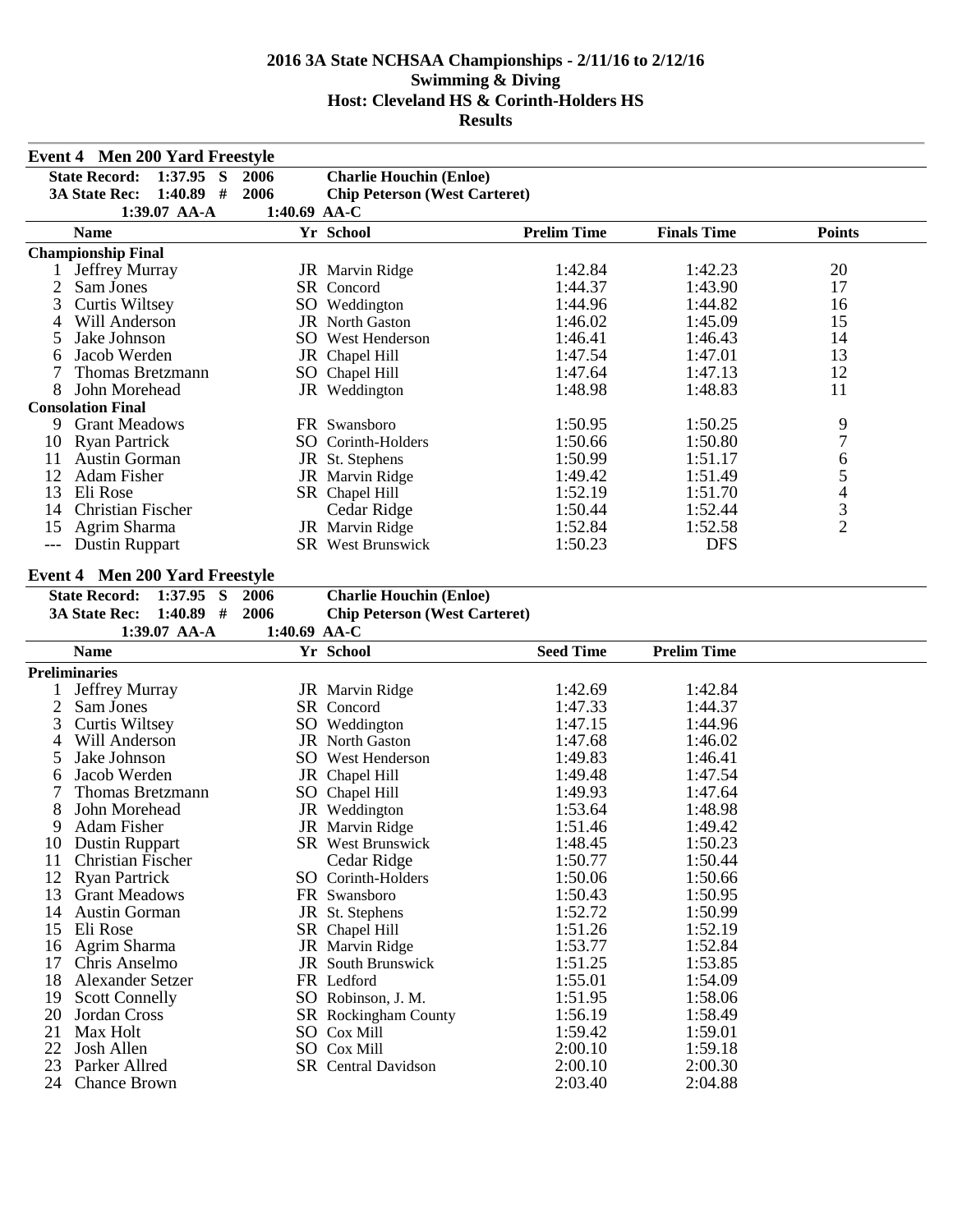|          | <b>Event 4 Men 200 Yard Freestyle</b>  |                |                                      |                    |                    |                  |  |
|----------|----------------------------------------|----------------|--------------------------------------|--------------------|--------------------|------------------|--|
|          | <b>State Record:</b><br>$1:37.95$ S    | 2006           | <b>Charlie Houchin (Enloe)</b>       |                    |                    |                  |  |
|          | $1:40.89$ #<br><b>3A State Rec:</b>    | 2006           | <b>Chip Peterson (West Carteret)</b> |                    |                    |                  |  |
|          | 1:39.07 AA-A                           | 1:40.69 $AA-C$ |                                      |                    |                    |                  |  |
|          | <b>Name</b>                            |                | Yr School                            | <b>Prelim Time</b> | <b>Finals Time</b> | <b>Points</b>    |  |
|          | <b>Championship Final</b>              |                |                                      |                    |                    |                  |  |
| $\bf{l}$ | <b>Jeffrey Murray</b>                  |                | JR Marvin Ridge                      | 1:42.84            | 1:42.23            | 20               |  |
| 2        | Sam Jones                              |                | SR Concord                           | 1:44.37            | 1:43.90            | 17               |  |
| 3        | <b>Curtis Wiltsey</b>                  |                | SO Weddington                        | 1:44.96            | 1:44.82            | 16               |  |
| 4        | Will Anderson                          |                | JR North Gaston                      | 1:46.02            | 1:45.09            | 15               |  |
| 5        | Jake Johnson                           |                | SO West Henderson                    | 1:46.41            | 1:46.43            | 14               |  |
| 6        | Jacob Werden                           |                | JR Chapel Hill                       | 1:47.54            | 1:47.01            | 13               |  |
| 7        | Thomas Bretzmann                       |                | SO Chapel Hill                       | 1:47.64            | 1:47.13            | 12               |  |
| 8        | John Morehead                          |                | JR Weddington                        | 1:48.98            | 1:48.83            | 11               |  |
|          | <b>Consolation Final</b>               |                |                                      |                    |                    |                  |  |
| 9        | <b>Grant Meadows</b>                   |                | FR Swansboro                         | 1:50.95            | 1:50.25            | 9                |  |
| 10       | <b>Ryan Partrick</b>                   |                | SO Corinth-Holders                   | 1:50.66            | 1:50.80            | $\overline{7}$   |  |
| 11       | <b>Austin Gorman</b>                   |                | JR St. Stephens                      | 1:50.99            | 1:51.17            | 6<br>5<br>4<br>3 |  |
| 12       | Adam Fisher                            |                | JR Marvin Ridge                      | 1:49.42            | 1:51.49            |                  |  |
| 13       | Eli Rose                               |                | SR Chapel Hill                       | 1:52.19            | 1:51.70            |                  |  |
| 14       | Christian Fischer                      |                | Cedar Ridge                          | 1:50.44            | 1:52.44            |                  |  |
| 15       | Agrim Sharma                           |                | JR Marvin Ridge                      | 1:52.84            | 1:52.58            | $\overline{2}$   |  |
| $---$    | Dustin Ruppart                         |                | <b>SR</b> West Brunswick             | 1:50.23            | <b>DFS</b>         |                  |  |
|          | <b>Event 4 Men 200 Yard Freestyle</b>  |                |                                      |                    |                    |                  |  |
|          | <b>State Record:</b><br>$1:37.95$ S    | 2006           | <b>Charlie Houchin (Enloe)</b>       |                    |                    |                  |  |
|          | <b>3A State Rec:</b><br>$1:40.89$ #    | 2006           | <b>Chip Peterson (West Carteret)</b> |                    |                    |                  |  |
|          |                                        |                |                                      |                    |                    |                  |  |
|          |                                        |                |                                      |                    |                    |                  |  |
|          | 1:39.07 AA-A                           | 1:40.69 AA-C   |                                      |                    |                    |                  |  |
|          | <b>Name</b>                            |                | Yr School                            | <b>Seed Time</b>   | <b>Prelim Time</b> |                  |  |
|          | <b>Preliminaries</b>                   |                |                                      |                    |                    |                  |  |
|          | Jeffrey Murray                         |                | JR Marvin Ridge                      | 1:42.69            | 1:42.84            |                  |  |
| 2        | Sam Jones                              |                | SR Concord                           | 1:47.33            | 1:44.37            |                  |  |
| 3        | <b>Curtis Wiltsey</b>                  |                | SO Weddington                        | 1:47.15            | 1:44.96            |                  |  |
| 4<br>5   | Will Anderson                          |                | <b>JR</b> North Gaston               | 1:47.68            | 1:46.02            |                  |  |
| 6        | Jake Johnson                           |                | SO West Henderson                    | 1:49.83<br>1:49.48 | 1:46.41            |                  |  |
| 7        | Jacob Werden                           |                | JR Chapel Hill                       |                    | 1:47.54            |                  |  |
| 8        | Thomas Bretzmann<br>John Morehead      |                | SO Chapel Hill                       | 1:49.93<br>1:53.64 | 1:47.64            |                  |  |
| 9        | Adam Fisher                            |                | JR Weddington                        | 1:51.46            | 1:48.98<br>1:49.42 |                  |  |
|          |                                        |                | JR Marvin Ridge                      |                    |                    |                  |  |
| 11       | 10 Dustin Ruppart<br>Christian Fischer |                | SR West Brunswick                    | 1:48.45<br>1:50.77 | 1:50.23<br>1:50.44 |                  |  |
| 12       | <b>Ryan Partrick</b>                   |                | Cedar Ridge<br>SO Corinth-Holders    | 1:50.06            | 1:50.66            |                  |  |
| 13       | <b>Grant Meadows</b>                   |                | FR Swansboro                         | 1:50.43            | 1:50.95            |                  |  |
| 14       | <b>Austin Gorman</b>                   |                |                                      | 1:52.72            |                    |                  |  |
| 15       | Eli Rose                               |                | JR St. Stephens<br>SR Chapel Hill    | 1:51.26            | 1:50.99<br>1:52.19 |                  |  |
| 16       | Agrim Sharma                           |                | JR Marvin Ridge                      | 1:53.77            | 1:52.84            |                  |  |
| 17       | Chris Anselmo                          |                | <b>JR</b> South Brunswick            | 1:51.25            | 1:53.85            |                  |  |
| 18       | Alexander Setzer                       |                | FR Ledford                           | 1:55.01            | 1:54.09            |                  |  |
| 19       | <b>Scott Connelly</b>                  |                | SO Robinson, J. M.                   | 1:51.95            | 1:58.06            |                  |  |
| 20       | Jordan Cross                           |                | SR Rockingham County                 | 1:56.19            | 1:58.49            |                  |  |
| 21       | Max Holt                               |                | SO Cox Mill                          | 1:59.42            | 1:59.01            |                  |  |
| 22       | Josh Allen                             |                | SO Cox Mill                          | 2:00.10            | 1:59.18            |                  |  |
| 23<br>24 | Parker Allred<br><b>Chance Brown</b>   |                | SR Central Davidson                  | 2:00.10<br>2:03.40 | 2:00.30<br>2:04.88 |                  |  |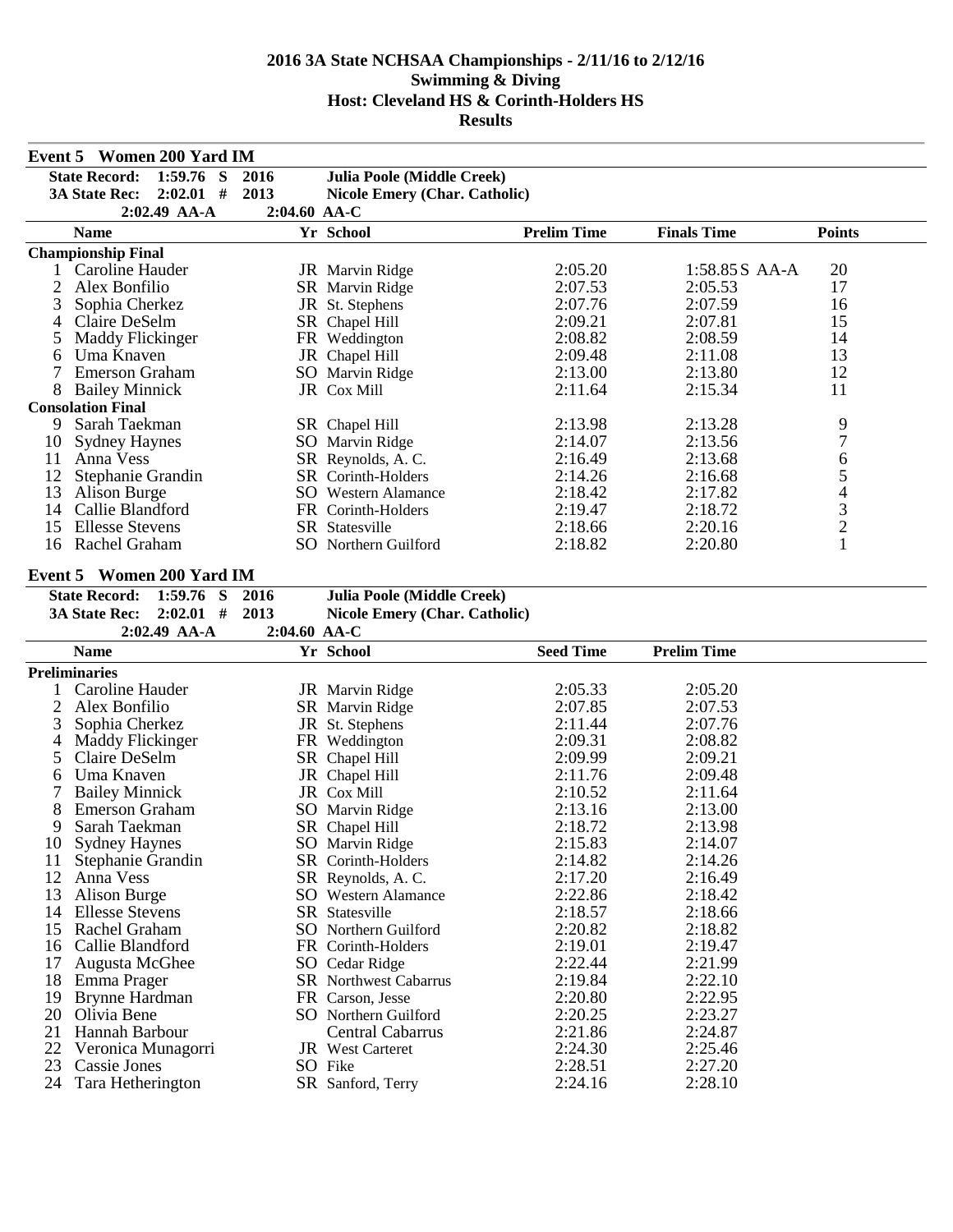|          | <b>Event 5 Women 200 Yard IM</b>    |                |                                      |                    |                    |                |
|----------|-------------------------------------|----------------|--------------------------------------|--------------------|--------------------|----------------|
|          | <b>State Record:</b><br>$1:59.76$ S | 2016           | Julia Poole (Middle Creek)           |                    |                    |                |
|          | $2:02.01$ #<br><b>3A State Rec:</b> | 2013           | <b>Nicole Emery (Char. Catholic)</b> |                    |                    |                |
|          | 2:02.49 AA-A                        | 2:04.60 AA-C   |                                      |                    |                    |                |
|          | <b>Name</b>                         |                | Yr School                            | <b>Prelim Time</b> | <b>Finals Time</b> | <b>Points</b>  |
|          | <b>Championship Final</b>           |                |                                      |                    |                    |                |
|          | Caroline Hauder                     |                | JR Marvin Ridge                      | 2:05.20            | 1:58.85S AA-A      | 20             |
| 2        | Alex Bonfilio                       |                | SR Marvin Ridge                      | 2:07.53            | 2:05.53            | 17             |
| 3        | Sophia Cherkez                      |                | JR St. Stephens                      | 2:07.76            | 2:07.59            | 16             |
| 4        | Claire DeSelm                       |                | SR Chapel Hill                       | 2:09.21            | 2:07.81            | 15             |
| 5        | <b>Maddy Flickinger</b>             |                | FR Weddington                        | 2:08.82            | 2:08.59            | 14             |
| 6        | Uma Knaven                          |                | JR Chapel Hill                       | 2:09.48            | 2:11.08            | 13             |
| 7        | <b>Emerson Graham</b>               |                | SO Marvin Ridge                      | 2:13.00            | 2:13.80            | 12             |
| 8        | <b>Bailey Minnick</b>               |                | JR Cox Mill                          | 2:11.64            | 2:15.34            | 11             |
|          | <b>Consolation Final</b>            |                |                                      |                    |                    |                |
|          | 9 Sarah Taekman                     |                | SR Chapel Hill                       | 2:13.98            | 2:13.28            | 9              |
| 10       | <b>Sydney Haynes</b>                |                | SO Marvin Ridge                      | 2:14.07            | 2:13.56            | $\overline{7}$ |
| 11       | Anna Vess                           |                | SR Reynolds, A.C.                    | 2:16.49            | 2:13.68            | 6              |
| 12       | Stephanie Grandin                   |                | SR Corinth-Holders                   | 2:14.26            | 2:16.68            |                |
| 13       | Alison Burge                        |                | <b>SO</b> Western Alamance           | 2:18.42            | 2:17.82            |                |
| 14       | Callie Blandford                    |                | FR Corinth-Holders                   | 2:19.47            | 2:18.72            |                |
| 15       | <b>Ellesse Stevens</b>              |                | SR Statesville                       | 2:18.66            | 2:20.16            | 54321          |
| 16       | Rachel Graham                       |                | SO Northern Guilford                 | 2:18.82            | 2:20.80            |                |
|          |                                     |                |                                      |                    |                    |                |
|          | <b>Event 5 Women 200 Yard IM</b>    |                |                                      |                    |                    |                |
|          | <b>State Record:</b><br>$1:59.76$ S | 2016           | Julia Poole (Middle Creek)           |                    |                    |                |
|          | $2:02.01$ #<br><b>3A State Rec:</b> | 2013           | <b>Nicole Emery (Char. Catholic)</b> |                    |                    |                |
|          |                                     |                |                                      |                    |                    |                |
|          | $2:02.49$ AA-A                      | $2:04.60$ AA-C |                                      |                    |                    |                |
|          | <b>Name</b>                         |                | Yr School                            | <b>Seed Time</b>   | <b>Prelim Time</b> |                |
|          | <b>Preliminaries</b>                |                |                                      |                    |                    |                |
|          | Caroline Hauder                     |                | JR Marvin Ridge                      | 2:05.33            | 2:05.20            |                |
| 2        | Alex Bonfilio                       |                | SR Marvin Ridge                      | 2:07.85            | 2:07.53            |                |
| 3        | Sophia Cherkez                      |                | JR St. Stephens                      | 2:11.44            | 2:07.76            |                |
| 4        | <b>Maddy Flickinger</b>             |                | FR Weddington                        | 2:09.31            | 2:08.82            |                |
| 5        | Claire DeSelm                       |                | SR Chapel Hill                       | 2:09.99            | 2:09.21            |                |
| 6        | Uma Knaven                          |                | JR Chapel Hill                       | 2:11.76            | 2:09.48            |                |
| 7        | <b>Bailey Minnick</b>               |                | JR Cox Mill                          | 2:10.52            | 2:11.64            |                |
| 8        | <b>Emerson Graham</b>               |                | SO Marvin Ridge                      | 2:13.16            | 2:13.00            |                |
| 9        | Sarah Taekman                       |                | SR Chapel Hill                       | 2:18.72            | 2:13.98            |                |
|          | 10 Sydney Haynes                    |                | SO Marvin Ridge                      | 2:15.83            | 2:14.07            |                |
| 11       | Stephanie Grandin                   |                | SR Corinth-Holders                   | 2:14.82            | 2:14.26            |                |
| 12       | Anna Vess                           |                | SR Reynolds, A.C.                    | 2:17.20            | 2:16.49            |                |
| 13       | Alison Burge                        |                | <b>SO</b> Western Alamance           | 2:22.86            | 2:18.42            |                |
| 14       | <b>Ellesse Stevens</b>              |                | SR Statesville                       | 2:18.57            | 2:18.66            |                |
| 15       | Rachel Graham                       |                | SO Northern Guilford                 | 2:20.82            | 2:18.82            |                |
| 16       | Callie Blandford                    |                | FR Corinth-Holders                   | 2:19.01            | 2:19.47            |                |
| 17       | Augusta McGhee                      |                | SO Cedar Ridge                       | 2:22.44            | 2:21.99            |                |
| 18       | Emma Prager                         |                | <b>SR</b> Northwest Cabarrus         | 2:19.84            | 2:22.10            |                |
| 19       | Brynne Hardman                      |                | FR Carson, Jesse                     | 2:20.80            | 2:22.95            |                |
| 20       | Olivia Bene                         |                | SO Northern Guilford                 | 2:20.25            | 2:23.27            |                |
| 21       | Hannah Barbour                      |                | <b>Central Cabarrus</b>              | 2:21.86            | 2:24.87            |                |
| 22       | Veronica Munagorri                  |                | <b>JR</b> West Carteret              | 2:24.30            | 2:25.46            |                |
| 23<br>24 | Cassie Jones<br>Tara Hetherington   |                | SO Fike<br>SR Sanford, Terry         | 2:28.51<br>2:24.16 | 2:27.20<br>2:28.10 |                |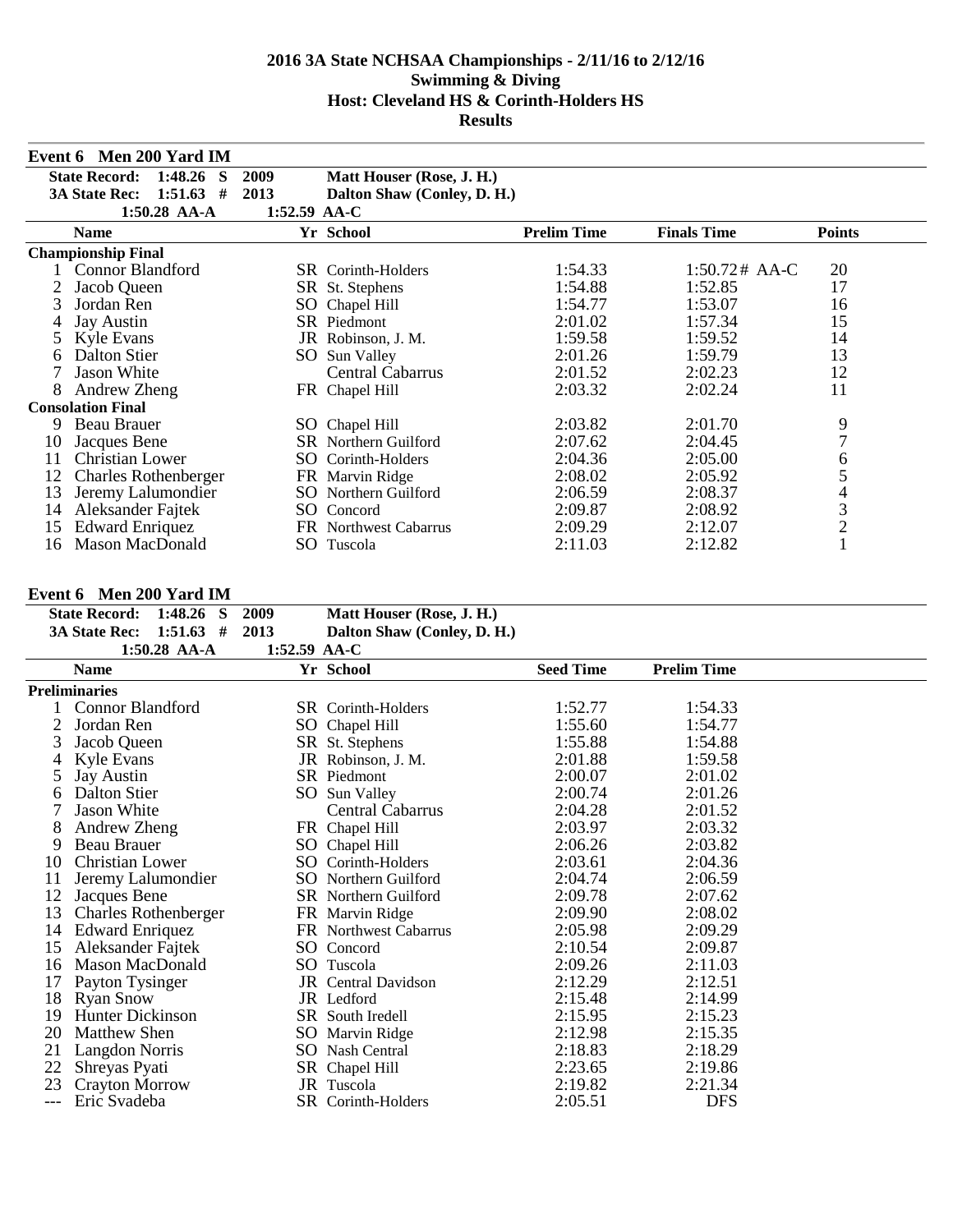|    | Event 6 Men 200 Yard IM              |              |                             |                    |                    |                |
|----|--------------------------------------|--------------|-----------------------------|--------------------|--------------------|----------------|
|    | <b>State Record:</b><br>$1:48.26$ S  | 2009         | Matt Houser (Rose, J. H.)   |                    |                    |                |
|    | <b>3A State Rec:</b><br>1:51.63<br># | 2013         | Dalton Shaw (Conley, D. H.) |                    |                    |                |
|    | $1:50.28$ AA-A                       | 1:52.59 AA-C |                             |                    |                    |                |
|    | <b>Name</b>                          |              | Yr School                   | <b>Prelim Time</b> | <b>Finals Time</b> | <b>Points</b>  |
|    | <b>Championship Final</b>            |              |                             |                    |                    |                |
|    | <b>Connor Blandford</b>              |              | <b>SR</b> Corinth-Holders   | 1:54.33            | $1:50.72#$ AA-C    | 20             |
|    | Jacob Queen                          |              | SR St. Stephens             | 1:54.88            | 1:52.85            | 17             |
| 3  | Jordan Ren                           |              | SO Chapel Hill              | 1:54.77            | 1:53.07            | 16             |
|    | Jay Austin                           |              | SR Piedmont                 | 2:01.02            | 1:57.34            | 15             |
|    | Kyle Evans                           |              | JR Robinson, J. M.          | 1:59.58            | 1:59.52            | 14             |
| 6  | Dalton Stier                         | SO.          | Sun Valley                  | 2:01.26            | 1:59.79            | 13             |
|    | Jason White                          |              | <b>Central Cabarrus</b>     | 2:01.52            | 2:02.23            | 12             |
| 8  | Andrew Zheng                         |              | FR Chapel Hill              | 2:03.32            | 2:02.24            | 11             |
|    | <b>Consolation Final</b>             |              |                             |                    |                    |                |
| 9  | Beau Brauer                          |              | SO Chapel Hill              | 2:03.82            | 2:01.70            | 9              |
| 10 | Jacques Bene                         |              | <b>SR</b> Northern Guilford | 2:07.62            | 2:04.45            | 7              |
| 11 | <b>Christian Lower</b>               |              | SO Corinth-Holders          | 2:04.36            | 2:05.00            | 6              |
| 12 | <b>Charles Rothenberger</b>          |              | FR Marvin Ridge             | 2:08.02            | 2:05.92            | 5              |
| 13 | Jeremy Lalumondier                   |              | <b>SO</b> Northern Guilford | 2:06.59            | 2:08.37            | 4              |
| 14 | Aleksander Fajtek                    |              | SO Concord                  | 2:09.87            | 2:08.92            | 3              |
| 15 | <b>Edward Enriquez</b>               |              | FR Northwest Cabarrus       | 2:09.29            | 2:12.07            | $\overline{2}$ |
| 16 | <b>Mason MacDonald</b>               |              | SO Tuscola                  | 2:11.03            | 2:12.82            |                |

#### **Event 6 Men 200 Yard IM**

| State Record: 1:48.26 S 2009   |                |                | Matt Houser (Rose, J. H.)   |
|--------------------------------|----------------|----------------|-----------------------------|
| 3A State Rec: $1:51.63$ # 2013 |                |                | Dalton Shaw (Conley, D. H.) |
|                                | $1:50.28$ AA-A | 1:52.59 $AA-C$ |                             |

|    | 1100120 INI II              | 10 <i>01</i> 07 1111 0 |                             |                  |                    |  |
|----|-----------------------------|------------------------|-----------------------------|------------------|--------------------|--|
|    | Name                        |                        | Yr School                   | <b>Seed Time</b> | <b>Prelim Time</b> |  |
|    | Preliminaries               |                        |                             |                  |                    |  |
|    | Connor Blandford            |                        | <b>SR</b> Corinth-Holders   | 1:52.77          | 1:54.33            |  |
|    | Jordan Ren                  |                        | SO Chapel Hill              | 1:55.60          | 1:54.77            |  |
| 3  | Jacob Queen                 |                        | SR St. Stephens             | 1:55.88          | 1:54.88            |  |
|    | Kyle Evans                  |                        | JR Robinson, J. M.          | 2:01.88          | 1:59.58            |  |
|    | Jay Austin                  |                        | SR Piedmont                 | 2:00.07          | 2:01.02            |  |
|    | Dalton Stier                |                        | SO Sun Valley               | 2:00.74          | 2:01.26            |  |
|    | Jason White                 |                        | Central Cabarrus            | 2:04.28          | 2:01.52            |  |
| 8  | Andrew Zheng                |                        | FR Chapel Hill              | 2:03.97          | 2:03.32            |  |
| 9  | Beau Brauer                 |                        | SO Chapel Hill              | 2:06.26          | 2:03.82            |  |
| 10 | <b>Christian Lower</b>      |                        | SO Corinth-Holders          | 2:03.61          | 2:04.36            |  |
| 11 | Jeremy Lalumondier          |                        | <b>SO</b> Northern Guilford | 2:04.74          | 2:06.59            |  |
| 12 | Jacques Bene                |                        | <b>SR</b> Northern Guilford | 2:09.78          | 2:07.62            |  |
| 13 | <b>Charles Rothenberger</b> |                        | FR Marvin Ridge             | 2:09.90          | 2:08.02            |  |
| 14 | <b>Edward Enriquez</b>      |                        | FR Northwest Cabarrus       | 2:05.98          | 2:09.29            |  |
| 15 | Aleksander Fajtek           |                        | SO Concord                  | 2:10.54          | 2:09.87            |  |
| 16 | <b>Mason MacDonald</b>      |                        | SO Tuscola                  | 2:09.26          | 2:11.03            |  |
| 17 | Payton Tysinger             |                        | JR Central Davidson         | 2:12.29          | 2:12.51            |  |
| 18 | <b>Ryan Snow</b>            |                        | JR Ledford                  | 2:15.48          | 2:14.99            |  |
| 19 | <b>Hunter Dickinson</b>     |                        | SR South Iredell            | 2:15.95          | 2:15.23            |  |
| 20 | Matthew Shen                |                        | SO Marvin Ridge             | 2:12.98          | 2:15.35            |  |
| 21 | Langdon Norris              |                        | SO Nash Central             | 2:18.83          | 2:18.29            |  |
| 22 | Shreyas Pyati               |                        | SR Chapel Hill              | 2:23.65          | 2:19.86            |  |
| 23 | <b>Crayton Morrow</b>       |                        | JR Tuscola                  | 2:19.82          | 2:21.34            |  |
|    | Eric Svadeba                |                        | SR Corinth-Holders          | 2:05.51          | <b>DFS</b>         |  |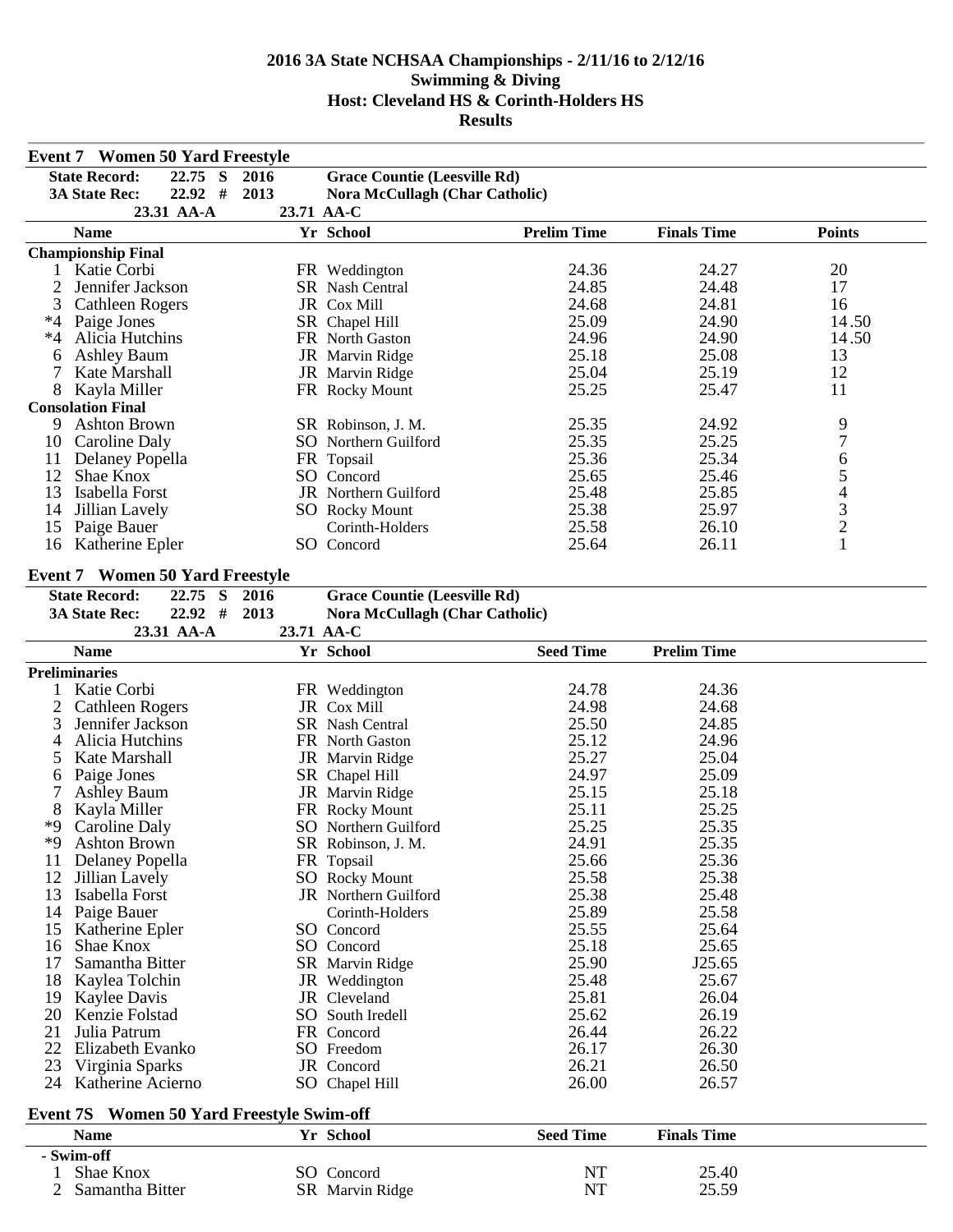|              | <b>Event 7 Women 50 Yard Freestyle</b>           |            |                                       |                    |                    |                |
|--------------|--------------------------------------------------|------------|---------------------------------------|--------------------|--------------------|----------------|
|              | <b>State Record:</b><br>22.75 S                  | 2016       | <b>Grace Countie (Leesville Rd)</b>   |                    |                    |                |
|              | $22.92$ #<br><b>3A State Rec:</b>                | 2013       | <b>Nora McCullagh (Char Catholic)</b> |                    |                    |                |
|              | 23.31 AA-A                                       | 23.71 AA-C |                                       |                    |                    |                |
|              | <b>Name</b>                                      |            | Yr School                             | <b>Prelim Time</b> | <b>Finals Time</b> | <b>Points</b>  |
|              | <b>Championship Final</b>                        |            |                                       |                    |                    |                |
|              | 1 Katie Corbi                                    |            | FR Weddington                         | 24.36              | 24.27              | 20             |
| 2            | Jennifer Jackson                                 |            | SR Nash Central                       | 24.85              | 24.48              | 17             |
| 3            | <b>Cathleen Rogers</b>                           |            | JR Cox Mill                           | 24.68              | 24.81              | 16             |
| $*4$         | Paige Jones                                      |            | SR Chapel Hill                        | 25.09              | 24.90              | 14.50          |
| $*4$         | Alicia Hutchins                                  |            | FR North Gaston                       | 24.96              | 24.90              | 14.50          |
| 6            | <b>Ashley Baum</b>                               |            | JR Marvin Ridge                       | 25.18              | 25.08              | 13             |
| 7            | Kate Marshall                                    |            | JR Marvin Ridge                       | 25.04              | 25.19              | 12             |
| 8            | Kayla Miller                                     |            | FR Rocky Mount                        | 25.25              | 25.47              | 11             |
|              | <b>Consolation Final</b>                         |            |                                       |                    |                    |                |
| 9            | <b>Ashton Brown</b>                              |            | SR Robinson, J. M.                    | 25.35              | 24.92              | 9              |
| 10           | Caroline Daly                                    |            | SO Northern Guilford                  | 25.35              | 25.25              | 7              |
| 11           | Delaney Popella                                  |            | FR Topsail                            | 25.36              | 25.34              | 6              |
| 12           | Shae Knox                                        |            | SO Concord                            | 25.65              | 25.46              | 5              |
| 13           | Isabella Forst                                   |            | JR Northern Guilford                  | 25.48              | 25.85              | $\overline{4}$ |
| 14           | Jillian Lavely                                   |            | <b>SO</b> Rocky Mount                 | 25.38              | 25.97              | 3              |
| 15           | Paige Bauer                                      |            | Corinth-Holders                       | 25.58              | 26.10              | $\overline{c}$ |
| 16           | Katherine Epler                                  |            | SO Concord                            | 25.64              | 26.11              | $\mathbf{1}$   |
|              |                                                  |            |                                       |                    |                    |                |
|              | <b>Event 7 Women 50 Yard Freestyle</b>           |            |                                       |                    |                    |                |
|              | <b>State Record:</b><br>S<br>22.75               | 2016       | <b>Grace Countie (Leesville Rd)</b>   |                    |                    |                |
|              | $22.92$ #<br><b>3A State Rec:</b>                | 2013       | <b>Nora McCullagh (Char Catholic)</b> |                    |                    |                |
|              | 23.31 AA-A                                       | 23.71 AA-C |                                       |                    |                    |                |
|              | <b>Name</b>                                      |            | Yr School                             | <b>Seed Time</b>   | <b>Prelim Time</b> |                |
|              | <b>Preliminaries</b>                             |            |                                       |                    |                    |                |
|              | Katie Corbi                                      |            | FR Weddington                         | 24.78              | 24.36              |                |
| 2            | <b>Cathleen Rogers</b>                           |            | JR Cox Mill                           | 24.98              | 24.68              |                |
| 3            | Jennifer Jackson                                 |            | SR Nash Central                       | 25.50              | 24.85              |                |
| 4            | Alicia Hutchins                                  |            | FR North Gaston                       | 25.12              | 24.96              |                |
| 5            | Kate Marshall                                    |            | JR Marvin Ridge                       | 25.27              | 25.04              |                |
| 6            | Paige Jones                                      |            | SR Chapel Hill                        | 24.97              | 25.09              |                |
|              | <b>Ashley Baum</b>                               |            | JR Marvin Ridge                       | 25.15              | 25.18              |                |
| 8            | Kayla Miller                                     |            | FR Rocky Mount                        | 25.11              | 25.25              |                |
| *9           | Caroline Daly                                    |            | SO Northern Guilford                  | 25.25              | 25.35              |                |
| *9           | <b>Ashton Brown</b>                              |            | SR Robinson, J. M.                    | 24.91              | 25.35              |                |
| 11           | Delaney Popella                                  |            | FR Topsail                            | 25.66              | 25.36              |                |
| 12           | Jillian Lavely                                   |            | <b>SO</b> Rocky Mount                 | 25.58              | 25.38              |                |
| 13           | Isabella Forst                                   |            | JR Northern Guilford                  | 25.38              | 25.48              |                |
| 14           | Paige Bauer                                      |            | Corinth-Holders                       | 25.89              | 25.58              |                |
| 15           | Katherine Epler                                  |            | SO Concord                            | 25.55              | 25.64              |                |
| 16           | Shae Knox                                        |            | SO Concord                            | 25.18              | 25.65              |                |
| 17           | Samantha Bitter                                  |            | SR Marvin Ridge                       | 25.90              | J25.65             |                |
| 18           | Kaylea Tolchin                                   |            | JR Weddington                         | 25.48              | 25.67              |                |
| 19           | Kaylee Davis                                     |            | JR Cleveland                          | 25.81              | 26.04              |                |
| 20           | Kenzie Folstad                                   |            | SO South Iredell                      | 25.62              | 26.19              |                |
| 21           | Julia Patrum                                     |            | FR Concord                            | 26.44              | 26.22              |                |
| 22           | Elizabeth Evanko                                 |            |                                       | 26.17              | 26.30              |                |
| 23           |                                                  |            | SO Freedom                            | 26.21              | 26.50              |                |
| 24           | Virginia Sparks<br>Katherine Acierno             |            | JR Concord                            | 26.00              | 26.57              |                |
|              |                                                  |            | SO Chapel Hill                        |                    |                    |                |
|              | <b>Event 7S</b> Women 50 Yard Freestyle Swim-off |            |                                       |                    |                    |                |
|              | <b>Name</b>                                      |            | Yr School                             | <b>Seed Time</b>   | <b>Finals Time</b> |                |
|              | - Swim-off                                       |            |                                       |                    |                    |                |
| $\mathbf{1}$ | Shae Knox                                        |            | SO Concord                            | NT                 | 25.40              |                |

# 2 Samantha Bitter SR Marvin Ridge NT 25.59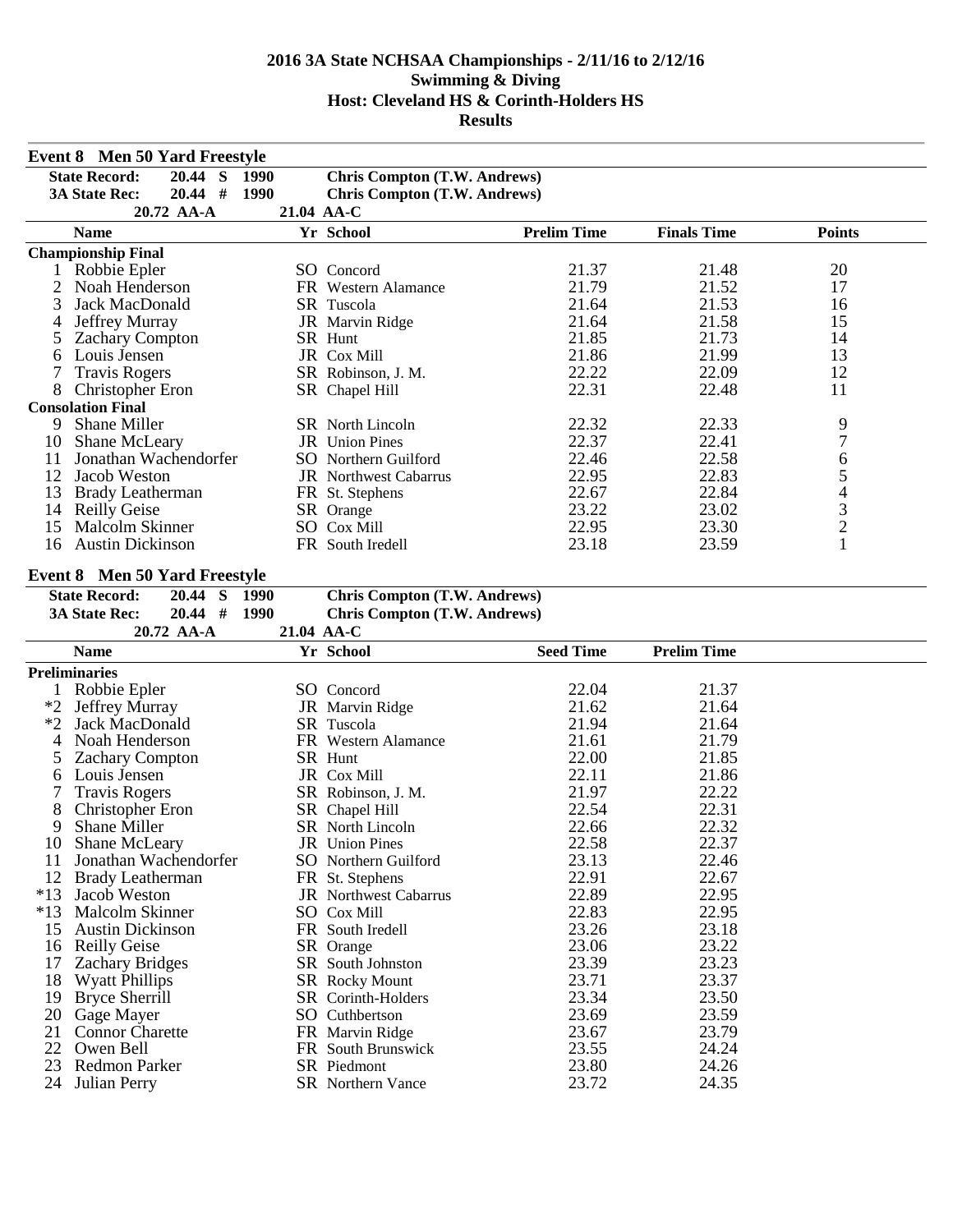|              | <b>Event 8 Men 50 Yard Freestyle</b>         |             |                                         |                    |                    |                |  |  |  |
|--------------|----------------------------------------------|-------------|-----------------------------------------|--------------------|--------------------|----------------|--|--|--|
|              | $\mathbf S$<br><b>State Record:</b><br>20.44 | <b>1990</b> | <b>Chris Compton (T.W. Andrews)</b>     |                    |                    |                |  |  |  |
|              | $20.44$ #<br><b>3A State Rec:</b>            | 1990        | <b>Chris Compton (T.W. Andrews)</b>     |                    |                    |                |  |  |  |
|              | 20.72 AA-A                                   | 21.04 AA-C  |                                         |                    |                    |                |  |  |  |
|              | <b>Name</b>                                  |             | Yr School                               | <b>Prelim Time</b> | <b>Finals Time</b> | <b>Points</b>  |  |  |  |
|              | <b>Championship Final</b>                    |             |                                         |                    |                    |                |  |  |  |
| $\mathbf{1}$ | Robbie Epler                                 |             | SO Concord                              | 21.37              | 21.48              | 20             |  |  |  |
| 2            | Noah Henderson                               |             | FR Western Alamance                     | 21.79              | 21.52              | 17             |  |  |  |
| 3            | Jack MacDonald                               |             | SR Tuscola                              | 21.64              | 21.53              | 16             |  |  |  |
| 4            | Jeffrey Murray                               |             | JR Marvin Ridge                         | 21.64              | 21.58              | 15             |  |  |  |
| 5            | <b>Zachary Compton</b>                       |             | SR Hunt                                 | 21.85              | 21.73              | 14             |  |  |  |
| 6            | Louis Jensen                                 |             | JR Cox Mill                             | 21.86              | 21.99              | 13             |  |  |  |
| 7            | <b>Travis Rogers</b>                         |             | SR Robinson, J. M.                      | 22.22              | 22.09              | 12             |  |  |  |
| 8            | Christopher Eron                             |             | SR Chapel Hill                          | 22.31              | 22.48              | 11             |  |  |  |
|              | <b>Consolation Final</b>                     |             |                                         |                    |                    |                |  |  |  |
| 9            | Shane Miller                                 |             | SR North Lincoln                        | 22.32              | 22.33              | 9              |  |  |  |
| 10           | Shane McLeary                                |             | JR Union Pines                          | 22.37              | 22.41              | $\tau$         |  |  |  |
| 11           | Jonathan Wachendorfer                        |             | SO Northern Guilford                    | 22.46              | 22.58              | 6              |  |  |  |
| 12           | Jacob Weston                                 |             | <b>JR</b> Northwest Cabarrus            | 22.95              | 22.83              | 5              |  |  |  |
| 13           | <b>Brady Leatherman</b>                      |             | FR St. Stephens                         | 22.67              | 22.84              | $\overline{4}$ |  |  |  |
| 14           | <b>Reilly Geise</b>                          |             | SR Orange                               | 23.22              | 23.02              | $\frac{3}{2}$  |  |  |  |
| 15           | Malcolm Skinner                              |             | SO Cox Mill                             | 22.95              | 23.30              |                |  |  |  |
| 16           | <b>Austin Dickinson</b>                      |             | FR South Iredell                        | 23.18              | 23.59              | $\mathbf{1}$   |  |  |  |
|              |                                              |             |                                         |                    |                    |                |  |  |  |
|              | <b>Event 8 Men 50 Yard Freestyle</b>         |             |                                         |                    |                    |                |  |  |  |
|              | <b>State Record:</b><br>20.44<br>S           | <b>1990</b> | <b>Chris Compton (T.W. Andrews)</b>     |                    |                    |                |  |  |  |
|              | $20.44$ #<br><b>3A State Rec:</b>            | 1990        | <b>Chris Compton (T.W. Andrews)</b>     |                    |                    |                |  |  |  |
|              | 20.72 AA-A                                   | 21.04 AA-C  |                                         |                    |                    |                |  |  |  |
|              | <b>Name</b>                                  |             | Yr School                               | <b>Seed Time</b>   | <b>Prelim Time</b> |                |  |  |  |
|              | <b>Preliminaries</b>                         |             |                                         |                    |                    |                |  |  |  |
| 1            | Robbie Epler                                 |             | SO Concord                              | 22.04              | 21.37              |                |  |  |  |
| $*2$         | Jeffrey Murray                               |             | JR Marvin Ridge                         | 21.62              | 21.64              |                |  |  |  |
| $*2$         | Jack MacDonald                               |             | SR Tuscola                              | 21.94              | 21.64              |                |  |  |  |
| 4            | Noah Henderson                               |             | FR Western Alamance                     | 21.61              | 21.79              |                |  |  |  |
| 5            | <b>Zachary Compton</b>                       |             | SR Hunt                                 | 22.00              | 21.85              |                |  |  |  |
| 6            | Louis Jensen                                 |             | JR Cox Mill                             | 22.11              | 21.86              |                |  |  |  |
| 7            | <b>Travis Rogers</b>                         |             | SR Robinson, J. M.                      | 21.97              | 22.22              |                |  |  |  |
| 8            | Christopher Eron                             |             | SR Chapel Hill                          | 22.54              | 22.31              |                |  |  |  |
| 9            | Shane Miller                                 |             | SR North Lincoln                        | 22.66              | 22.32              |                |  |  |  |
| 10           | Shane McLeary                                |             | <b>JR</b> Union Pines                   | 22.58              | 22.37              |                |  |  |  |
| 11           | Jonathan Wachendorfer                        |             | <b>SO</b> Northern Guilford             | 23.13              | 22.46              |                |  |  |  |
| 12           | Brady Leatherman                             |             | FR St. Stephens                         | 22.91              | 22.67              |                |  |  |  |
| $*13$        | Jacob Weston                                 |             | <b>JR</b> Northwest Cabarrus            | 22.89              | 22.95              |                |  |  |  |
| $*13$        | Malcolm Skinner                              |             | <b>SO</b> Cox Mill                      | 22.83              | 22.95              |                |  |  |  |
| 15           | <b>Austin Dickinson</b>                      |             | FR South Iredell                        | 23.26              | 23.18              |                |  |  |  |
| 16           | <b>Reilly Geise</b>                          |             | SR Orange                               | 23.06              | 23.22              |                |  |  |  |
| 17           | <b>Zachary Bridges</b>                       |             | SR South Johnston                       | 23.39              | 23.23              |                |  |  |  |
| 18           | <b>Wyatt Phillips</b>                        |             | SR Rocky Mount                          | 23.71              | 23.37              |                |  |  |  |
| 19           | <b>Bryce Sherrill</b>                        |             | SR Corinth-Holders                      | 23.34              | 23.50              |                |  |  |  |
| 20           | Gage Mayer                                   |             | SO Cuthbertson                          | 23.69              | 23.59              |                |  |  |  |
| 21           | <b>Connor Charette</b>                       |             | FR Marvin Ridge                         | 23.67              | 23.79              |                |  |  |  |
|              |                                              |             |                                         |                    |                    |                |  |  |  |
| 22           | Owen Bell                                    |             | FR South Brunswick                      | 23.55              | 24.24              |                |  |  |  |
| 23<br>24     | <b>Redmon Parker</b><br>Julian Perry         |             | SR Piedmont<br><b>SR</b> Northern Vance | 23.80<br>23.72     | 24.26<br>24.35     |                |  |  |  |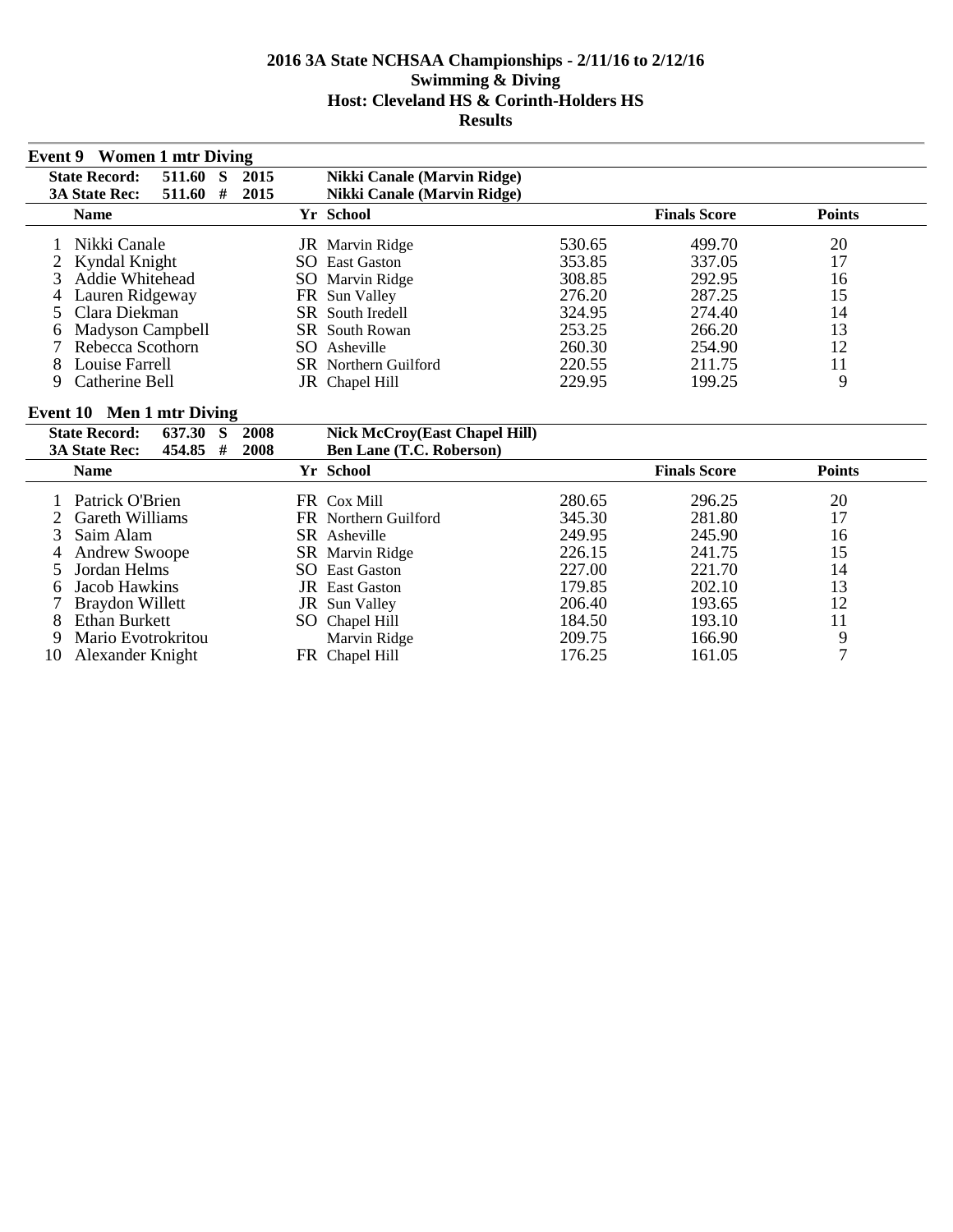| Event 9 Women 1 mtr Diving                  |                                    |        |                     |               |
|---------------------------------------------|------------------------------------|--------|---------------------|---------------|
| <b>State Record:</b><br>2015<br>511.60<br>S | Nikki Canale (Marvin Ridge)        |        |                     |               |
| <b>3A State Rec:</b><br>511.60<br>2015<br># | <b>Nikki Canale (Marvin Ridge)</b> |        |                     |               |
| <b>Name</b>                                 | Yr School                          |        | <b>Finals Score</b> | <b>Points</b> |
| Nikki Canale                                | JR Marvin Ridge                    | 530.65 | 499.70              | 20            |
| 2 Kyndal Knight                             | SO.<br><b>East Gaston</b>          | 353.85 | 337.05              | 17            |
| Addie Whitehead                             | SO Marvin Ridge                    | 308.85 | 292.95              | 16            |
| Lauren Ridgeway                             | FR Sun Valley                      | 276.20 | 287.25              | 15            |
| 5 Clara Diekman                             | <b>SR</b> South Iredell            | 324.95 | 274.40              | 14            |
| Madyson Campbell<br>6                       | <b>SR</b> South Rowan              | 253.25 | 266.20              | 13            |
| Rebecca Scothorn                            | SO.<br>Asheville                   | 260.30 | 254.90              | 12            |
| Louise Farrell                              | <b>SR</b> Northern Guilford        | 220.55 | 211.75              | 11            |
| Catherine Bell                              | JR Chapel Hill                     | 229.95 | 199.25              | 9             |

# **Event 10 Men 1 mtr Diving**

|    | <b>State Record:</b> | 637.30   | -S | 2008 | <b>Nick McCroy(East Chapel Hill)</b> |        |                     |               |  |
|----|----------------------|----------|----|------|--------------------------------------|--------|---------------------|---------------|--|
|    | <b>3A State Rec:</b> | 454.85 # |    | 2008 | <b>Ben Lane (T.C. Roberson)</b>      |        |                     |               |  |
|    | <b>Name</b>          |          |    |      | Yr School                            |        | <b>Finals Score</b> | <b>Points</b> |  |
|    | Patrick O'Brien      |          |    |      | FR Cox Mill                          | 280.65 | 296.25              | 20            |  |
|    | 2 Gareth Williams    |          |    |      | FR Northern Guilford                 | 345.30 | 281.80              | 17            |  |
|    | 3 Saim Alam          |          |    |      | SR Asheville                         | 249.95 | 245.90              | 16            |  |
|    | <b>Andrew Swoope</b> |          |    |      | SR Marvin Ridge                      | 226.15 | 241.75              | 15            |  |
|    | 5 Jordan Helms       |          |    |      | <b>SO</b> East Gaston                | 227.00 | 221.70              | 14            |  |
| h. | Jacob Hawkins        |          |    |      | <b>JR</b> East Gaston                | 179.85 | 202.10              | 13            |  |
|    | Braydon Willett      |          |    |      | JR Sun Valley                        | 206.40 | 193.65              | 12            |  |
| 8  | Ethan Burkett        |          |    |      | SO Chapel Hill                       | 184.50 | 193.10              | 11            |  |
| 9  | Mario Evotrokritou   |          |    |      | Marvin Ridge                         | 209.75 | 166.90              | 9             |  |
| 10 | Alexander Knight     |          |    |      | FR Chapel Hill                       | 176.25 | 161.05              |               |  |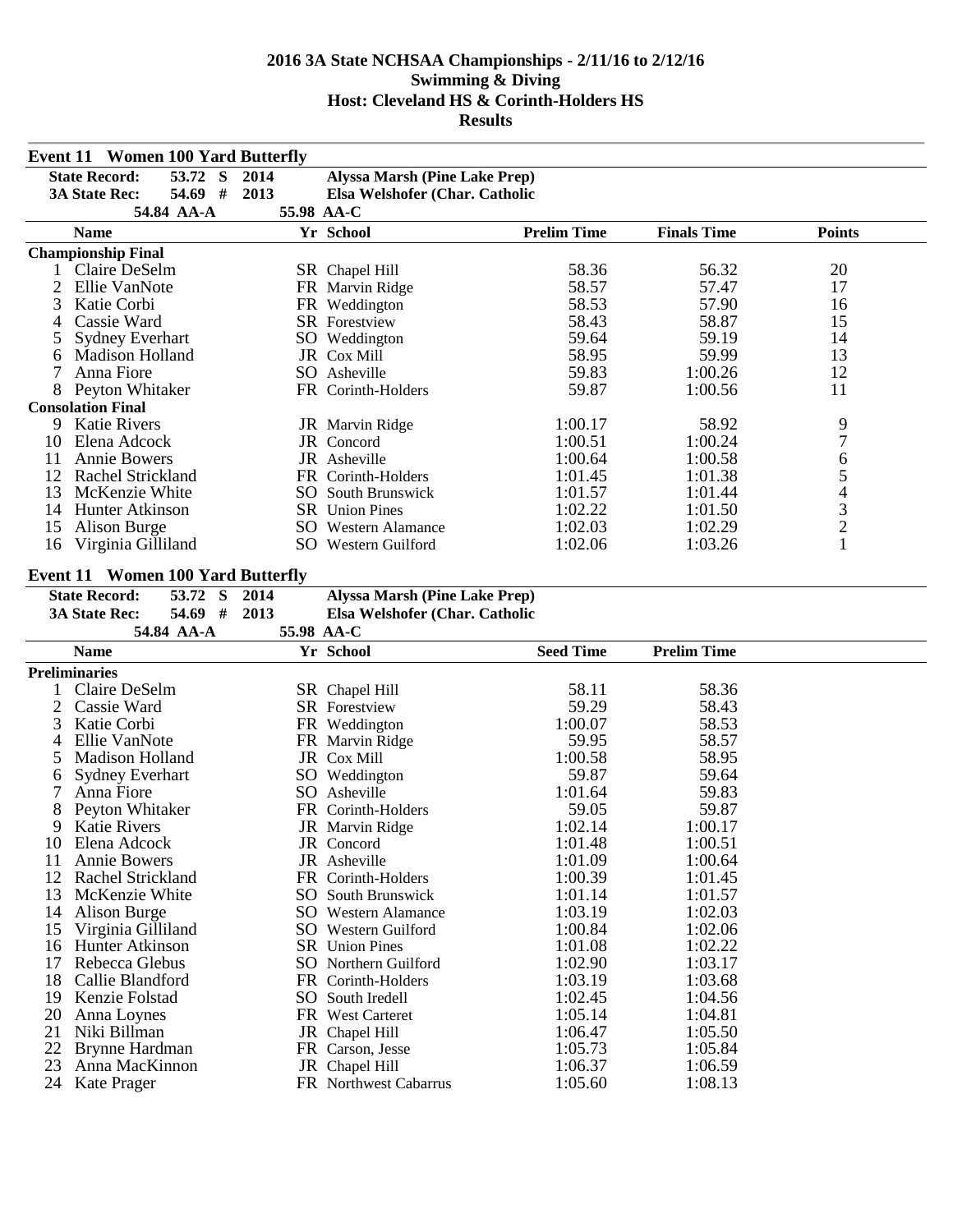|          | <b>Event 11 Women 100 Yard Butterfly</b> |            |                                      |                    |                    |                |  |
|----------|------------------------------------------|------------|--------------------------------------|--------------------|--------------------|----------------|--|
|          | <b>State Record:</b><br>53.72 S          | 2014       | Alyssa Marsh (Pine Lake Prep)        |                    |                    |                |  |
|          | 54.69 #<br><b>3A State Rec:</b>          | 2013       | Elsa Welshofer (Char. Catholic       |                    |                    |                |  |
|          | 54.84 AA-A                               | 55.98 AA-C |                                      |                    |                    |                |  |
|          | <b>Name</b>                              |            | Yr School                            | <b>Prelim Time</b> | <b>Finals Time</b> | <b>Points</b>  |  |
|          | <b>Championship Final</b>                |            |                                      |                    |                    |                |  |
|          | Claire DeSelm                            |            | SR Chapel Hill                       | 58.36              | 56.32              | 20             |  |
| 2        | Ellie VanNote                            |            | FR Marvin Ridge                      | 58.57              | 57.47              | 17             |  |
| 3        | Katie Corbi                              |            | FR Weddington                        | 58.53              | 57.90              | 16             |  |
| 4        | Cassie Ward                              |            | SR Forestview                        | 58.43              | 58.87              | 15             |  |
| 5        | <b>Sydney Everhart</b>                   |            | SO Weddington                        | 59.64              | 59.19              | 14             |  |
| 6        | <b>Madison Holland</b>                   |            | JR Cox Mill                          | 58.95              | 59.99              | 13             |  |
| 7        | Anna Fiore                               |            | SO Asheville                         | 59.83              | 1:00.26            | 12             |  |
|          | 8 Peyton Whitaker                        |            | FR Corinth-Holders                   | 59.87              | 1:00.56            | 11             |  |
|          | <b>Consolation Final</b>                 |            |                                      |                    |                    |                |  |
| 9        | <b>Katie Rivers</b>                      |            | JR Marvin Ridge                      | 1:00.17            | 58.92              | 9              |  |
| 10       | Elena Adcock                             |            | JR Concord                           | 1:00.51            | 1:00.24            | $\overline{7}$ |  |
| 11       | Annie Bowers                             |            | JR Asheville                         | 1:00.64            | 1:00.58            |                |  |
| 12       | <b>Rachel Strickland</b>                 |            | FR Corinth-Holders                   | 1:01.45            | 1:01.38            |                |  |
| 13       | McKenzie White                           |            | <b>SO</b> South Brunswick            | 1:01.57            | 1:01.44            |                |  |
| 14       | Hunter Atkinson                          |            | SR Union Pines                       | 1:02.22            | 1:01.50            |                |  |
| 15       | Alison Burge                             |            | <b>SO</b> Western Alamance           | 1:02.03            | 1:02.29            | 654321         |  |
| 16       | Virginia Gilliland                       |            | SO Western Guilford                  | 1:02.06            | 1:03.26            |                |  |
|          |                                          |            |                                      |                    |                    |                |  |
|          | <b>Event 11 Women 100 Yard Butterfly</b> |            |                                      |                    |                    |                |  |
|          | <b>State Record:</b><br>53.72 S          | 2014       | <b>Alyssa Marsh (Pine Lake Prep)</b> |                    |                    |                |  |
|          |                                          |            |                                      |                    |                    |                |  |
|          | 54.69 #<br><b>3A State Rec:</b>          | 2013       | Elsa Welshofer (Char. Catholic       |                    |                    |                |  |
|          | 54.84 AA-A                               | 55.98 AA-C |                                      |                    |                    |                |  |
|          | <b>Name</b>                              |            | Yr School                            | <b>Seed Time</b>   | <b>Prelim Time</b> |                |  |
|          | <b>Preliminaries</b>                     |            |                                      |                    |                    |                |  |
|          | Claire DeSelm                            |            | SR Chapel Hill                       | 58.11              | 58.36              |                |  |
| 2        | Cassie Ward                              |            | <b>SR</b> Forestview                 | 59.29              | 58.43              |                |  |
| 3        | Katie Corbi                              |            | FR Weddington                        | 1:00.07            | 58.53              |                |  |
| 4        | Ellie VanNote                            |            | FR Marvin Ridge                      | 59.95              | 58.57              |                |  |
| 5        | Madison Holland                          |            | JR Cox Mill                          | 1:00.58            | 58.95              |                |  |
| 6        | <b>Sydney Everhart</b>                   |            | SO Weddington                        | 59.87              | 59.64              |                |  |
| 7        | Anna Fiore                               |            | SO Asheville                         | 1:01.64            | 59.83              |                |  |
| 8        | Peyton Whitaker                          |            | FR Corinth-Holders                   | 59.05              | 59.87              |                |  |
| 9        | <b>Katie Rivers</b>                      |            | JR Marvin Ridge                      | 1:02.14            | 1:00.17            |                |  |
|          | 10 Elena Adcock                          |            | JR Concord                           | 1:01.48            | 1:00.51            |                |  |
| 11       | <b>Annie Bowers</b>                      |            | JR Asheville                         | 1:01.09            | 1:00.64            |                |  |
| 12       | Rachel Strickland                        |            | FR Corinth-Holders                   | 1:00.39            | 1:01.45            |                |  |
| 13       | McKenzie White                           |            | <b>SO</b> South Brunswick            | 1:01.14            | 1:01.57            |                |  |
| 14       | Alison Burge                             |            | <b>SO</b> Western Alamance           | 1:03.19            | 1:02.03            |                |  |
| 15       | Virginia Gilliland                       |            | SO Western Guilford                  | 1:00.84            | 1:02.06            |                |  |
| 16       | Hunter Atkinson                          |            | <b>SR</b> Union Pines                | 1:01.08            | 1:02.22            |                |  |
| 17       | Rebecca Glebus                           |            | SO Northern Guilford                 | 1:02.90            | 1:03.17            |                |  |
| 18       | Callie Blandford                         |            | FR Corinth-Holders                   | 1:03.19            | 1:03.68            |                |  |
| 19       | Kenzie Folstad                           |            | SO South Iredell                     | 1:02.45            | 1:04.56            |                |  |
| 20       | Anna Loynes                              |            | FR West Carteret                     | 1:05.14            | 1:04.81            |                |  |
| 21       | Niki Billman                             |            | JR Chapel Hill                       | 1:06.47            | 1:05.50            |                |  |
| 22<br>23 | Brynne Hardman<br>Anna MacKinnon         |            | FR Carson, Jesse<br>JR Chapel Hill   | 1:05.73<br>1:06.37 | 1:05.84<br>1:06.59 |                |  |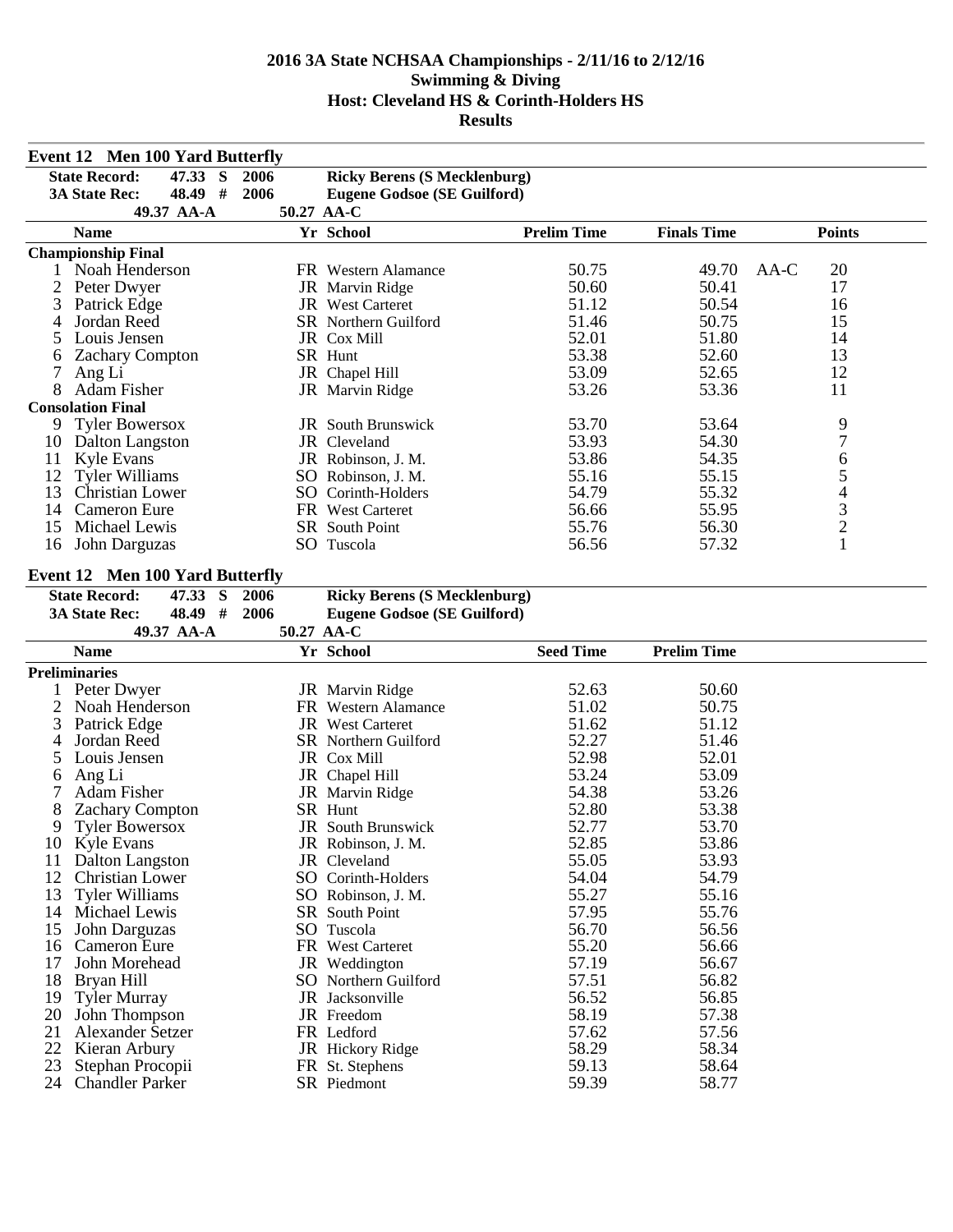|          | <b>Event 12 Men 100 Yard Butterfly</b> |            |                                     |                    |                    |                |
|----------|----------------------------------------|------------|-------------------------------------|--------------------|--------------------|----------------|
|          | <b>State Record:</b><br>47.33 S        | 2006       | <b>Ricky Berens (S Mecklenburg)</b> |                    |                    |                |
|          | 48.49 #<br><b>3A State Rec:</b>        | 2006       | <b>Eugene Godsoe (SE Guilford)</b>  |                    |                    |                |
|          | 49.37 AA-A                             | 50.27 AA-C |                                     |                    |                    |                |
|          | <b>Name</b>                            |            | Yr School                           | <b>Prelim Time</b> | <b>Finals Time</b> | <b>Points</b>  |
|          | <b>Championship Final</b>              |            |                                     |                    |                    |                |
|          | 1 Noah Henderson                       |            | FR Western Alamance                 | 50.75              | 49.70              | $AA-C$<br>20   |
| 2        | Peter Dwyer                            |            | JR Marvin Ridge                     | 50.60              | 50.41              | 17             |
| 3        | Patrick Edge                           |            | JR West Carteret                    | 51.12              | 50.54              | 16             |
| 4        | Jordan Reed                            |            | <b>SR</b> Northern Guilford         | 51.46              | 50.75              | 15             |
| 5        | Louis Jensen                           |            | JR Cox Mill                         | 52.01              | 51.80              | 14             |
| 6        | <b>Zachary Compton</b>                 |            | SR Hunt                             | 53.38              | 52.60              | 13             |
| 7        | Ang Li                                 |            | JR Chapel Hill                      | 53.09              | 52.65              | 12             |
| 8        | <b>Adam Fisher</b>                     |            | JR Marvin Ridge                     | 53.26              | 53.36              | 11             |
|          | <b>Consolation Final</b>               |            |                                     |                    |                    |                |
| 9        | <b>Tyler Bowersox</b>                  |            | <b>JR</b> South Brunswick           | 53.70              | 53.64              | 9              |
| 10       | Dalton Langston                        |            | JR Cleveland                        | 53.93              | 54.30              | $\overline{7}$ |
| 11       | <b>Kyle Evans</b>                      |            | JR Robinson, J. M.                  | 53.86              | 54.35              |                |
| 12       | <b>Tyler Williams</b>                  |            | SO Robinson, J. M.                  | 55.16              | 55.15              |                |
| 13       | <b>Christian Lower</b>                 |            | SO Corinth-Holders                  | 54.79              | 55.32              |                |
| 14       | <b>Cameron Eure</b>                    |            | FR West Carteret                    | 56.66              | 55.95              |                |
| 15       | Michael Lewis                          |            | <b>SR</b> South Point               | 55.76              | 56.30              | 65432          |
| 16       | John Darguzas                          |            | SO Tuscola                          | 56.56              | 57.32              | $\mathbf{1}$   |
|          |                                        |            |                                     |                    |                    |                |
|          | <b>Event 12 Men 100 Yard Butterfly</b> |            |                                     |                    |                    |                |
|          | <b>State Record:</b><br>47.33 S        | 2006       | <b>Ricky Berens (S Mecklenburg)</b> |                    |                    |                |
|          | 48.49 #<br><b>3A State Rec:</b>        | 2006       | <b>Eugene Godsoe (SE Guilford)</b>  |                    |                    |                |
|          | 49.37 AA-A<br><b>Name</b>              | 50.27 AA-C | Yr School                           |                    | <b>Prelim Time</b> |                |
|          |                                        |            |                                     | <b>Seed Time</b>   |                    |                |
|          |                                        |            |                                     |                    |                    |                |
|          | <b>Preliminaries</b>                   |            |                                     |                    |                    |                |
|          | Peter Dwyer                            |            | JR Marvin Ridge                     | 52.63              | 50.60              |                |
| 2        | Noah Henderson                         |            | FR Western Alamance                 | 51.02              | 50.75              |                |
| 3        | Patrick Edge                           |            | <b>JR</b> West Carteret             | 51.62              | 51.12              |                |
| 4        | Jordan Reed                            |            | SR Northern Guilford                | 52.27              | 51.46              |                |
| 5        | Louis Jensen                           |            | JR Cox Mill                         | 52.98              | 52.01              |                |
| 6        | Ang Li                                 |            | JR Chapel Hill                      | 53.24              | 53.09              |                |
| 7        | Adam Fisher                            |            | JR Marvin Ridge                     | 54.38              | 53.26              |                |
| 8        | <b>Zachary Compton</b>                 |            | SR Hunt                             | 52.80              | 53.38              |                |
| 9        | <b>Tyler Bowersox</b>                  |            | JR South Brunswick                  | 52.77              | 53.70              |                |
|          | 10 Kyle Evans                          |            | JR Robinson, J. M.                  | 52.85              | 53.86              |                |
| 11       | Dalton Langston                        |            | JR Cleveland                        | 55.05              | 53.93              |                |
| 12       | <b>Christian Lower</b>                 |            | SO Corinth-Holders                  | 54.04              | 54.79              |                |
| 13       | <b>Tyler Williams</b>                  |            | SO Robinson, J. M.                  | 55.27              | 55.16              |                |
| 14       | Michael Lewis                          |            | SR South Point                      | 57.95              | 55.76              |                |
| 15       | John Darguzas                          |            | SO Tuscola                          | 56.70              | 56.56              |                |
| 16       | <b>Cameron Eure</b>                    |            | FR West Carteret                    | 55.20              | 56.66              |                |
| 17       | John Morehead                          |            | JR Weddington                       | 57.19              | 56.67              |                |
| 18       | Bryan Hill                             |            | SO Northern Guilford                | 57.51              | 56.82              |                |
| 19       | <b>Tyler Murray</b>                    |            | JR Jacksonville                     | 56.52              | 56.85              |                |
| 20       | John Thompson                          |            | JR Freedom                          | 58.19              | 57.38              |                |
| 21       | Alexander Setzer                       |            | FR Ledford                          | 57.62              | 57.56              |                |
| 22<br>23 | Kieran Arbury<br>Stephan Procopii      |            | JR Hickory Ridge<br>FR St. Stephens | 58.29<br>59.13     | 58.34<br>58.64     |                |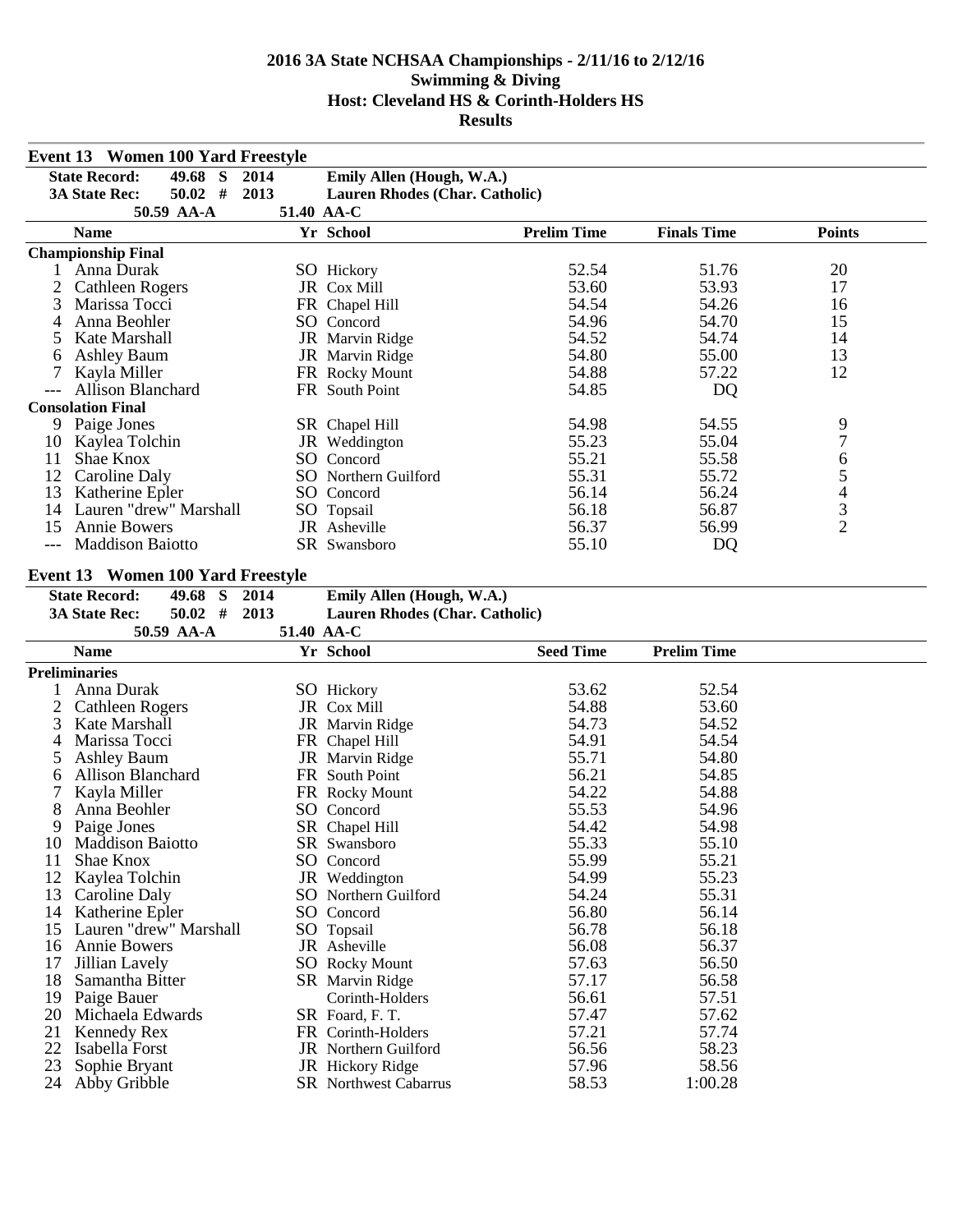|          | <b>Event 13 Women 100 Yard Freestyle</b> |            |                                                  |                    |                    |                                            |  |
|----------|------------------------------------------|------------|--------------------------------------------------|--------------------|--------------------|--------------------------------------------|--|
|          | 49.68 S<br><b>State Record:</b>          | 2014       | Emily Allen (Hough, W.A.)                        |                    |                    |                                            |  |
|          | $50.02$ #<br><b>3A State Rec:</b>        | 2013       | Lauren Rhodes (Char. Catholic)                   |                    |                    |                                            |  |
|          | 50.59 AA-A                               | 51.40 AA-C |                                                  |                    |                    |                                            |  |
|          | <b>Name</b>                              |            | Yr School                                        | <b>Prelim Time</b> | <b>Finals Time</b> | <b>Points</b>                              |  |
|          | <b>Championship Final</b>                |            |                                                  |                    |                    |                                            |  |
| 1        | Anna Durak                               |            | SO Hickory                                       | 52.54              | 51.76              | 20                                         |  |
| 2        | <b>Cathleen Rogers</b>                   |            | JR Cox Mill                                      | 53.60              | 53.93              | 17                                         |  |
| 3        | Marissa Tocci                            |            | FR Chapel Hill                                   | 54.54              | 54.26              | 16                                         |  |
| 4        | Anna Beohler                             |            | SO Concord                                       | 54.96              | 54.70              | 15                                         |  |
| 5        | Kate Marshall                            |            | JR Marvin Ridge                                  | 54.52              | 54.74              | 14                                         |  |
| 6        | <b>Ashley Baum</b>                       |            | JR Marvin Ridge                                  | 54.80              | 55.00              | 13                                         |  |
| 7        | Kayla Miller                             |            | FR Rocky Mount                                   | 54.88              | 57.22              | 12                                         |  |
|          | <b>Allison Blanchard</b>                 |            | FR South Point                                   | 54.85              | DQ                 |                                            |  |
|          | <b>Consolation Final</b>                 |            |                                                  |                    |                    |                                            |  |
|          | 9 Paige Jones                            |            | SR Chapel Hill                                   | 54.98              | 54.55              | 9                                          |  |
| 10       | Kaylea Tolchin                           |            | JR Weddington                                    | 55.23              | 55.04              | $\overline{7}$                             |  |
| 11       | Shae Knox                                |            | SO Concord                                       | 55.21              | 55.58              | 6                                          |  |
| 12       | Caroline Daly                            |            | SO Northern Guilford                             | 55.31              | 55.72              | 5                                          |  |
| 13       | Katherine Epler                          |            | SO Concord                                       | 56.14              | 56.24              |                                            |  |
| 14       | Lauren "drew" Marshall                   |            | SO Topsail                                       | 56.18              | 56.87              | $\begin{array}{c} 4 \\ 3 \\ 2 \end{array}$ |  |
| 15       | <b>Annie Bowers</b>                      |            | JR Asheville                                     | 56.37              | 56.99              |                                            |  |
| $---$    | <b>Maddison Baiotto</b>                  |            | SR Swansboro                                     | 55.10              | DQ                 |                                            |  |
|          |                                          |            |                                                  |                    |                    |                                            |  |
|          | <b>Event 13 Women 100 Yard Freestyle</b> |            |                                                  |                    |                    |                                            |  |
|          | 49.68 S<br><b>State Record:</b>          | 2014       | Emily Allen (Hough, W.A.)                        |                    |                    |                                            |  |
|          | $50.02$ #<br><b>3A State Rec:</b>        | 2013       | Lauren Rhodes (Char. Catholic)                   |                    |                    |                                            |  |
|          |                                          |            |                                                  |                    |                    |                                            |  |
|          | 50.59 AA-A                               | 51.40 AA-C |                                                  |                    |                    |                                            |  |
|          | <b>Name</b>                              |            | Yr School                                        | <b>Seed Time</b>   | <b>Prelim Time</b> |                                            |  |
|          | <b>Preliminaries</b>                     |            |                                                  |                    |                    |                                            |  |
|          | Anna Durak                               |            | SO Hickory                                       | 53.62              | 52.54              |                                            |  |
| 2        | <b>Cathleen Rogers</b>                   |            | JR Cox Mill                                      | 54.88              | 53.60              |                                            |  |
| 3        | Kate Marshall                            |            | JR Marvin Ridge                                  | 54.73              | 54.52              |                                            |  |
| 4        | Marissa Tocci                            |            | FR Chapel Hill                                   | 54.91              | 54.54              |                                            |  |
| 5        | <b>Ashley Baum</b>                       |            | JR Marvin Ridge                                  | 55.71              | 54.80              |                                            |  |
| 6        | <b>Allison Blanchard</b>                 |            | FR South Point                                   | 56.21              | 54.85              |                                            |  |
| 7        | Kayla Miller                             |            | FR Rocky Mount                                   | 54.22              | 54.88              |                                            |  |
| 8        | Anna Beohler                             |            | SO Concord                                       | 55.53              | 54.96              |                                            |  |
| 9        | Paige Jones                              |            | SR Chapel Hill                                   | 54.42              | 54.98              |                                            |  |
|          | 10 Maddison Baiotto                      |            | SR Swansboro                                     | 55.33              | 55.10              |                                            |  |
| 11       | Shae Knox                                |            | SO Concord                                       | 55.99              | 55.21              |                                            |  |
| 12       | Kaylea Tolchin                           |            | JR Weddington                                    | 54.99              | 55.23              |                                            |  |
| 13       | Caroline Daly                            |            | SO Northern Guilford                             | 54.24              | 55.31              |                                            |  |
| 14       | Katherine Epler                          |            | SO Concord                                       | 56.80              | 56.14              |                                            |  |
| 15       | Lauren "drew" Marshall                   |            | SO Topsail                                       | 56.78              | 56.18              |                                            |  |
| 16       | <b>Annie Bowers</b>                      |            | JR Asheville                                     | 56.08              | 56.37              |                                            |  |
| 17       | Jillian Lavely                           |            | <b>SO</b> Rocky Mount                            | 57.63              | 56.50              |                                            |  |
| 18       | Samantha Bitter                          |            | SR Marvin Ridge                                  | 57.17              | 56.58              |                                            |  |
| 19       | Paige Bauer                              |            | Corinth-Holders                                  | 56.61              | 57.51              |                                            |  |
| 20       | Michaela Edwards                         |            | SR Foard, F. T.                                  | 57.47              | 57.62              |                                            |  |
| 21       | Kennedy Rex                              |            | FR Corinth-Holders                               | 57.21              | 57.74              |                                            |  |
| 22       | Isabella Forst                           |            | <b>JR</b> Northern Guilford                      | 56.56              | 58.23              |                                            |  |
| 23<br>24 | Sophie Bryant<br>Abby Gribble            |            | JR Hickory Ridge<br><b>SR</b> Northwest Cabarrus | 57.96<br>58.53     | 58.56<br>1:00.28   |                                            |  |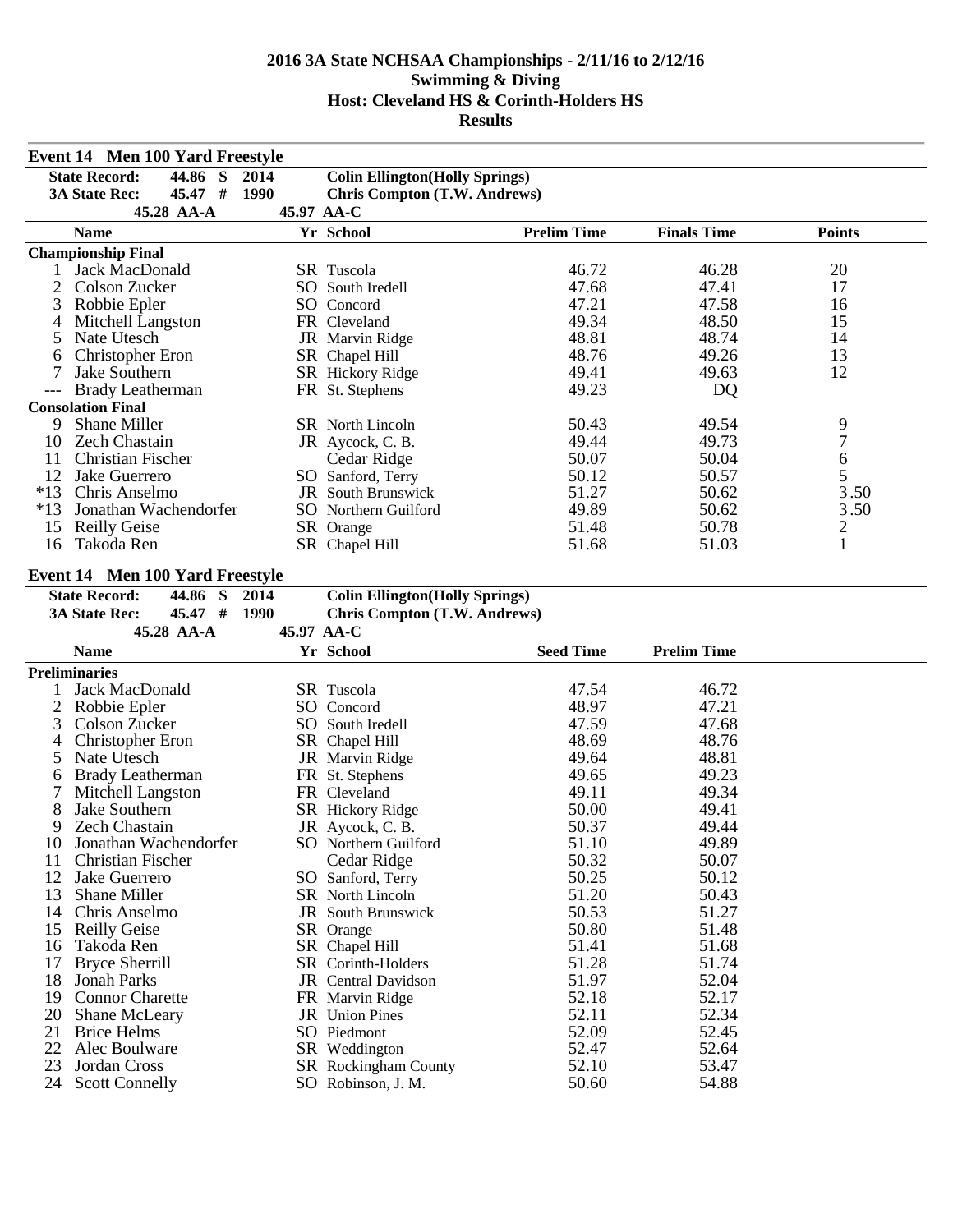| Event 14 Men 100 Yard Freestyle |                                            |            |                                        |                    |                    |                  |  |  |
|---------------------------------|--------------------------------------------|------------|----------------------------------------|--------------------|--------------------|------------------|--|--|
|                                 | S<br><b>State Record:</b><br>44.86<br>2014 |            | <b>Colin Ellington</b> (Holly Springs) |                    |                    |                  |  |  |
|                                 | 45.47 # 1990<br><b>3A State Rec:</b>       |            | <b>Chris Compton (T.W. Andrews)</b>    |                    |                    |                  |  |  |
|                                 | 45.28 AA-A                                 | 45.97 AA-C |                                        |                    |                    |                  |  |  |
|                                 | <b>Name</b>                                |            | Yr School                              | <b>Prelim Time</b> | <b>Finals Time</b> | <b>Points</b>    |  |  |
|                                 | <b>Championship Final</b>                  |            |                                        |                    |                    |                  |  |  |
|                                 | 1 Jack MacDonald                           |            | SR Tuscola                             | 46.72              | 46.28              | 20               |  |  |
| 2                               | Colson Zucker                              |            | SO South Iredell                       | 47.68              | 47.41              | 17               |  |  |
| 3                               | Robbie Epler                               |            | SO Concord                             | 47.21              | 47.58              | 16               |  |  |
| 4                               | Mitchell Langston                          |            | FR Cleveland                           | 49.34              | 48.50              | 15               |  |  |
| 5                               | Nate Utesch                                |            | JR Marvin Ridge                        | 48.81              | 48.74              | 14               |  |  |
| 6                               | <b>Christopher Eron</b>                    |            | SR Chapel Hill                         | 48.76              | 49.26              | 13               |  |  |
| 7                               | Jake Southern                              |            | SR Hickory Ridge                       | 49.41              | 49.63              | 12               |  |  |
|                                 | <b>Brady Leatherman</b>                    |            | FR St. Stephens                        | 49.23              | DQ                 |                  |  |  |
|                                 | <b>Consolation Final</b>                   |            |                                        |                    |                    |                  |  |  |
| 9                               | Shane Miller                               |            | SR North Lincoln                       | 50.43              | 49.54              | 9                |  |  |
| 10                              | <b>Zech Chastain</b>                       |            | JR Aycock, C. B.                       | 49.44              | 49.73              | $\boldsymbol{7}$ |  |  |
| 11                              | <b>Christian Fischer</b>                   |            | Cedar Ridge                            | 50.07              | 50.04              | 6                |  |  |
| 12                              | Jake Guerrero                              |            | SO Sanford, Terry                      | 50.12              | 50.57              | 5                |  |  |
| $*13$                           | Chris Anselmo                              |            | <b>JR</b> South Brunswick              | 51.27              | 50.62              | 3.50             |  |  |
| $*13$                           | Jonathan Wachendorfer                      |            | SO Northern Guilford                   | 49.89              | 50.62              | 3.50             |  |  |
| 15                              | <b>Reilly Geise</b>                        |            | SR Orange                              | 51.48              | 50.78              | $\overline{c}$   |  |  |
| 16                              | Takoda Ren                                 |            | SR Chapel Hill                         | 51.68              | 51.03              | $\mathbf{1}$     |  |  |
|                                 |                                            |            |                                        |                    |                    |                  |  |  |
|                                 | <b>Event 14 Men 100 Yard Freestyle</b>     |            |                                        |                    |                    |                  |  |  |
|                                 | <b>State Record:</b><br>44.86<br>S<br>2014 |            | <b>Colin Ellington</b> (Holly Springs) |                    |                    |                  |  |  |
|                                 | 45.47 # 1990<br><b>3A State Rec:</b>       |            | <b>Chris Compton (T.W. Andrews)</b>    |                    |                    |                  |  |  |
|                                 | 45.28 AA-A                                 | 45.97 AA-C |                                        |                    |                    |                  |  |  |
|                                 | <b>Name</b>                                |            | Yr School                              | <b>Seed Time</b>   | <b>Prelim Time</b> |                  |  |  |
|                                 | <b>Preliminaries</b>                       |            |                                        |                    |                    |                  |  |  |
| 1                               | Jack MacDonald                             |            | SR Tuscola                             | 47.54              | 46.72              |                  |  |  |
| 2                               | Robbie Epler                               |            | SO Concord                             | 48.97              | 47.21              |                  |  |  |
| 3                               | Colson Zucker                              |            | SO South Iredell                       | 47.59              | 47.68              |                  |  |  |
| 4                               | Christopher Eron                           |            | SR Chapel Hill                         | 48.69              | 48.76              |                  |  |  |
| 5                               | Nate Utesch                                |            | JR Marvin Ridge                        | 49.64              | 48.81              |                  |  |  |
| 6                               | <b>Brady Leatherman</b>                    |            | FR St. Stephens                        | 49.65              | 49.23              |                  |  |  |
| 7                               | Mitchell Langston                          |            | FR Cleveland                           | 49.11              | 49.34              |                  |  |  |
| 8                               | Jake Southern                              |            | SR Hickory Ridge                       | 50.00              | 49.41              |                  |  |  |
| 9                               | Zech Chastain                              |            | JR Aycock, C. B.                       | 50.37              | 49.44              |                  |  |  |
| 10                              | Jonathan Wachendorfer                      |            | SO Northern Guilford                   | 51.10              | 49.89              |                  |  |  |
| 11                              | Christian Fischer                          |            | Cedar Ridge                            | 50.32              | 50.07              |                  |  |  |
| 12                              | Jake Guerrero                              |            | SO Sanford, Terry                      | 50.25              | 50.12              |                  |  |  |
| 13                              | <b>Shane Miller</b>                        |            | SR North Lincoln                       | 51.20              | 50.43              |                  |  |  |
| 14                              | Chris Anselmo                              |            | <b>JR</b> South Brunswick              | 50.53              | 51.27              |                  |  |  |
| 15                              | <b>Reilly Geise</b>                        |            | SR Orange                              | 50.80              | 51.48              |                  |  |  |
| 16                              | Takoda Ren                                 |            | SR Chapel Hill                         | 51.41              | 51.68              |                  |  |  |
| 17                              | <b>Bryce Sherrill</b>                      |            | SR Corinth-Holders                     | 51.28              | 51.74              |                  |  |  |
| 18                              | <b>Jonah Parks</b>                         |            | <b>JR</b> Central Davidson             | 51.97              | 52.04              |                  |  |  |
| 19                              | <b>Connor Charette</b>                     |            | FR Marvin Ridge                        | 52.18              | 52.17              |                  |  |  |
| 20                              | Shane McLeary                              |            | JR Union Pines                         | 52.11              | 52.34              |                  |  |  |
| 21                              | <b>Brice Helms</b>                         |            | SO Piedmont                            | 52.09              | 52.45              |                  |  |  |
| 22                              | Alec Boulware                              |            | SR Weddington                          | 52.47              | 52.64              |                  |  |  |
| 23                              | Jordan Cross                               |            | <b>SR</b> Rockingham County            | 52.10              | 53.47<br>54.88     |                  |  |  |
| 24                              | <b>Scott Connelly</b>                      |            | SO Robinson, J. M.                     | 50.60              |                    |                  |  |  |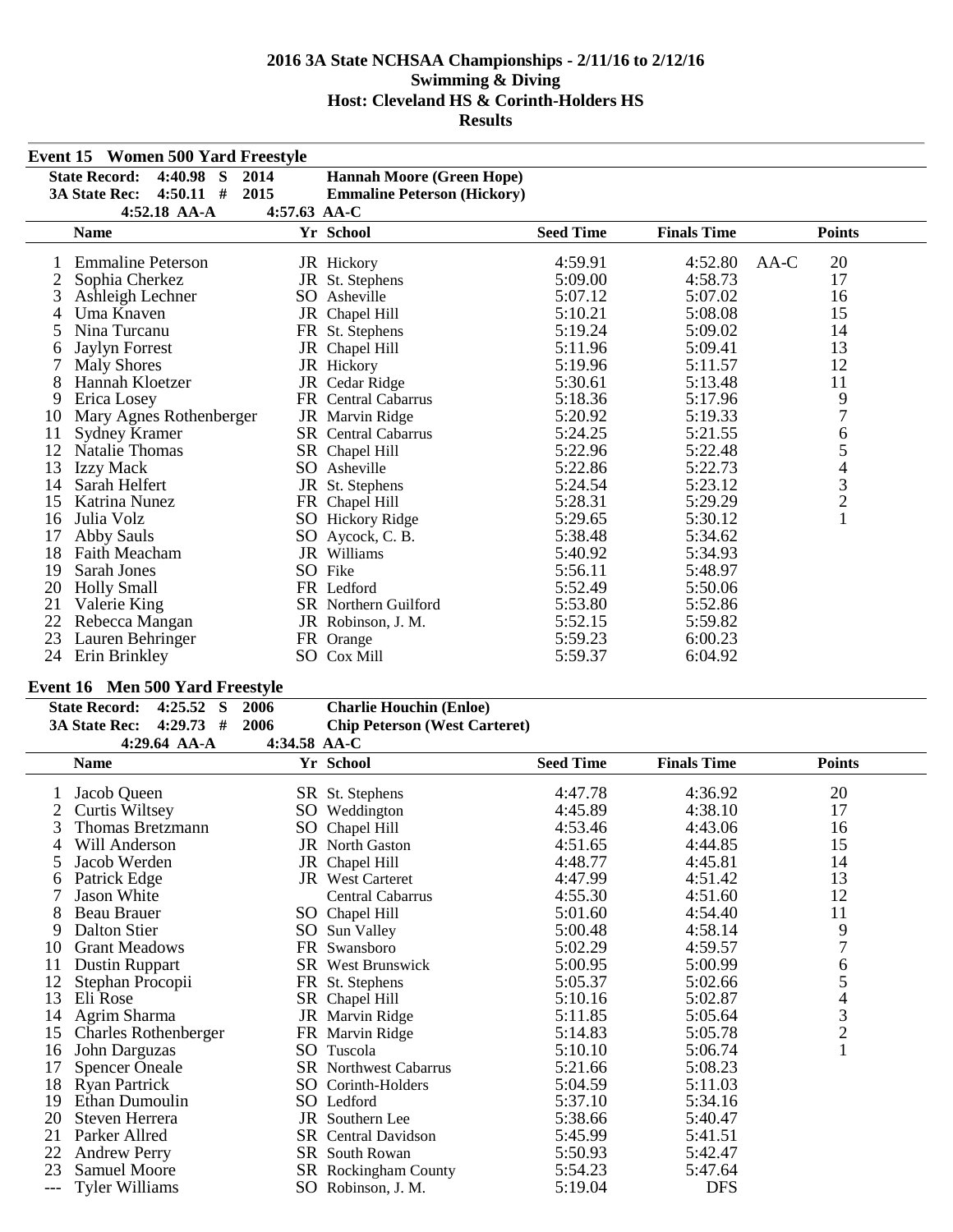|    | <b>Event 15 Women 500 Yard Freestyle</b>     |              |                                    |                  |                    |                          |
|----|----------------------------------------------|--------------|------------------------------------|------------------|--------------------|--------------------------|
|    | $4:40.98$ S<br>2014<br><b>State Record:</b>  |              | <b>Hannah Moore (Green Hope)</b>   |                  |                    |                          |
|    | #<br>2015<br><b>3A State Rec:</b><br>4:50.11 |              | <b>Emmaline Peterson (Hickory)</b> |                  |                    |                          |
|    | 4:52.18 AA-A                                 | 4:57.63 AA-C |                                    |                  |                    |                          |
|    | <b>Name</b>                                  |              | Yr School                          | <b>Seed Time</b> | <b>Finals Time</b> | <b>Points</b>            |
|    | <b>Emmaline Peterson</b>                     |              | JR Hickory                         | 4:59.91          | 4:52.80            | 20<br>AA-C               |
|    | Sophia Cherkez                               |              | JR St. Stephens                    | 5:09.00          | 4:58.73            | 17                       |
| 3  | Ashleigh Lechner                             |              | SO Asheville                       | 5:07.12          | 5:07.02            | 16                       |
| 4  | Uma Knaven                                   | JR           | Chapel Hill                        | 5:10.21          | 5:08.08            | 15                       |
| 5  | Nina Turcanu                                 |              | FR St. Stephens                    | 5:19.24          | 5:09.02            | 14                       |
| 6  | <b>Jaylyn Forrest</b>                        | JR           | Chapel Hill                        | 5:11.96          | 5:09.41            | 13                       |
|    | <b>Maly Shores</b>                           |              | JR Hickory                         | 5:19.96          | 5:11.57            | 12                       |
| 8  | Hannah Kloetzer                              |              | JR Cedar Ridge                     | 5:30.61          | 5:13.48            | 11                       |
| 9  | Erica Losey                                  |              | FR Central Cabarrus                | 5:18.36          | 5:17.96            | $\frac{9}{7}$            |
| 10 | Mary Agnes Rothenberger                      |              | <b>JR</b> Marvin Ridge             | 5:20.92          | 5:19.33            |                          |
| 11 | <b>Sydney Kramer</b>                         |              | <b>SR</b> Central Cabarrus         | 5:24.25          | 5:21.55            | $\sqrt{6}$               |
| 12 | <b>Natalie Thomas</b>                        |              | SR Chapel Hill                     | 5:22.96          | 5:22.48            | 5                        |
| 13 | <b>Izzy Mack</b>                             |              | SO Asheville                       | 5:22.86          | 5:22.73            | $\overline{\mathcal{A}}$ |
| 14 | Sarah Helfert                                |              | JR St. Stephens                    | 5:24.54          | 5:23.12            | $\frac{3}{2}$            |
| 15 | Katrina Nunez                                |              | FR Chapel Hill                     | 5:28.31          | 5:29.29            |                          |
| 16 | Julia Volz                                   |              | <b>SO</b> Hickory Ridge            | 5:29.65          | 5:30.12            | $\mathbf{1}$             |
| 17 | Abby Sauls                                   |              | SO Aycock, C. B.                   | 5:38.48          | 5:34.62            |                          |
| 18 | <b>Faith Meacham</b>                         |              | <b>JR</b> Williams                 | 5:40.92          | 5:34.93            |                          |
| 19 | Sarah Jones                                  |              | SO Fike                            | 5:56.11          | 5:48.97            |                          |
| 20 | <b>Holly Small</b>                           |              | FR Ledford                         | 5:52.49          | 5:50.06            |                          |
| 21 | Valerie King                                 |              | <b>SR</b> Northern Guilford        | 5:53.80          | 5:52.86            |                          |
| 22 | Rebecca Mangan                               |              | JR Robinson, J. M.                 | 5:52.15          | 5:59.82            |                          |
| 23 | Lauren Behringer                             |              | FR Orange                          | 5:59.23          | 6:00.23            |                          |
| 24 | Erin Brinkley                                |              | SO Cox Mill                        | 5:59.37          | 6:04.92            |                          |

## **Event 16 Men 500 Yard Freestyle**

| State Record: 4:25.52 S 2006   |                |                | <b>Charlie Houchin (Enloe)</b>       |
|--------------------------------|----------------|----------------|--------------------------------------|
| 3A State Rec: $4:29.73$ # 2006 |                |                | <b>Chip Peterson (West Carteret)</b> |
|                                | 4:29.64 $AA-A$ | 4:34.58 $AA-C$ |                                      |

| 4:29.64 AA-A                |                                                                                                                                                              |                  |                                                                                                                                                                                                                                                                                                                                                                                                                                                                                                     |                                                 |                                             |                                                              |
|-----------------------------|--------------------------------------------------------------------------------------------------------------------------------------------------------------|------------------|-----------------------------------------------------------------------------------------------------------------------------------------------------------------------------------------------------------------------------------------------------------------------------------------------------------------------------------------------------------------------------------------------------------------------------------------------------------------------------------------------------|-------------------------------------------------|---------------------------------------------|--------------------------------------------------------------|
| <b>Name</b>                 |                                                                                                                                                              |                  | <b>Seed Time</b>                                                                                                                                                                                                                                                                                                                                                                                                                                                                                    | <b>Finals Time</b>                              | <b>Points</b>                               |                                                              |
|                             |                                                                                                                                                              |                  |                                                                                                                                                                                                                                                                                                                                                                                                                                                                                                     |                                                 |                                             |                                                              |
|                             |                                                                                                                                                              |                  | 4:45.89                                                                                                                                                                                                                                                                                                                                                                                                                                                                                             | 4:38.10                                         | 17                                          |                                                              |
| Thomas Bretzmann            |                                                                                                                                                              |                  | 4:53.46                                                                                                                                                                                                                                                                                                                                                                                                                                                                                             | 4:43.06                                         | 16                                          |                                                              |
| Will Anderson               |                                                                                                                                                              |                  | 4:51.65                                                                                                                                                                                                                                                                                                                                                                                                                                                                                             | 4:44.85                                         | 15                                          |                                                              |
| Jacob Werden                |                                                                                                                                                              |                  | 4:48.77                                                                                                                                                                                                                                                                                                                                                                                                                                                                                             | 4:45.81                                         | 14                                          |                                                              |
| Patrick Edge                |                                                                                                                                                              |                  | 4:47.99                                                                                                                                                                                                                                                                                                                                                                                                                                                                                             | 4:51.42                                         | 13                                          |                                                              |
| Jason White                 |                                                                                                                                                              | Central Cabarrus | 4:55.30                                                                                                                                                                                                                                                                                                                                                                                                                                                                                             | 4:51.60                                         | 12                                          |                                                              |
| Beau Brauer                 |                                                                                                                                                              |                  | 5:01.60                                                                                                                                                                                                                                                                                                                                                                                                                                                                                             | 4:54.40                                         | 11                                          |                                                              |
| Dalton Stier                |                                                                                                                                                              |                  | 5:00.48                                                                                                                                                                                                                                                                                                                                                                                                                                                                                             | 4:58.14                                         | 9                                           |                                                              |
| <b>Grant Meadows</b>        |                                                                                                                                                              |                  | 5:02.29                                                                                                                                                                                                                                                                                                                                                                                                                                                                                             | 4:59.57                                         |                                             |                                                              |
|                             |                                                                                                                                                              |                  | 5:00.95                                                                                                                                                                                                                                                                                                                                                                                                                                                                                             | 5:00.99                                         | 6                                           |                                                              |
| Stephan Procopii            |                                                                                                                                                              |                  | 5:05.37                                                                                                                                                                                                                                                                                                                                                                                                                                                                                             | 5:02.66                                         |                                             |                                                              |
| Eli Rose                    |                                                                                                                                                              |                  | 5:10.16                                                                                                                                                                                                                                                                                                                                                                                                                                                                                             | 5:02.87                                         |                                             |                                                              |
| Agrim Sharma                |                                                                                                                                                              |                  | 5:11.85                                                                                                                                                                                                                                                                                                                                                                                                                                                                                             | 5:05.64                                         |                                             |                                                              |
| <b>Charles Rothenberger</b> |                                                                                                                                                              |                  | 5:14.83                                                                                                                                                                                                                                                                                                                                                                                                                                                                                             | 5:05.78                                         |                                             |                                                              |
|                             |                                                                                                                                                              |                  | 5:10.10                                                                                                                                                                                                                                                                                                                                                                                                                                                                                             | 5:06.74                                         |                                             |                                                              |
|                             |                                                                                                                                                              |                  | 5:21.66                                                                                                                                                                                                                                                                                                                                                                                                                                                                                             | 5:08.23                                         |                                             |                                                              |
| <b>Ryan Partrick</b>        |                                                                                                                                                              |                  | 5:04.59                                                                                                                                                                                                                                                                                                                                                                                                                                                                                             | 5:11.03                                         |                                             |                                                              |
|                             |                                                                                                                                                              |                  | 5:37.10                                                                                                                                                                                                                                                                                                                                                                                                                                                                                             |                                                 |                                             |                                                              |
| Steven Herrera              |                                                                                                                                                              |                  | 5:38.66                                                                                                                                                                                                                                                                                                                                                                                                                                                                                             | 5:40.47                                         |                                             |                                                              |
|                             |                                                                                                                                                              |                  |                                                                                                                                                                                                                                                                                                                                                                                                                                                                                                     |                                                 |                                             |                                                              |
| <b>Andrew Perry</b>         |                                                                                                                                                              |                  | 5:50.93                                                                                                                                                                                                                                                                                                                                                                                                                                                                                             | 5:42.47                                         |                                             |                                                              |
| <b>Samuel Moore</b>         |                                                                                                                                                              |                  | 5:54.23                                                                                                                                                                                                                                                                                                                                                                                                                                                                                             | 5:47.64                                         |                                             |                                                              |
|                             |                                                                                                                                                              |                  |                                                                                                                                                                                                                                                                                                                                                                                                                                                                                                     |                                                 |                                             |                                                              |
|                             | Jacob Queen<br>Curtis Wiltsey<br><b>Dustin Ruppart</b><br>John Darguzas<br><b>Spencer Oneale</b><br>Ethan Dumoulin<br>Parker Allred<br><b>Tyler Williams</b> |                  | Yr School<br>SR St. Stephens<br>SO Weddington<br>SO Chapel Hill<br><b>JR</b> North Gaston<br>JR Chapel Hill<br><b>JR</b> West Carteret<br>SO Chapel Hill<br>SO Sun Valley<br>FR Swansboro<br><b>SR</b> West Brunswick<br>FR St. Stephens<br>SR Chapel Hill<br>JR Marvin Ridge<br>FR Marvin Ridge<br>SO Tuscola<br><b>SR</b> Northwest Cabarrus<br>SO Corinth-Holders<br>SO Ledford<br>JR Southern Lee<br>SR Central Davidson<br><b>SR</b> South Rowan<br>SR Rockingham County<br>SO Robinson, J. M. | 4:34.58 $AA-C$<br>4:47.78<br>5:45.99<br>5:19.04 | 4:36.92<br>5:34.16<br>5:41.51<br><b>DFS</b> | 20<br>$\overline{7}$<br>5<br>$\overline{4}$<br>$\frac{3}{2}$ |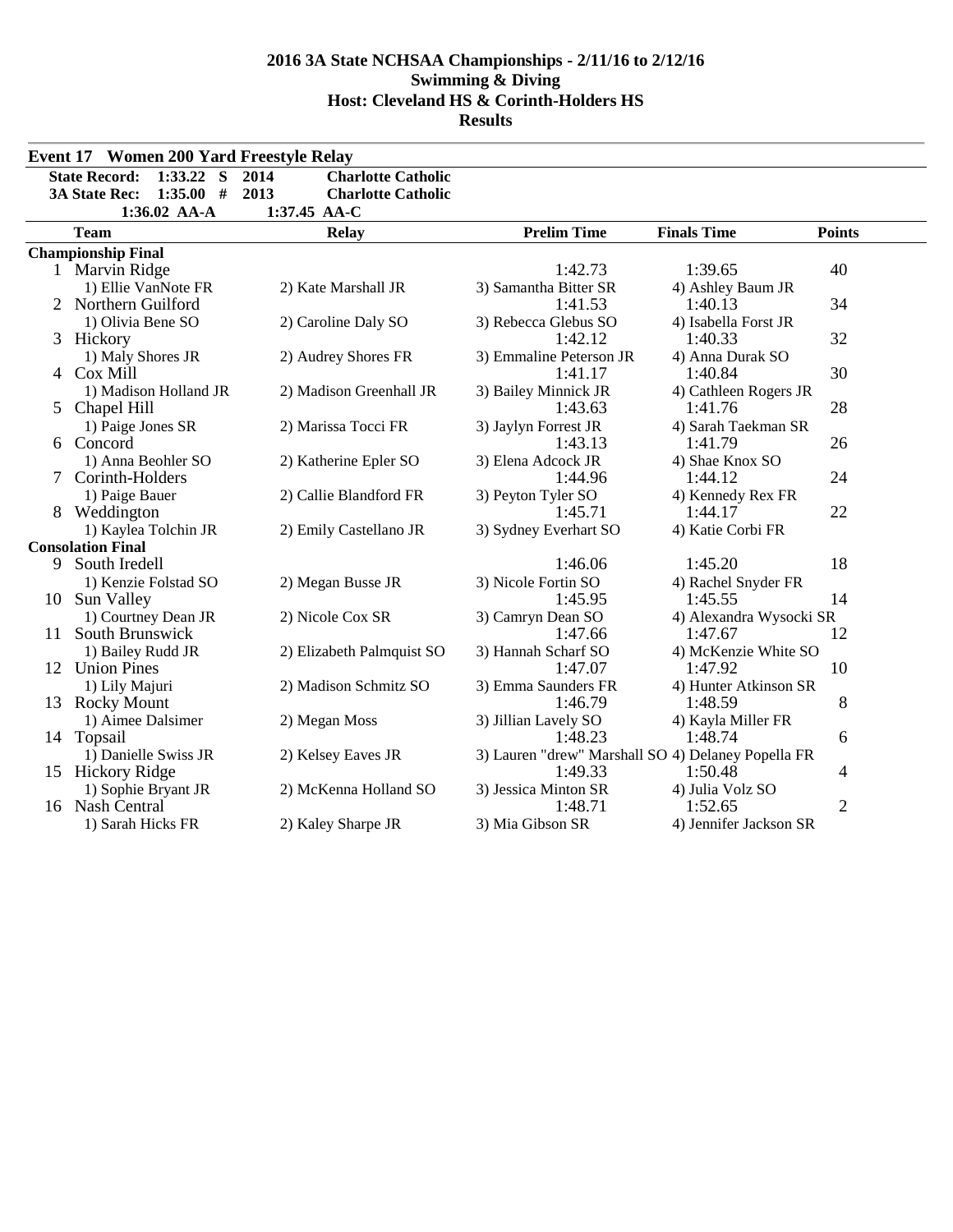|        | <b>Event 17 Women 200 Yard Freestyle Relay</b>                          |                                                                        |                                    |                                                               |                |
|--------|-------------------------------------------------------------------------|------------------------------------------------------------------------|------------------------------------|---------------------------------------------------------------|----------------|
|        | <b>State Record:</b><br>$1:33.22$ S<br>1:35.00#<br><b>3A State Rec:</b> | 2014<br><b>Charlotte Catholic</b><br>2013<br><b>Charlotte Catholic</b> |                                    |                                                               |                |
|        | 1:36.02 AA-A<br><b>Team</b>                                             | 1:37.45 AA-C<br><b>Relay</b>                                           | <b>Prelim Time</b>                 | <b>Finals Time</b>                                            | <b>Points</b>  |
|        | <b>Championship Final</b>                                               |                                                                        |                                    |                                                               |                |
|        | 1 Marvin Ridge<br>1) Ellie VanNote FR                                   | 2) Kate Marshall JR                                                    | 1:42.73<br>3) Samantha Bitter SR   | 1:39.65<br>4) Ashley Baum JR                                  | 40             |
|        | 2 Northern Guilford<br>1) Olivia Bene SO                                | 2) Caroline Daly SO                                                    | 1:41.53<br>3) Rebecca Glebus SO    | 1:40.13<br>4) Isabella Forst JR                               | 34             |
|        | 3 Hickory                                                               |                                                                        | 1:42.12                            | 1:40.33                                                       | 32             |
|        | 1) Maly Shores JR<br>4 Cox Mill                                         | 2) Audrey Shores FR                                                    | 3) Emmaline Peterson JR<br>1:41.17 | 4) Anna Durak SO<br>1:40.84                                   | 30             |
| 5      | 1) Madison Holland JR<br>Chapel Hill                                    | 2) Madison Greenhall JR<br>2) Marissa Tocci FR                         | 3) Bailey Minnick JR<br>1:43.63    | 4) Cathleen Rogers JR<br>1:41.76<br>4) Sarah Taekman SR       | 28             |
|        | 1) Paige Jones SR<br>6 Concord                                          |                                                                        | 3) Jaylyn Forrest JR<br>1:43.13    | 1:41.79                                                       | 26             |
| $\tau$ | 1) Anna Beohler SO<br>Corinth-Holders                                   | 2) Katherine Epler SO                                                  | 3) Elena Adcock JR<br>1:44.96      | 4) Shae Knox SO<br>1:44.12                                    | 24             |
|        | 1) Paige Bauer<br>8 Weddington                                          | 2) Callie Blandford FR                                                 | 3) Peyton Tyler SO<br>1:45.71      | 4) Kennedy Rex FR<br>1:44.17                                  | 22             |
|        | 1) Kaylea Tolchin JR<br><b>Consolation Final</b>                        | 2) Emily Castellano JR                                                 | 3) Sydney Everhart SO              | 4) Katie Corbi FR                                             |                |
| 9      | South Iredell                                                           |                                                                        | 1:46.06                            | 1:45.20                                                       | 18             |
| 10     | 1) Kenzie Folstad SO<br>Sun Valley                                      | 2) Megan Busse JR                                                      | 3) Nicole Fortin SO<br>1:45.95     | 4) Rachel Snyder FR<br>1:45.55                                | 14             |
| 11     | 1) Courtney Dean JR<br>South Brunswick                                  | 2) Nicole Cox SR                                                       | 3) Camryn Dean SO<br>1:47.66       | 4) Alexandra Wysocki SR<br>1:47.67                            | 12             |
|        | 1) Bailey Rudd JR<br>12 Union Pines                                     | 2) Elizabeth Palmquist SO                                              | 3) Hannah Scharf SO<br>1:47.07     | 4) McKenzie White SO<br>1:47.92                               | 10             |
|        | 1) Lily Majuri<br>13 Rocky Mount                                        | 2) Madison Schmitz SO                                                  | 3) Emma Saunders FR<br>1:46.79     | 4) Hunter Atkinson SR<br>1:48.59                              | 8              |
|        | 1) Aimee Dalsimer<br>14 Topsail                                         | 2) Megan Moss                                                          | 3) Jillian Lavely SO<br>1:48.23    | 4) Kayla Miller FR<br>1:48.74                                 | 6              |
|        | 1) Danielle Swiss JR<br>15 Hickory Ridge                                | 2) Kelsey Eaves JR                                                     | 1:49.33                            | 3) Lauren "drew" Marshall SO 4) Delaney Popella FR<br>1:50.48 | 4              |
|        | 1) Sophie Bryant JR<br>16 Nash Central                                  | 2) McKenna Holland SO                                                  | 3) Jessica Minton SR<br>1:48.71    | 4) Julia Volz SO<br>1:52.65                                   | $\overline{2}$ |
|        | 1) Sarah Hicks FR                                                       | 2) Kaley Sharpe JR                                                     | 3) Mia Gibson SR                   | 4) Jennifer Jackson SR                                        |                |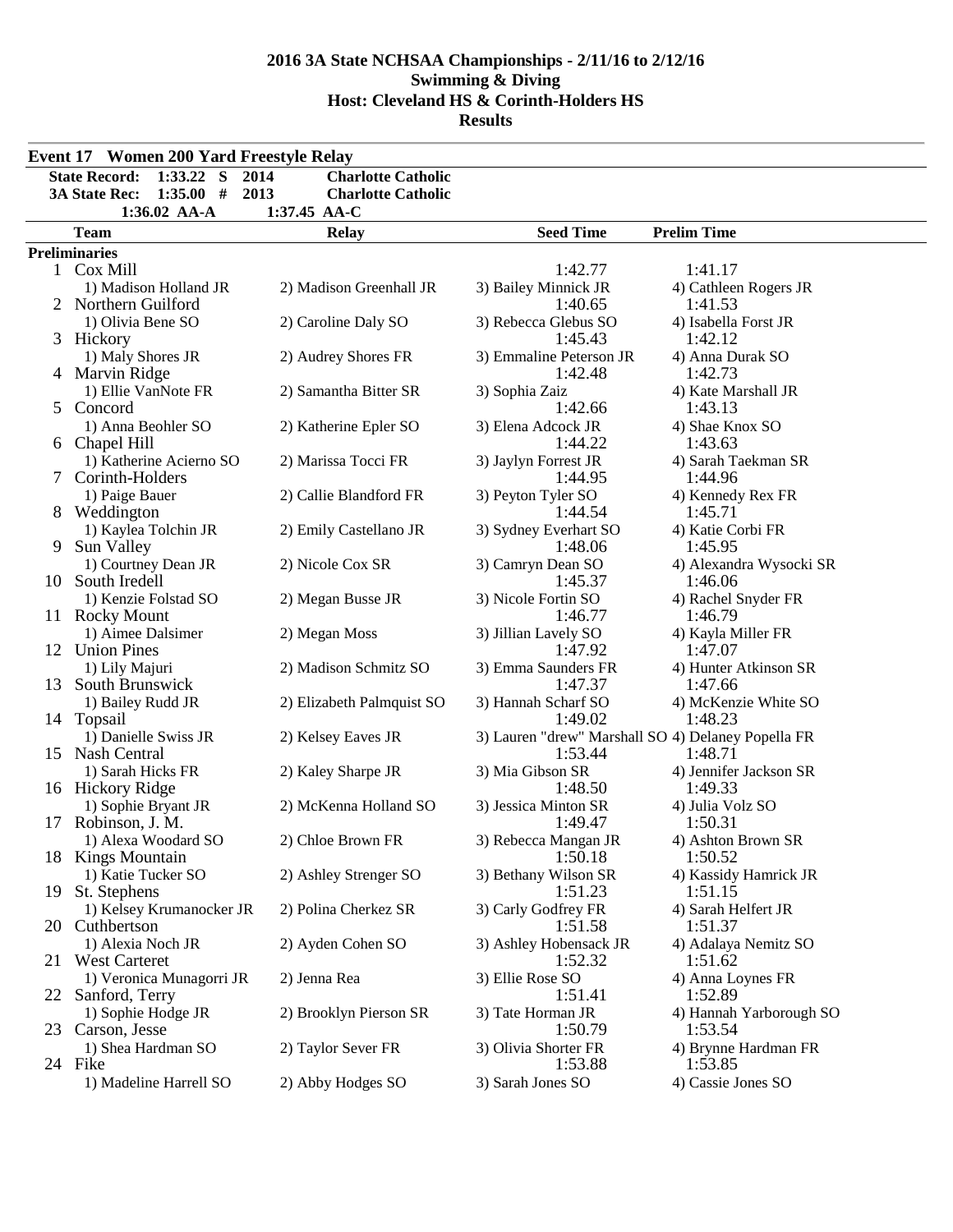|    | <b>Event 17 Women 200 Yard Freestyle Relay</b> |                                   |                                                    |                                   |
|----|------------------------------------------------|-----------------------------------|----------------------------------------------------|-----------------------------------|
|    | <b>State Record:</b><br>$1:33.22$ S            | 2014<br><b>Charlotte Catholic</b> |                                                    |                                   |
|    | 3A State Rec:<br>1:35.00#                      | 2013<br><b>Charlotte Catholic</b> |                                                    |                                   |
|    | 1:36.02 AA-A                                   | 1:37.45 AA-C                      |                                                    |                                   |
|    | <b>Team</b>                                    | <b>Relay</b>                      | <b>Seed Time</b>                                   | <b>Prelim Time</b>                |
|    | <b>Preliminaries</b>                           |                                   |                                                    |                                   |
|    | 1 Cox Mill                                     |                                   | 1:42.77                                            | 1:41.17                           |
|    | 1) Madison Holland JR                          | 2) Madison Greenhall JR           | 3) Bailey Minnick JR                               | 4) Cathleen Rogers JR             |
|    | 2 Northern Guilford                            |                                   | 1:40.65                                            | 1:41.53                           |
|    | 1) Olivia Bene SO                              | 2) Caroline Daly SO               | 3) Rebecca Glebus SO                               | 4) Isabella Forst JR              |
|    | 3 Hickory                                      |                                   | 1:45.43                                            | 1:42.12                           |
|    | 1) Maly Shores JR                              | 2) Audrey Shores FR               | 3) Emmaline Peterson JR                            | 4) Anna Durak SO                  |
|    | 4 Marvin Ridge                                 |                                   | 1:42.48                                            | 1:42.73                           |
|    | 1) Ellie VanNote FR                            | 2) Samantha Bitter SR             | 3) Sophia Zaiz                                     | 4) Kate Marshall JR               |
|    | 5 Concord                                      |                                   | 1:42.66                                            | 1:43.13                           |
|    | 1) Anna Beohler SO                             | 2) Katherine Epler SO             | 3) Elena Adcock JR                                 | 4) Shae Knox SO                   |
|    | 6 Chapel Hill                                  |                                   | 1:44.22                                            | 1:43.63                           |
|    | 1) Katherine Acierno SO<br>7 Corinth-Holders   | 2) Marissa Tocci FR               | 3) Jaylyn Forrest JR                               | 4) Sarah Taekman SR               |
|    | 1) Paige Bauer                                 | 2) Callie Blandford FR            | 1:44.95                                            | 1:44.96                           |
|    | 8 Weddington                                   |                                   | 3) Peyton Tyler SO<br>1:44.54                      | 4) Kennedy Rex FR<br>1:45.71      |
|    | 1) Kaylea Tolchin JR                           | 2) Emily Castellano JR            | 3) Sydney Everhart SO                              | 4) Katie Corbi FR                 |
| 9  | Sun Valley                                     |                                   | 1:48.06                                            | 1:45.95                           |
|    | 1) Courtney Dean JR                            | 2) Nicole Cox SR                  | 3) Camryn Dean SO                                  | 4) Alexandra Wysocki SR           |
| 10 | South Iredell                                  |                                   | 1:45.37                                            | 1:46.06                           |
|    | 1) Kenzie Folstad SO                           | 2) Megan Busse JR                 | 3) Nicole Fortin SO                                | 4) Rachel Snyder FR               |
|    | 11 Rocky Mount                                 |                                   | 1:46.77                                            | 1:46.79                           |
|    | 1) Aimee Dalsimer                              | 2) Megan Moss                     | 3) Jillian Lavely SO                               | 4) Kayla Miller FR                |
|    | 12 Union Pines                                 |                                   | 1:47.92                                            | 1:47.07                           |
|    | 1) Lily Majuri                                 | 2) Madison Schmitz SO             | 3) Emma Saunders FR                                | 4) Hunter Atkinson SR             |
|    | 13 South Brunswick                             |                                   | 1:47.37                                            | 1:47.66                           |
|    | 1) Bailey Rudd JR                              | 2) Elizabeth Palmquist SO         | 3) Hannah Scharf SO                                | 4) McKenzie White SO              |
|    | 14 Topsail                                     |                                   | 1:49.02                                            | 1:48.23                           |
|    | 1) Danielle Swiss JR                           | 2) Kelsey Eaves JR                | 3) Lauren "drew" Marshall SO 4) Delaney Popella FR |                                   |
|    | 15 Nash Central                                |                                   | 1:53.44                                            | 1:48.71                           |
|    | 1) Sarah Hicks FR                              | 2) Kaley Sharpe JR                | 3) Mia Gibson SR<br>1:48.50                        | 4) Jennifer Jackson SR<br>1:49.33 |
|    | 16 Hickory Ridge                               | 2) McKenna Holland SO             | 3) Jessica Minton SR                               | 4) Julia Volz SO                  |
|    | 1) Sophie Bryant JR<br>17 Robinson, J. M.      |                                   | 1:49.47                                            | 1:50.31                           |
|    | 1) Alexa Woodard SO                            | 2) Chloe Brown FR                 | 3) Rebecca Mangan JR                               | 4) Ashton Brown SR                |
|    | 18 Kings Mountain                              |                                   | 1:50.18                                            | 1:50.52                           |
|    | 1) Katie Tucker SO                             | 2) Ashley Strenger SO             | 3) Bethany Wilson SR                               | 4) Kassidy Hamrick JR             |
| 19 | St. Stephens                                   |                                   | 1:51.23                                            | 1:51.15                           |
|    | 1) Kelsey Krumanocker JR                       | 2) Polina Cherkez SR              | 3) Carly Godfrey FR                                | 4) Sarah Helfert JR               |
|    | 20 Cuthbertson                                 |                                   | 1:51.58                                            | 1:51.37                           |
|    | 1) Alexia Noch JR                              | 2) Ayden Cohen SO                 | 3) Ashley Hobensack JR                             | 4) Adalaya Nemitz SO              |
|    | 21 West Carteret                               |                                   | 1:52.32                                            | 1:51.62                           |
|    | 1) Veronica Munagorri JR                       | 2) Jenna Rea                      | 3) Ellie Rose SO                                   | 4) Anna Loynes FR                 |
|    | 22 Sanford, Terry                              |                                   | 1:51.41                                            | 1:52.89                           |
|    | 1) Sophie Hodge JR                             | 2) Brooklyn Pierson SR            | 3) Tate Horman JR                                  | 4) Hannah Yarborough SO           |
|    | 23 Carson, Jesse                               |                                   | 1:50.79                                            | 1:53.54                           |
|    | 1) Shea Hardman SO                             | 2) Taylor Sever FR                | 3) Olivia Shorter FR                               | 4) Brynne Hardman FR              |
|    | 24 Fike                                        |                                   | 1:53.88                                            | 1:53.85                           |
|    | 1) Madeline Harrell SO                         | 2) Abby Hodges SO                 | 3) Sarah Jones SO                                  | 4) Cassie Jones SO                |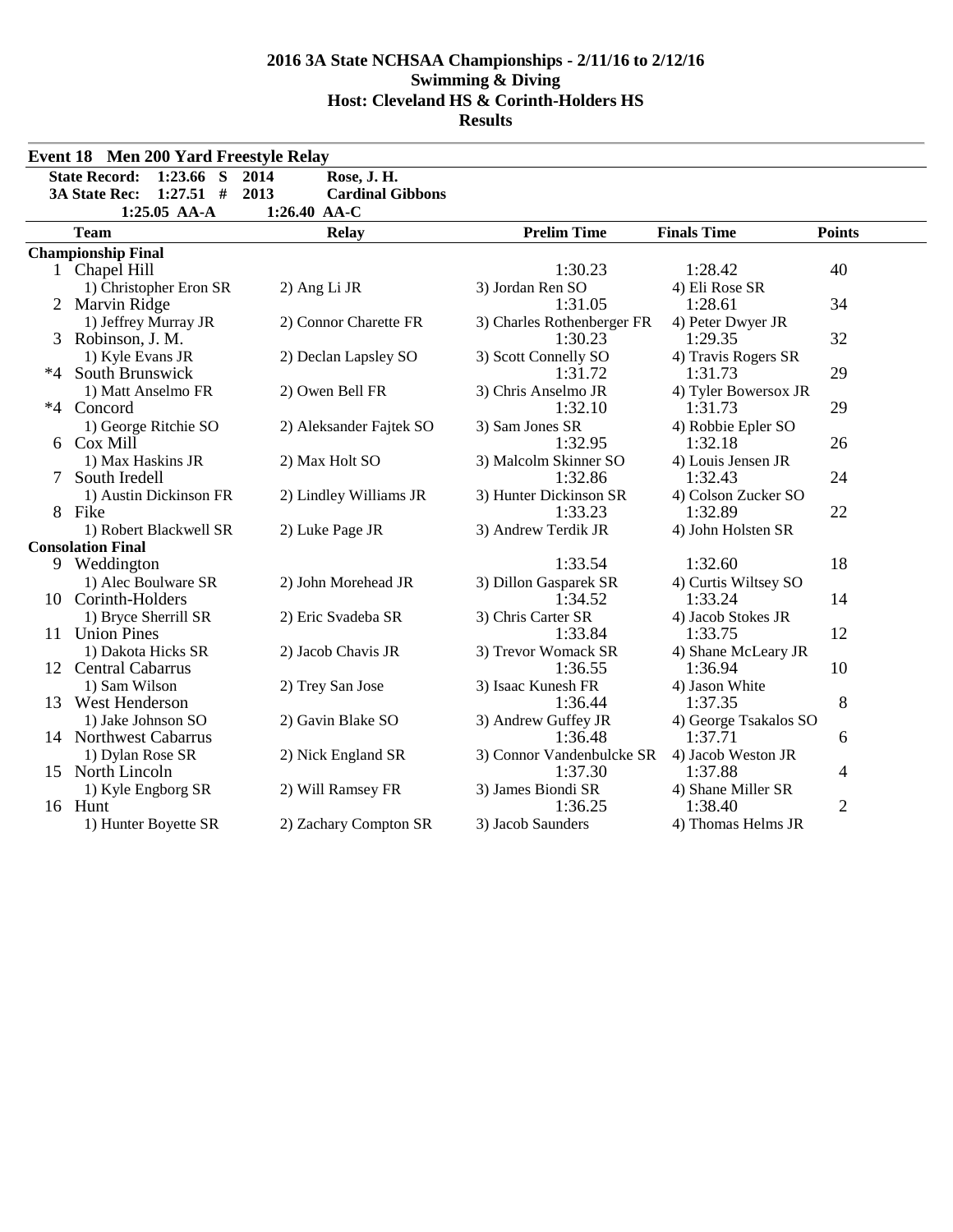| <b>State Record:</b><br>$1:23.66$ S<br>Rose, J. H.<br>2014<br><b>3A State Rec:</b><br>$1:27.51$ #<br>2013<br><b>Cardinal Gibbons</b><br>$1:25.05$ AA-A<br>1:26.40 AA-C<br><b>Prelim Time</b><br><b>Finals Time</b><br><b>Team</b><br><b>Points</b><br><b>Relay</b><br><b>Championship Final</b><br>1:30.23<br>1 Chapel Hill<br>1:28.42<br>40<br>3) Jordan Ren SO<br>4) Eli Rose SR<br>1) Christopher Eron SR<br>2) Ang Li JR<br>34<br>1:31.05<br>2 Marvin Ridge<br>1:28.61<br>2) Connor Charette FR<br>1) Jeffrey Murray JR<br>3) Charles Rothenberger FR<br>4) Peter Dwyer JR<br>32<br>Robinson, J. M.<br>1:30.23<br>1:29.35<br>3<br>3) Scott Connelly SO<br>1) Kyle Evans JR<br>2) Declan Lapsley SO<br>4) Travis Rogers SR<br>29<br>$*4$<br>South Brunswick<br>1:31.72<br>1:31.73<br>2) Owen Bell FR<br>1) Matt Anselmo FR<br>3) Chris Anselmo JR<br>4) Tyler Bowersox JR<br>1:32.10<br>29<br>*4 Concord<br>1:31.73<br>1) George Ritchie SO<br>2) Aleksander Fajtek SO<br>3) Sam Jones SR<br>4) Robbie Epler SO<br>Cox Mill<br>1:32.95<br>26<br>1:32.18<br>6<br>1) Max Haskins JR<br>2) Max Holt SO<br>3) Malcolm Skinner SO<br>4) Louis Jensen JR<br>24<br>South Iredell<br>1:32.86<br>1:32.43<br>7<br>1) Austin Dickinson FR<br>2) Lindley Williams JR<br>3) Hunter Dickinson SR<br>4) Colson Zucker SO<br>22<br>8 Fike<br>1:33.23<br>1:32.89<br>1) Robert Blackwell SR<br>3) Andrew Terdik JR<br>4) John Holsten SR<br>2) Luke Page JR<br><b>Consolation Final</b><br>18<br>1:33.54<br>1:32.60<br>9 Weddington<br>3) Dillon Gasparek SR<br>1) Alec Boulware SR<br>2) John Morehead JR<br>4) Curtis Wiltsey SO<br>14<br>10 Corinth-Holders<br>1:34.52<br>1:33.24<br>1) Bryce Sherrill SR<br>2) Eric Svadeba SR<br>3) Chris Carter SR<br>4) Jacob Stokes JR<br>12<br><b>Union Pines</b><br>1:33.84<br>11<br>1:33.75<br>3) Trevor Womack SR<br>1) Dakota Hicks SR<br>2) Jacob Chavis JR<br>4) Shane McLeary JR | <b>Event 18 Men 200 Yard Freestyle Relay</b> |  |  |
|-------------------------------------------------------------------------------------------------------------------------------------------------------------------------------------------------------------------------------------------------------------------------------------------------------------------------------------------------------------------------------------------------------------------------------------------------------------------------------------------------------------------------------------------------------------------------------------------------------------------------------------------------------------------------------------------------------------------------------------------------------------------------------------------------------------------------------------------------------------------------------------------------------------------------------------------------------------------------------------------------------------------------------------------------------------------------------------------------------------------------------------------------------------------------------------------------------------------------------------------------------------------------------------------------------------------------------------------------------------------------------------------------------------------------------------------------------------------------------------------------------------------------------------------------------------------------------------------------------------------------------------------------------------------------------------------------------------------------------------------------------------------------------------------------------------------------------------------------------------------------------------------------------------------|----------------------------------------------|--|--|
|                                                                                                                                                                                                                                                                                                                                                                                                                                                                                                                                                                                                                                                                                                                                                                                                                                                                                                                                                                                                                                                                                                                                                                                                                                                                                                                                                                                                                                                                                                                                                                                                                                                                                                                                                                                                                                                                                                                   |                                              |  |  |
|                                                                                                                                                                                                                                                                                                                                                                                                                                                                                                                                                                                                                                                                                                                                                                                                                                                                                                                                                                                                                                                                                                                                                                                                                                                                                                                                                                                                                                                                                                                                                                                                                                                                                                                                                                                                                                                                                                                   |                                              |  |  |
|                                                                                                                                                                                                                                                                                                                                                                                                                                                                                                                                                                                                                                                                                                                                                                                                                                                                                                                                                                                                                                                                                                                                                                                                                                                                                                                                                                                                                                                                                                                                                                                                                                                                                                                                                                                                                                                                                                                   |                                              |  |  |
|                                                                                                                                                                                                                                                                                                                                                                                                                                                                                                                                                                                                                                                                                                                                                                                                                                                                                                                                                                                                                                                                                                                                                                                                                                                                                                                                                                                                                                                                                                                                                                                                                                                                                                                                                                                                                                                                                                                   |                                              |  |  |
|                                                                                                                                                                                                                                                                                                                                                                                                                                                                                                                                                                                                                                                                                                                                                                                                                                                                                                                                                                                                                                                                                                                                                                                                                                                                                                                                                                                                                                                                                                                                                                                                                                                                                                                                                                                                                                                                                                                   |                                              |  |  |
|                                                                                                                                                                                                                                                                                                                                                                                                                                                                                                                                                                                                                                                                                                                                                                                                                                                                                                                                                                                                                                                                                                                                                                                                                                                                                                                                                                                                                                                                                                                                                                                                                                                                                                                                                                                                                                                                                                                   |                                              |  |  |
|                                                                                                                                                                                                                                                                                                                                                                                                                                                                                                                                                                                                                                                                                                                                                                                                                                                                                                                                                                                                                                                                                                                                                                                                                                                                                                                                                                                                                                                                                                                                                                                                                                                                                                                                                                                                                                                                                                                   |                                              |  |  |
|                                                                                                                                                                                                                                                                                                                                                                                                                                                                                                                                                                                                                                                                                                                                                                                                                                                                                                                                                                                                                                                                                                                                                                                                                                                                                                                                                                                                                                                                                                                                                                                                                                                                                                                                                                                                                                                                                                                   |                                              |  |  |
|                                                                                                                                                                                                                                                                                                                                                                                                                                                                                                                                                                                                                                                                                                                                                                                                                                                                                                                                                                                                                                                                                                                                                                                                                                                                                                                                                                                                                                                                                                                                                                                                                                                                                                                                                                                                                                                                                                                   |                                              |  |  |
|                                                                                                                                                                                                                                                                                                                                                                                                                                                                                                                                                                                                                                                                                                                                                                                                                                                                                                                                                                                                                                                                                                                                                                                                                                                                                                                                                                                                                                                                                                                                                                                                                                                                                                                                                                                                                                                                                                                   |                                              |  |  |
|                                                                                                                                                                                                                                                                                                                                                                                                                                                                                                                                                                                                                                                                                                                                                                                                                                                                                                                                                                                                                                                                                                                                                                                                                                                                                                                                                                                                                                                                                                                                                                                                                                                                                                                                                                                                                                                                                                                   |                                              |  |  |
|                                                                                                                                                                                                                                                                                                                                                                                                                                                                                                                                                                                                                                                                                                                                                                                                                                                                                                                                                                                                                                                                                                                                                                                                                                                                                                                                                                                                                                                                                                                                                                                                                                                                                                                                                                                                                                                                                                                   |                                              |  |  |
|                                                                                                                                                                                                                                                                                                                                                                                                                                                                                                                                                                                                                                                                                                                                                                                                                                                                                                                                                                                                                                                                                                                                                                                                                                                                                                                                                                                                                                                                                                                                                                                                                                                                                                                                                                                                                                                                                                                   |                                              |  |  |
|                                                                                                                                                                                                                                                                                                                                                                                                                                                                                                                                                                                                                                                                                                                                                                                                                                                                                                                                                                                                                                                                                                                                                                                                                                                                                                                                                                                                                                                                                                                                                                                                                                                                                                                                                                                                                                                                                                                   |                                              |  |  |
|                                                                                                                                                                                                                                                                                                                                                                                                                                                                                                                                                                                                                                                                                                                                                                                                                                                                                                                                                                                                                                                                                                                                                                                                                                                                                                                                                                                                                                                                                                                                                                                                                                                                                                                                                                                                                                                                                                                   |                                              |  |  |
|                                                                                                                                                                                                                                                                                                                                                                                                                                                                                                                                                                                                                                                                                                                                                                                                                                                                                                                                                                                                                                                                                                                                                                                                                                                                                                                                                                                                                                                                                                                                                                                                                                                                                                                                                                                                                                                                                                                   |                                              |  |  |
|                                                                                                                                                                                                                                                                                                                                                                                                                                                                                                                                                                                                                                                                                                                                                                                                                                                                                                                                                                                                                                                                                                                                                                                                                                                                                                                                                                                                                                                                                                                                                                                                                                                                                                                                                                                                                                                                                                                   |                                              |  |  |
|                                                                                                                                                                                                                                                                                                                                                                                                                                                                                                                                                                                                                                                                                                                                                                                                                                                                                                                                                                                                                                                                                                                                                                                                                                                                                                                                                                                                                                                                                                                                                                                                                                                                                                                                                                                                                                                                                                                   |                                              |  |  |
|                                                                                                                                                                                                                                                                                                                                                                                                                                                                                                                                                                                                                                                                                                                                                                                                                                                                                                                                                                                                                                                                                                                                                                                                                                                                                                                                                                                                                                                                                                                                                                                                                                                                                                                                                                                                                                                                                                                   |                                              |  |  |
|                                                                                                                                                                                                                                                                                                                                                                                                                                                                                                                                                                                                                                                                                                                                                                                                                                                                                                                                                                                                                                                                                                                                                                                                                                                                                                                                                                                                                                                                                                                                                                                                                                                                                                                                                                                                                                                                                                                   |                                              |  |  |
|                                                                                                                                                                                                                                                                                                                                                                                                                                                                                                                                                                                                                                                                                                                                                                                                                                                                                                                                                                                                                                                                                                                                                                                                                                                                                                                                                                                                                                                                                                                                                                                                                                                                                                                                                                                                                                                                                                                   |                                              |  |  |
|                                                                                                                                                                                                                                                                                                                                                                                                                                                                                                                                                                                                                                                                                                                                                                                                                                                                                                                                                                                                                                                                                                                                                                                                                                                                                                                                                                                                                                                                                                                                                                                                                                                                                                                                                                                                                                                                                                                   |                                              |  |  |
|                                                                                                                                                                                                                                                                                                                                                                                                                                                                                                                                                                                                                                                                                                                                                                                                                                                                                                                                                                                                                                                                                                                                                                                                                                                                                                                                                                                                                                                                                                                                                                                                                                                                                                                                                                                                                                                                                                                   |                                              |  |  |
|                                                                                                                                                                                                                                                                                                                                                                                                                                                                                                                                                                                                                                                                                                                                                                                                                                                                                                                                                                                                                                                                                                                                                                                                                                                                                                                                                                                                                                                                                                                                                                                                                                                                                                                                                                                                                                                                                                                   |                                              |  |  |
|                                                                                                                                                                                                                                                                                                                                                                                                                                                                                                                                                                                                                                                                                                                                                                                                                                                                                                                                                                                                                                                                                                                                                                                                                                                                                                                                                                                                                                                                                                                                                                                                                                                                                                                                                                                                                                                                                                                   |                                              |  |  |
|                                                                                                                                                                                                                                                                                                                                                                                                                                                                                                                                                                                                                                                                                                                                                                                                                                                                                                                                                                                                                                                                                                                                                                                                                                                                                                                                                                                                                                                                                                                                                                                                                                                                                                                                                                                                                                                                                                                   |                                              |  |  |
| 12 Central Cabarrus<br>1:36.55<br>1:36.94<br>10                                                                                                                                                                                                                                                                                                                                                                                                                                                                                                                                                                                                                                                                                                                                                                                                                                                                                                                                                                                                                                                                                                                                                                                                                                                                                                                                                                                                                                                                                                                                                                                                                                                                                                                                                                                                                                                                   |                                              |  |  |
| 1) Sam Wilson<br>2) Trey San Jose<br>3) Isaac Kunesh FR<br>4) Jason White                                                                                                                                                                                                                                                                                                                                                                                                                                                                                                                                                                                                                                                                                                                                                                                                                                                                                                                                                                                                                                                                                                                                                                                                                                                                                                                                                                                                                                                                                                                                                                                                                                                                                                                                                                                                                                         |                                              |  |  |
| 8<br>13 West Henderson<br>1:36.44<br>1:37.35                                                                                                                                                                                                                                                                                                                                                                                                                                                                                                                                                                                                                                                                                                                                                                                                                                                                                                                                                                                                                                                                                                                                                                                                                                                                                                                                                                                                                                                                                                                                                                                                                                                                                                                                                                                                                                                                      |                                              |  |  |
| 1) Jake Johnson SO<br>2) Gavin Blake SO<br>3) Andrew Guffey JR<br>4) George Tsakalos SO<br>1:36.48<br>1:37.71                                                                                                                                                                                                                                                                                                                                                                                                                                                                                                                                                                                                                                                                                                                                                                                                                                                                                                                                                                                                                                                                                                                                                                                                                                                                                                                                                                                                                                                                                                                                                                                                                                                                                                                                                                                                     |                                              |  |  |
| 14 Northwest Cabarrus<br>6<br>3) Connor Vandenbulcke SR<br>4) Jacob Weston JR                                                                                                                                                                                                                                                                                                                                                                                                                                                                                                                                                                                                                                                                                                                                                                                                                                                                                                                                                                                                                                                                                                                                                                                                                                                                                                                                                                                                                                                                                                                                                                                                                                                                                                                                                                                                                                     |                                              |  |  |
| 1) Dylan Rose SR<br>2) Nick England SR<br>15 North Lincoln<br>1:37.30<br>1:37.88<br>4                                                                                                                                                                                                                                                                                                                                                                                                                                                                                                                                                                                                                                                                                                                                                                                                                                                                                                                                                                                                                                                                                                                                                                                                                                                                                                                                                                                                                                                                                                                                                                                                                                                                                                                                                                                                                             |                                              |  |  |
| 3) James Biondi SR<br>4) Shane Miller SR<br>1) Kyle Engborg SR<br>2) Will Ramsey FR                                                                                                                                                                                                                                                                                                                                                                                                                                                                                                                                                                                                                                                                                                                                                                                                                                                                                                                                                                                                                                                                                                                                                                                                                                                                                                                                                                                                                                                                                                                                                                                                                                                                                                                                                                                                                               |                                              |  |  |
| $\overline{2}$<br>16 Hunt<br>1:36.25<br>1:38.40                                                                                                                                                                                                                                                                                                                                                                                                                                                                                                                                                                                                                                                                                                                                                                                                                                                                                                                                                                                                                                                                                                                                                                                                                                                                                                                                                                                                                                                                                                                                                                                                                                                                                                                                                                                                                                                                   |                                              |  |  |
| 1) Hunter Boyette SR<br>2) Zachary Compton SR<br>3) Jacob Saunders<br>4) Thomas Helms JR                                                                                                                                                                                                                                                                                                                                                                                                                                                                                                                                                                                                                                                                                                                                                                                                                                                                                                                                                                                                                                                                                                                                                                                                                                                                                                                                                                                                                                                                                                                                                                                                                                                                                                                                                                                                                          |                                              |  |  |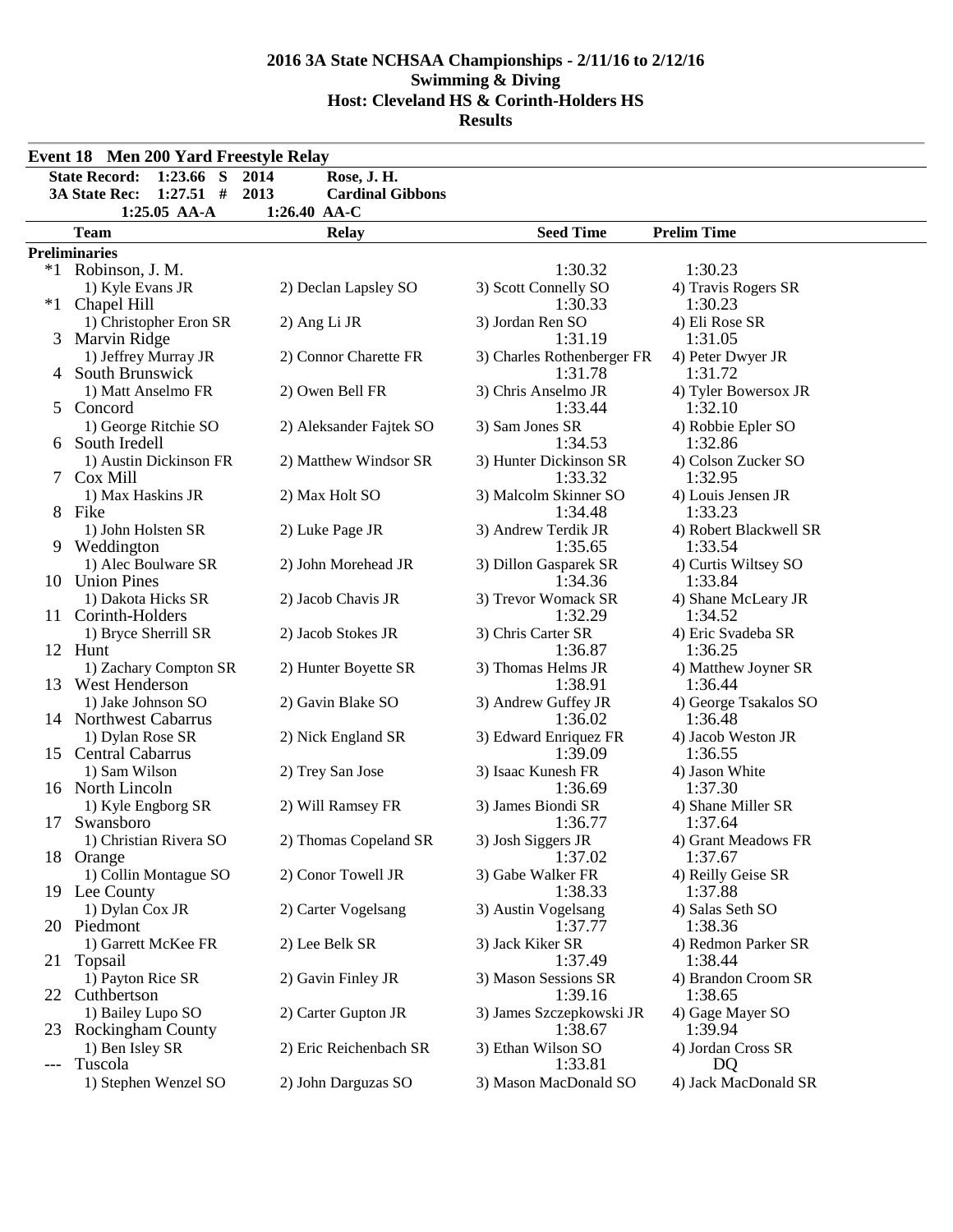|       | <b>Event 18 Men 200 Yard Freestyle Relay</b> |                                 |                               |                                |
|-------|----------------------------------------------|---------------------------------|-------------------------------|--------------------------------|
|       | <b>State Record:</b><br>$1:23.66$ S          | 2014<br>Rose, J. H.             |                               |                                |
|       | <b>3A State Rec:</b><br>$1:27.51$ #          | 2013<br><b>Cardinal Gibbons</b> |                               |                                |
|       | 1:25.05 AA-A                                 | 1:26.40 AA-C                    |                               |                                |
|       | <b>Team</b>                                  | <b>Relay</b>                    | <b>Seed Time</b>              | <b>Prelim Time</b>             |
|       | <b>Preliminaries</b>                         |                                 |                               |                                |
|       | *1 Robinson, J. M.                           |                                 | 1:30.32                       | 1:30.23                        |
|       | 1) Kyle Evans JR                             | 2) Declan Lapsley SO            | 3) Scott Connelly SO          | 4) Travis Rogers SR            |
| $*1$  | Chapel Hill                                  |                                 | 1:30.33                       | 1:30.23                        |
|       | 1) Christopher Eron SR                       | 2) Ang Li JR                    | 3) Jordan Ren SO              | 4) Eli Rose SR                 |
| 3     | Marvin Ridge                                 |                                 | 1:31.19                       | 1:31.05                        |
|       | 1) Jeffrey Murray JR                         | 2) Connor Charette FR           | 3) Charles Rothenberger FR    | 4) Peter Dwyer JR              |
|       | 4 South Brunswick                            |                                 | 1:31.78                       | 1:31.72                        |
|       | 1) Matt Anselmo FR                           | 2) Owen Bell FR                 | 3) Chris Anselmo JR           | 4) Tyler Bowersox JR           |
| 5     | Concord                                      |                                 | 1:33.44                       | 1:32.10                        |
|       | 1) George Ritchie SO                         | 2) Aleksander Fajtek SO         | 3) Sam Jones SR<br>1:34.53    | 4) Robbie Epler SO             |
| 6     | South Iredell<br>1) Austin Dickinson FR      |                                 | 3) Hunter Dickinson SR        | 1:32.86                        |
|       | Cox Mill                                     | 2) Matthew Windsor SR           | 1:33.32                       | 4) Colson Zucker SO<br>1:32.95 |
|       | 1) Max Haskins JR                            | 2) Max Holt SO                  | 3) Malcolm Skinner SO         | 4) Louis Jensen JR             |
|       | 8 Fike                                       |                                 | 1:34.48                       | 1:33.23                        |
|       | 1) John Holsten SR                           | 2) Luke Page JR                 | 3) Andrew Terdik JR           | 4) Robert Blackwell SR         |
|       | 9 Weddington                                 |                                 | 1:35.65                       | 1:33.54                        |
|       | 1) Alec Boulware SR                          | 2) John Morehead JR             | 3) Dillon Gasparek SR         | 4) Curtis Wiltsey SO           |
|       | 10 Union Pines                               |                                 | 1:34.36                       | 1:33.84                        |
|       | 1) Dakota Hicks SR                           | 2) Jacob Chavis JR              | 3) Trevor Womack SR           | 4) Shane McLeary JR            |
|       | 11 Corinth-Holders                           |                                 | 1:32.29                       | 1:34.52                        |
|       | 1) Bryce Sherrill SR                         | 2) Jacob Stokes JR              | 3) Chris Carter SR            | 4) Eric Svadeba SR             |
|       | 12 Hunt                                      |                                 | 1:36.87                       | 1:36.25                        |
|       | 1) Zachary Compton SR                        | 2) Hunter Boyette SR            | 3) Thomas Helms JR            | 4) Matthew Joyner SR           |
|       | 13 West Henderson                            |                                 | 1:38.91                       | 1:36.44                        |
|       | 1) Jake Johnson SO                           | 2) Gavin Blake SO               | 3) Andrew Guffey JR           | 4) George Tsakalos SO          |
|       | 14 Northwest Cabarrus                        |                                 | 1:36.02                       | 1:36.48                        |
|       | 1) Dylan Rose SR                             | 2) Nick England SR              | 3) Edward Enriquez FR         | 4) Jacob Weston JR             |
|       | 15 Central Cabarrus<br>1) Sam Wilson         | 2) Trey San Jose                | 1:39.09<br>3) Isaac Kunesh FR | 1:36.55<br>4) Jason White      |
|       | 16 North Lincoln                             |                                 | 1:36.69                       | 1:37.30                        |
|       | 1) Kyle Engborg SR                           | 2) Will Ramsey FR               | 3) James Biondi SR            | 4) Shane Miller SR             |
| 17    | Swansboro                                    |                                 | 1:36.77                       | 1:37.64                        |
|       | 1) Christian Rivera SO                       | 2) Thomas Copeland SR           | 3) Josh Siggers JR            | 4) Grant Meadows FR            |
|       | 18 Orange                                    |                                 | 1:37.02                       | 1:37.67                        |
|       | 1) Collin Montague SO                        | 2) Conor Towell JR              | 3) Gabe Walker FR             | 4) Reilly Geise SR             |
|       | 19 Lee County                                |                                 | 1:38.33                       | 1:37.88                        |
|       | 1) Dylan Cox JR                              | 2) Carter Vogelsang             | 3) Austin Vogelsang           | 4) Salas Seth SO               |
|       | 20 Piedmont                                  |                                 | 1:37.77                       | 1:38.36                        |
|       | 1) Garrett McKee FR                          | 2) Lee Belk SR                  | 3) Jack Kiker SR              | 4) Redmon Parker SR            |
|       | 21 Topsail                                   |                                 | 1:37.49                       | 1:38.44                        |
|       | 1) Payton Rice SR                            | 2) Gavin Finley JR              | 3) Mason Sessions SR          | 4) Brandon Croom SR            |
|       | 22 Cuthbertson                               |                                 | 1:39.16                       | 1:38.65                        |
|       | 1) Bailey Lupo SO                            | 2) Carter Gupton JR             | 3) James Szczepkowski JR      | 4) Gage Mayer SO               |
| 23    | <b>Rockingham County</b>                     |                                 | 1:38.67                       | 1:39.94                        |
|       | 1) Ben Isley SR<br>Tuscola                   | 2) Eric Reichenbach SR          | 3) Ethan Wilson SO<br>1:33.81 | 4) Jordan Cross SR<br>DQ       |
| $---$ | 1) Stephen Wenzel SO                         | 2) John Darguzas SO             | 3) Mason MacDonald SO         | 4) Jack MacDonald SR           |
|       |                                              |                                 |                               |                                |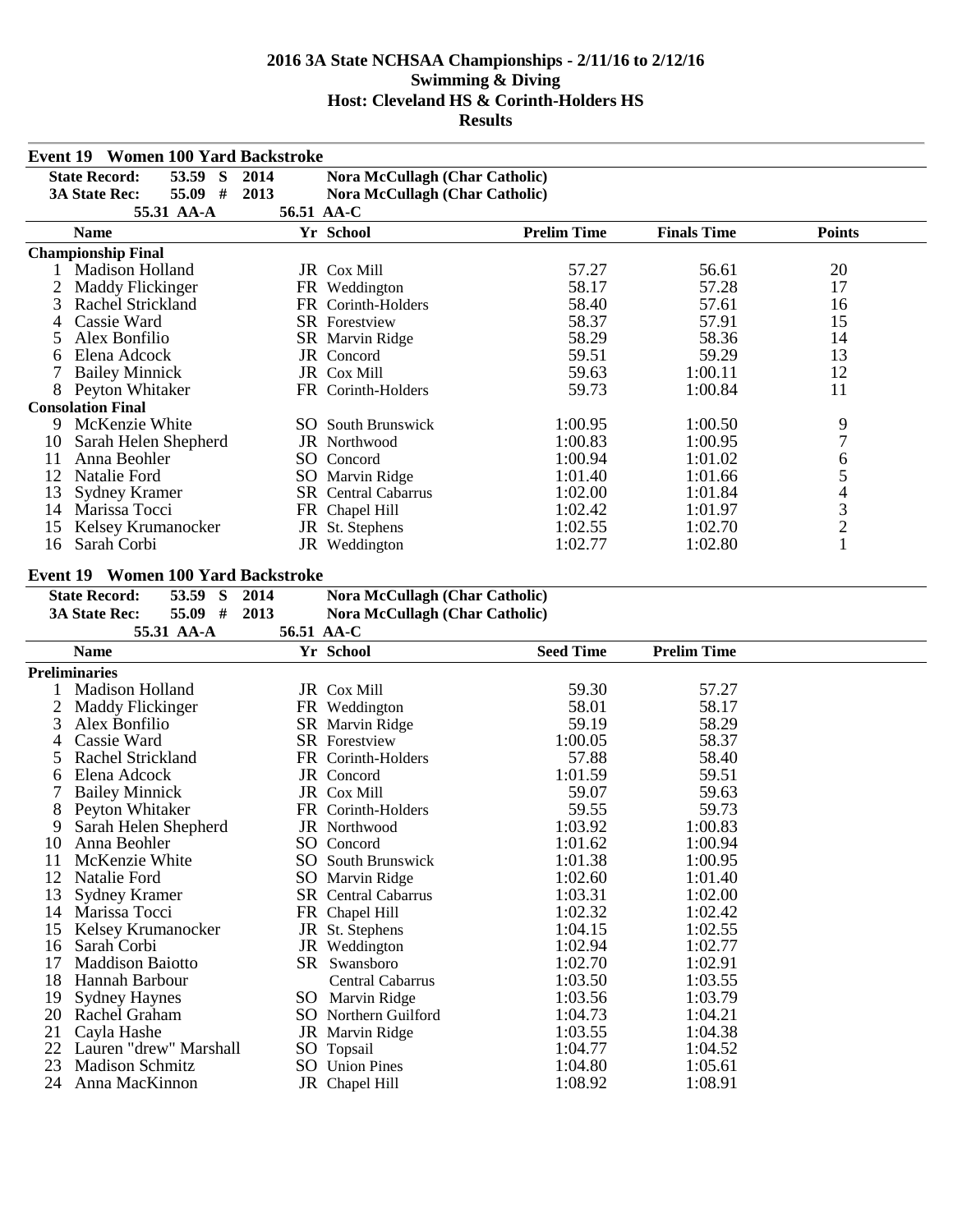|                | Event 19 Women 100 Yard Backstroke       |            |                                         |                    |                    |                          |
|----------------|------------------------------------------|------------|-----------------------------------------|--------------------|--------------------|--------------------------|
|                | <b>State Record:</b><br>53.59 S          | 2014       | <b>Nora McCullagh (Char Catholic)</b>   |                    |                    |                          |
|                | 55.09 #<br><b>3A State Rec:</b>          | 2013       | <b>Nora McCullagh (Char Catholic)</b>   |                    |                    |                          |
|                | 55.31 AA-A                               | 56.51 AA-C |                                         |                    |                    |                          |
|                | <b>Name</b>                              |            | Yr School                               | <b>Prelim Time</b> | <b>Finals Time</b> | <b>Points</b>            |
|                | <b>Championship Final</b>                |            |                                         |                    |                    |                          |
|                | 1 Madison Holland                        |            | JR Cox Mill                             | 57.27              | 56.61              | 20                       |
| $\overline{2}$ | <b>Maddy Flickinger</b>                  |            | FR Weddington                           | 58.17              | 57.28              | 17                       |
| 3              | Rachel Strickland                        |            | FR Corinth-Holders                      | 58.40              | 57.61              | 16                       |
| 4              | Cassie Ward                              |            | <b>SR</b> Forestview                    | 58.37              | 57.91              | 15                       |
| 5              | Alex Bonfilio                            |            | SR Marvin Ridge                         | 58.29              | 58.36              | 14                       |
| 6              | Elena Adcock                             |            | JR Concord                              | 59.51              | 59.29              | 13                       |
|                | <b>Bailey Minnick</b>                    |            | JR Cox Mill                             | 59.63              | 1:00.11            | 12                       |
|                | 8 Peyton Whitaker                        |            | FR Corinth-Holders                      | 59.73              | 1:00.84            | 11                       |
|                | <b>Consolation Final</b>                 |            |                                         |                    |                    |                          |
|                | 9 McKenzie White                         |            | <b>SO</b> South Brunswick               | 1:00.95            | 1:00.50            | 9                        |
| 10             | Sarah Helen Shepherd                     |            | JR Northwood                            | 1:00.83            | 1:00.95            | 7                        |
| 11             | Anna Beohler                             |            | SO Concord                              | 1:00.94            | 1:01.02            | 6                        |
| 12             | <b>Natalie Ford</b>                      |            | SO Marvin Ridge                         | 1:01.40            | 1:01.66            | 5                        |
| 13             | <b>Sydney Kramer</b>                     |            | SR Central Cabarrus                     | 1:02.00            | 1:01.84            | $\overline{\mathcal{L}}$ |
| 14             | Marissa Tocci                            |            | FR Chapel Hill                          | 1:02.42            | 1:01.97            |                          |
| 15             | Kelsey Krumanocker                       |            | JR St. Stephens                         | 1:02.55            | 1:02.70            | $\frac{3}{2}$            |
| 16             | Sarah Corbi                              |            | JR Weddington                           | 1:02.77            | 1:02.80            | $\mathbf{1}$             |
|                |                                          |            |                                         |                    |                    |                          |
|                | Event 19 Women 100 Yard Backstroke       |            |                                         |                    |                    |                          |
|                | 53.59 S<br><b>State Record:</b>          | 2014       | Nora McCullagh (Char Catholic)          |                    |                    |                          |
|                | 55.09 #<br><b>3A State Rec:</b>          | 2013       | <b>Nora McCullagh (Char Catholic)</b>   |                    |                    |                          |
|                |                                          |            |                                         |                    |                    |                          |
|                | 55.31 AA-A                               | 56.51 AA-C |                                         |                    |                    |                          |
|                | <b>Name</b>                              |            | Yr School                               | <b>Seed Time</b>   | <b>Prelim Time</b> |                          |
|                | <b>Preliminaries</b>                     |            |                                         |                    |                    |                          |
|                | Madison Holland                          |            | JR Cox Mill                             | 59.30              | 57.27              |                          |
| $\overline{2}$ |                                          |            |                                         | 58.01              | 58.17              |                          |
| 3              | <b>Maddy Flickinger</b><br>Alex Bonfilio |            | FR Weddington                           | 59.19              | 58.29              |                          |
| 4              | Cassie Ward                              |            | SR Marvin Ridge<br><b>SR</b> Forestview | 1:00.05            | 58.37              |                          |
|                | Rachel Strickland                        |            | FR Corinth-Holders                      | 57.88              | 58.40              |                          |
| 6              | Elena Adcock                             |            | JR Concord                              | 1:01.59            | 59.51              |                          |
|                |                                          |            | JR Cox Mill                             | 59.07              | 59.63              |                          |
| 8              | <b>Bailey Minnick</b><br>Peyton Whitaker |            | FR Corinth-Holders                      | 59.55              | 59.73              |                          |
| 9              | Sarah Helen Shepherd                     |            | JR Northwood                            | 1:03.92            | 1:00.83            |                          |
| 10             | Anna Beohler                             |            | SO Concord                              | 1:01.62            | 1:00.94            |                          |
| 11             | McKenzie White                           |            | <b>SO</b> South Brunswick               | 1:01.38            | 1:00.95            |                          |
| 12             | Natalie Ford                             |            | SO Marvin Ridge                         | 1:02.60            | 1:01.40            |                          |
| 13             | <b>Sydney Kramer</b>                     |            | SR Central Cabarrus                     | 1:03.31            | 1:02.00            |                          |
|                | 14 Marissa Tocci                         |            | FR Chapel Hill                          | 1:02.32            | 1:02.42            |                          |
| 15             | Kelsey Krumanocker                       |            | JR St. Stephens                         | 1:04.15            | 1:02.55            |                          |
| 16             | Sarah Corbi                              |            | JR Weddington                           | 1:02.94            | 1:02.77            |                          |
| 17             | <b>Maddison Baiotto</b>                  |            | SR Swansboro                            | 1:02.70            | 1:02.91            |                          |
| 18             | Hannah Barbour                           |            | Central Cabarrus                        | 1:03.50            | 1:03.55            |                          |
| 19             | <b>Sydney Haynes</b>                     |            | SO Marvin Ridge                         | 1:03.56            | 1:03.79            |                          |
|                | 20 Rachel Graham                         |            | SO Northern Guilford                    | 1:04.73            | 1:04.21            |                          |
| 21             | Cayla Hashe                              |            | JR Marvin Ridge                         | 1:03.55            | 1:04.38            |                          |
|                | 22 Lauren "drew" Marshall                |            | SO Topsail                              | 1:04.77            | 1:04.52            |                          |
| 23<br>24       | <b>Madison Schmitz</b><br>Anna MacKinnon |            | <b>SO</b> Union Pines<br>JR Chapel Hill | 1:04.80<br>1:08.92 | 1:05.61<br>1:08.91 |                          |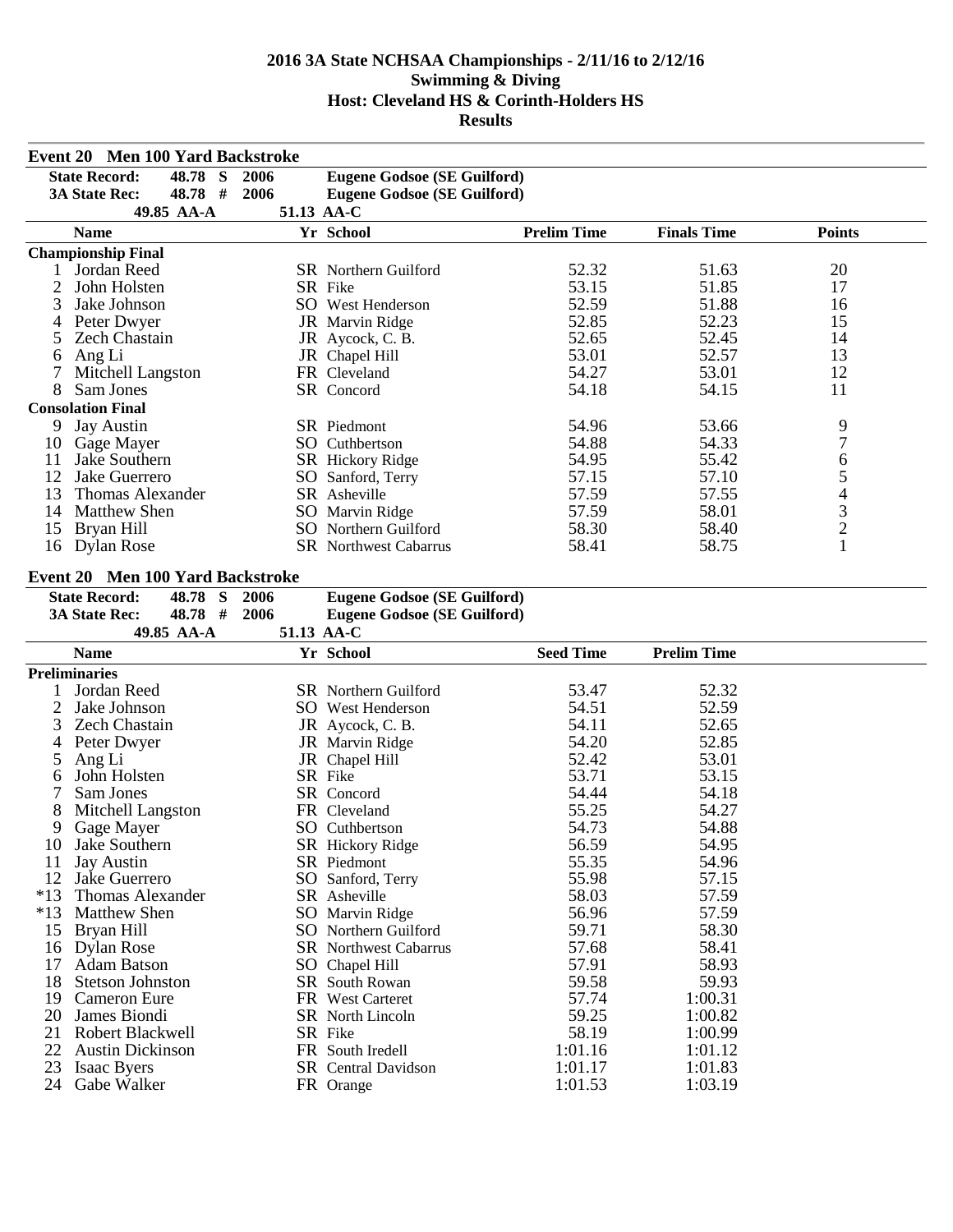|                | Event 20 Men 100 Yard Backstroke                         |      |                                    |                    |                    |                |
|----------------|----------------------------------------------------------|------|------------------------------------|--------------------|--------------------|----------------|
|                | $\overline{\mathbf{s}}$<br><b>State Record:</b><br>48.78 | 2006 | <b>Eugene Godsoe (SE Guilford)</b> |                    |                    |                |
|                | <b>3A State Rec:</b><br>48.78 #                          | 2006 | <b>Eugene Godsoe (SE Guilford)</b> |                    |                    |                |
|                | 49.85 AA-A                                               |      | 51.13 AA-C                         |                    |                    |                |
|                | <b>Name</b>                                              |      | Yr School                          | <b>Prelim Time</b> | <b>Finals Time</b> | <b>Points</b>  |
|                | <b>Championship Final</b>                                |      |                                    |                    |                    |                |
| 1              | Jordan Reed                                              |      | SR Northern Guilford               | 52.32              | 51.63              | 20             |
| $\overline{c}$ | John Holsten                                             |      | SR Fike                            | 53.15              | 51.85              | 17             |
| 3              | Jake Johnson                                             |      | <b>SO</b> West Henderson           | 52.59              | 51.88              | 16             |
| 4              | Peter Dwyer                                              |      | JR Marvin Ridge                    | 52.85              | 52.23              | 15             |
| 5              | <b>Zech Chastain</b>                                     |      | JR Aycock, C. B.                   | 52.65              | 52.45              | 14             |
| 6              | Ang Li                                                   |      | JR Chapel Hill                     | 53.01              | 52.57              | 13             |
| 7              | Mitchell Langston                                        |      | FR Cleveland                       | 54.27              | 53.01              | 12             |
| 8              | Sam Jones                                                |      | SR Concord                         | 54.18              | 54.15              | 11             |
|                | <b>Consolation Final</b>                                 |      |                                    |                    |                    |                |
| 9.             | <b>Jay Austin</b>                                        |      | SR Piedmont                        | 54.96              | 53.66              | 9              |
|                | 10 Gage Mayer                                            |      | SO Cuthbertson                     | 54.88              | 54.33              | $\overline{7}$ |
| 11             | Jake Southern                                            |      | SR Hickory Ridge                   | 54.95              | 55.42              | 6              |
| 12             | Jake Guerrero                                            |      | SO Sanford, Terry                  | 57.15              | 57.10              | 5              |
| 13             | <b>Thomas Alexander</b>                                  |      | SR Asheville                       | 57.59              | 57.55              |                |
| 14             | <b>Matthew Shen</b>                                      |      | SO Marvin Ridge                    | 57.59              | 58.01              | $rac{4}{3}$    |
|                | 15 Bryan Hill                                            |      | <b>SO</b> Northern Guilford        | 58.30              | 58.40              | $\overline{c}$ |
|                | 16 Dylan Rose                                            |      | SR Northwest Cabarrus              | 58.41              | 58.75              | $\mathbf{1}$   |
|                |                                                          |      |                                    |                    |                    |                |
|                | Event 20 Men 100 Yard Backstroke                         |      |                                    |                    |                    |                |
|                | $48.78$ S<br><b>State Record:</b>                        | 2006 | <b>Eugene Godsoe (SE Guilford)</b> |                    |                    |                |
|                | 48.78 #<br><b>3A State Rec:</b>                          | 2006 | <b>Eugene Godsoe (SE Guilford)</b> |                    |                    |                |
|                | 49.85 AA-A                                               |      | 51.13 AA-C                         |                    |                    |                |
|                | <b>Name</b>                                              |      | Yr School                          | <b>Seed Time</b>   | <b>Prelim Time</b> |                |
|                | <b>Preliminaries</b>                                     |      |                                    |                    |                    |                |
| 1              | Jordan Reed                                              |      | SR Northern Guilford               | 53.47              | 52.32              |                |
| $\overline{2}$ | Jake Johnson                                             |      | SO West Henderson                  | 54.51              | 52.59              |                |
| 3              | <b>Zech Chastain</b>                                     |      | JR Aycock, C. B.                   | 54.11              | 52.65              |                |
| 4              | Peter Dwyer                                              |      | JR Marvin Ridge                    | 54.20              | 52.85              |                |
| 5              | Ang Li                                                   |      | JR Chapel Hill                     | 52.42              | 53.01              |                |
| 6              | John Holsten                                             |      | SR Fike                            | 53.71              | 53.15              |                |
| 7              | Sam Jones                                                |      | SR Concord                         | 54.44              | 54.18              |                |
| 8              | Mitchell Langston                                        |      | FR Cleveland                       | 55.25              | 54.27              |                |
| 9              | Gage Mayer                                               |      | SO Cuthbertson                     | 54.73              | 54.88              |                |
| 10             | Jake Southern                                            |      | SR Hickory Ridge                   | 56.59              | 54.95              |                |
| 11             | Jay Austin                                               |      | SR Piedmont                        | 55.35              | 54.96              |                |
| 12             | Jake Guerrero                                            |      | SO Sanford, Terry                  | 55.98              | 57.15              |                |
| $*13$          | <b>Thomas Alexander</b>                                  |      | SR Asheville                       | 58.03              | 57.59              |                |
| $*13$          | <b>Matthew Shen</b>                                      |      | SO Marvin Ridge                    | 56.96              | 57.59              |                |
| 15             | Bryan Hill                                               |      | SO Northern Guilford               | 59.71              | 58.30              |                |
|                | 16 Dylan Rose                                            |      | <b>SR</b> Northwest Cabarrus       | 57.68              | 58.41              |                |

20 SR North Lincoln 59.25 1:00.82<br>
20 SR Fike 58.19 1:00.99

SR Central Davidson 1:01.17 1:01.83

SR Northwest Cabarrus<br>SO Chapel Hill 17 Adam Batson SO Chapel Hill 57.91 58.93<br>18 Stetson Johnston SR South Rowan 59.58 59.93 18 Stetson Johnston SR South Rowan 59.58 59.93<br>19 Cameron Eure FR West Carteret 57.74 1:00.31

21 Robert Blackwell SR Fike 58.19 1:00.99<br>
22 Austin Dickinson FR South Iredell 1:01.16 1:01.12

23 Isaac Byers<br>
24 Gabe Walker FR Orange 1:01.17 1:01.83<br>
24 Gabe Walker FR Orange 1:01.53 1:03.19

19 Cameron Eure FR West Carteret 57.74<br>20 James Biondi SR North Lincoln 59.25

22 Austin Dickinson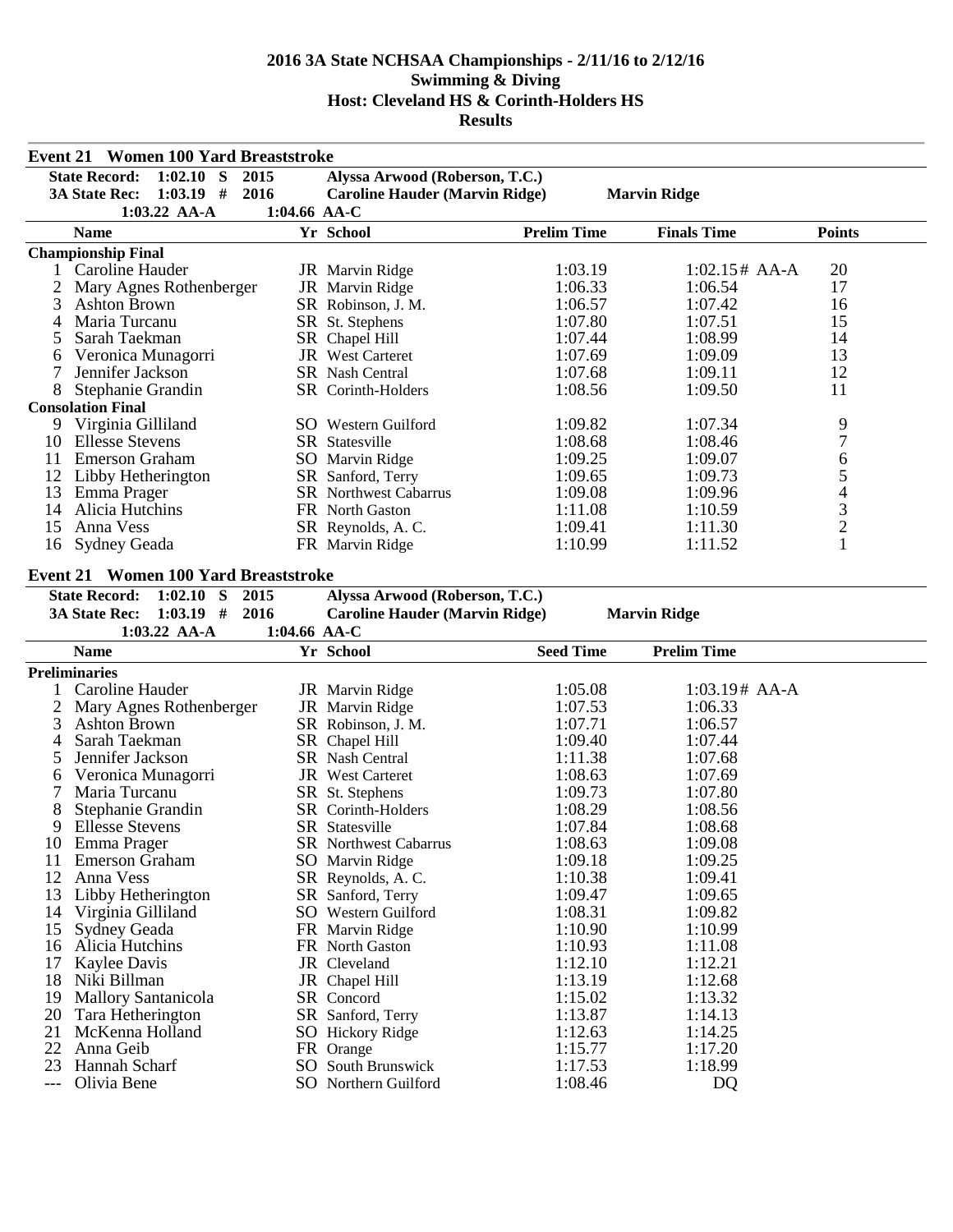|          | <b>Event 21 Women 100 Yard Breaststroke</b> |                |                                       |                    |                     |                  |
|----------|---------------------------------------------|----------------|---------------------------------------|--------------------|---------------------|------------------|
|          | <b>State Record:</b><br>$1:02.10$ S         | 2015           | Alyssa Arwood (Roberson, T.C.)        |                    |                     |                  |
|          | $1:03.19$ #<br><b>3A State Rec:</b>         | 2016           | <b>Caroline Hauder (Marvin Ridge)</b> |                    | <b>Marvin Ridge</b> |                  |
|          | $1:03.22$ AA-A                              | $1:04.66$ AA-C |                                       |                    |                     |                  |
|          | <b>Name</b>                                 |                | Yr School                             | <b>Prelim Time</b> | <b>Finals Time</b>  | <b>Points</b>    |
|          | <b>Championship Final</b>                   |                |                                       |                    |                     |                  |
|          | 1 Caroline Hauder                           |                | JR Marvin Ridge                       | 1:03.19            | $1:02.15#$ AA-A     | 20               |
| 2        | Mary Agnes Rothenberger                     |                | JR Marvin Ridge                       | 1:06.33            | 1:06.54             | 17               |
| 3        | <b>Ashton Brown</b>                         |                | SR Robinson, J. M.                    | 1:06.57            | 1:07.42             | 16               |
| 4        | Maria Turcanu                               |                | SR St. Stephens                       | 1:07.80            | 1:07.51             | 15               |
| 5        | Sarah Taekman                               |                | SR Chapel Hill                        | 1:07.44            | 1:08.99             | 14               |
| 6        | Veronica Munagorri                          |                | <b>JR</b> West Carteret               | 1:07.69            | 1:09.09             | 13               |
| 7        | Jennifer Jackson                            |                | <b>SR</b> Nash Central                | 1:07.68            | 1:09.11             | 12               |
| 8        | Stephanie Grandin                           |                | SR Corinth-Holders                    | 1:08.56            | 1:09.50             | 11               |
|          | <b>Consolation Final</b>                    |                |                                       |                    |                     |                  |
| 9        | Virginia Gilliland                          |                | SO Western Guilford                   | 1:09.82            | 1:07.34             | 9                |
|          | 10 Ellesse Stevens                          |                | SR Statesville                        | 1:08.68            | 1:08.46             | $\boldsymbol{7}$ |
| 11       | <b>Emerson Graham</b>                       |                | SO Marvin Ridge                       | 1:09.25            | 1:09.07             | 6                |
| 12       | Libby Hetherington                          |                | SR Sanford, Terry                     | 1:09.65            | 1:09.73             |                  |
| 13       | Emma Prager                                 |                | <b>SR</b> Northwest Cabarrus          | 1:09.08            | 1:09.96             |                  |
| 14       | Alicia Hutchins                             |                | FR North Gaston                       | 1:11.08            | 1:10.59             |                  |
| 15       | Anna Vess                                   |                | SR Reynolds, A.C.                     | 1:09.41            | 1:11.30             |                  |
| 16       | Sydney Geada                                |                | FR Marvin Ridge                       | 1:10.99            | 1:11.52             | 54321            |
|          |                                             |                |                                       |                    |                     |                  |
|          | <b>Event 21 Women 100 Yard Breaststroke</b> |                |                                       |                    |                     |                  |
|          | <b>State Record:</b><br>$1:02.10$ S         | 2015           | Alyssa Arwood (Roberson, T.C.)        |                    |                     |                  |
|          | $1:03.19$ #<br><b>3A State Rec:</b>         | 2016           | <b>Caroline Hauder (Marvin Ridge)</b> |                    | <b>Marvin Ridge</b> |                  |
|          | $1:03.22$ AA-A                              | 1:04.66 AA-C   |                                       |                    |                     |                  |
|          | <b>Name</b>                                 |                | Yr School                             | <b>Seed Time</b>   | <b>Prelim Time</b>  |                  |
|          | <b>Preliminaries</b>                        |                |                                       |                    |                     |                  |
| 1        | Caroline Hauder                             |                | JR Marvin Ridge                       | 1:05.08            | $1:03.19#$ AA-A     |                  |
| 2        | Mary Agnes Rothenberger                     |                | JR Marvin Ridge                       | 1:07.53            | 1:06.33             |                  |
| 3        | <b>Ashton Brown</b>                         |                | SR Robinson, J. M.                    | 1:07.71            | 1:06.57             |                  |
| 4        | Sarah Taekman                               |                | SR Chapel Hill                        | 1:09.40            | 1:07.44             |                  |
| 5        | Jennifer Jackson                            |                | SR Nash Central                       | 1:11.38            | 1:07.68             |                  |
| 6        | Veronica Munagorri                          |                | <b>JR</b> West Carteret               | 1:08.63            | 1:07.69             |                  |
| 7        | Maria Turcanu                               |                | SR St. Stephens                       | 1:09.73            | 1:07.80             |                  |
| 8        | Stephanie Grandin                           |                | SR Corinth-Holders                    | 1:08.29            | 1:08.56             |                  |
| 9        | <b>Ellesse Stevens</b>                      |                | SR Statesville                        | 1:07.84            | 1:08.68             |                  |
|          | 10 Emma Prager                              |                | SR Northwest Cabarrus                 |                    | 1:09.08             |                  |
|          |                                             |                |                                       |                    |                     |                  |
|          |                                             |                |                                       | 1:08.63            |                     |                  |
| 11       | <b>Emerson Graham</b>                       |                | SO Marvin Ridge                       | 1:09.18            | 1:09.25             |                  |
| 12       | Anna Vess                                   |                | SR Reynolds, A.C.                     | 1:10.38            | 1:09.41             |                  |
| 13       | Libby Hetherington                          |                | SR Sanford, Terry                     | 1:09.47            | 1:09.65             |                  |
| 14       | Virginia Gilliland                          |                | SO Western Guilford                   | 1:08.31            | 1:09.82             |                  |
| 15       | <b>Sydney Geada</b>                         |                | FR Marvin Ridge                       | 1:10.90            | 1:10.99             |                  |
| 16       | Alicia Hutchins                             |                | FR North Gaston                       | 1:10.93            | 1:11.08             |                  |
| 17       | Kaylee Davis                                |                | JR Cleveland                          | 1:12.10            | 1:12.21             |                  |
| 18       | Niki Billman                                |                | JR Chapel Hill                        | 1:13.19            | 1:12.68             |                  |
| 19       | <b>Mallory Santanicola</b>                  |                | SR Concord                            | 1:15.02            | 1:13.32             |                  |
| 20       | Tara Hetherington                           |                | SR Sanford, Terry                     | 1:13.87            | 1:14.13             |                  |
| 21       | McKenna Holland                             |                | SO Hickory Ridge                      | 1:12.63            | 1:14.25             |                  |
| 22<br>23 | Anna Geib<br>Hannah Scharf                  |                | FR Orange<br>SO South Brunswick       | 1:15.77<br>1:17.53 | 1:17.20<br>1:18.99  |                  |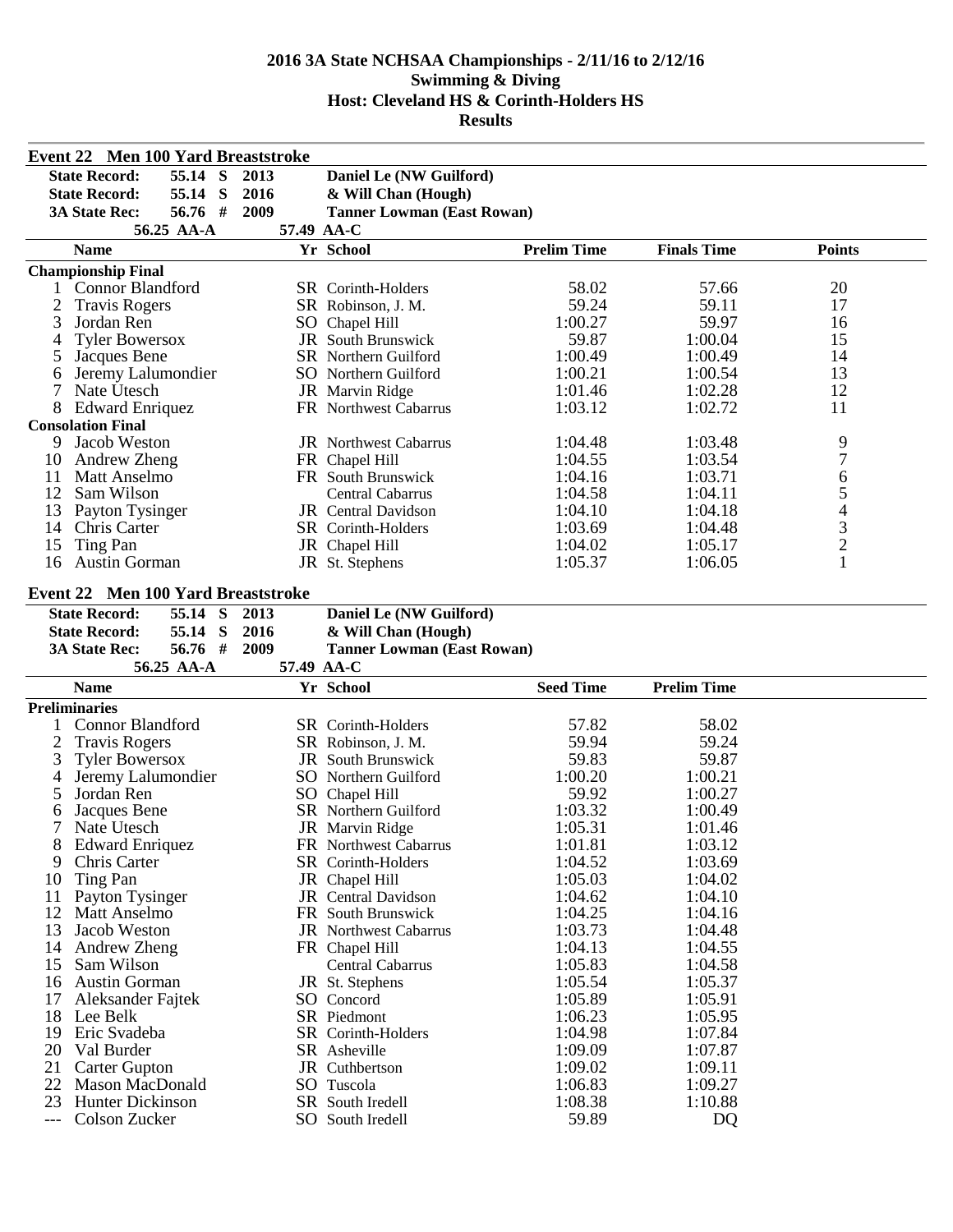|                | Event 22 Men 100 Yard Breaststroke         |            |            |                                   |                    |                    |                          |  |
|----------------|--------------------------------------------|------------|------------|-----------------------------------|--------------------|--------------------|--------------------------|--|
|                | <b>State Record:</b>                       | 55.14 S    | 2013       | Daniel Le (NW Guilford)           |                    |                    |                          |  |
|                | <b>State Record:</b>                       | S<br>55.14 | 2016       | & Will Chan (Hough)               |                    |                    |                          |  |
|                | <b>3A State Rec:</b>                       | 56.76 #    | 2009       | <b>Tanner Lowman (East Rowan)</b> |                    |                    |                          |  |
|                |                                            | 56.25 AA-A |            | 57.49 AA-C                        |                    |                    |                          |  |
|                | <b>Name</b>                                |            |            | Yr School                         | <b>Prelim Time</b> | <b>Finals Time</b> | <b>Points</b>            |  |
|                | <b>Championship Final</b>                  |            |            |                                   |                    |                    |                          |  |
|                | 1 Connor Blandford                         |            |            | SR Corinth-Holders                | 58.02              | 57.66              | 20                       |  |
| $\overline{c}$ | <b>Travis Rogers</b>                       |            |            | SR Robinson, J. M.                | 59.24              | 59.11              | 17                       |  |
| 3              | Jordan Ren                                 |            |            | SO Chapel Hill                    | 1:00.27            | 59.97              | 16                       |  |
| 4              | <b>Tyler Bowersox</b>                      |            |            | <b>JR</b> South Brunswick         | 59.87              | 1:00.04            | 15                       |  |
| 5              | Jacques Bene                               |            |            | SR Northern Guilford              | 1:00.49            | 1:00.49            | 14                       |  |
| 6              | Jeremy Lalumondier                         |            |            | SO Northern Guilford              | 1:00.21            | 1:00.54            | 13                       |  |
| 7              | Nate Utesch                                |            |            | JR Marvin Ridge                   | 1:01.46            | 1:02.28            | 12                       |  |
| 8              | <b>Edward Enriquez</b>                     |            |            | FR Northwest Cabarrus             | 1:03.12            | 1:02.72            | 11                       |  |
|                | <b>Consolation Final</b>                   |            |            |                                   |                    |                    |                          |  |
| 9              | Jacob Weston                               |            |            | <b>JR</b> Northwest Cabarrus      | 1:04.48            | 1:03.48            | 9                        |  |
| 10             | Andrew Zheng                               |            |            | FR Chapel Hill                    | 1:04.55            | 1:03.54            | $\overline{7}$           |  |
| 11             | Matt Anselmo                               |            |            | FR South Brunswick                | 1:04.16            | 1:03.71            | 6                        |  |
| 12             | Sam Wilson                                 |            |            | <b>Central Cabarrus</b>           | 1:04.58            | 1:04.11            | 5                        |  |
| 13             | Payton Tysinger                            |            |            | <b>JR</b> Central Davidson        | 1:04.10            | 1:04.18            | $\overline{\mathcal{L}}$ |  |
| 14             | Chris Carter                               |            |            | SR Corinth-Holders                | 1:03.69            | 1:04.48            | 3                        |  |
| 15             | Ting Pan                                   |            |            | JR Chapel Hill                    | 1:04.02            | 1:05.17            | $\overline{c}$           |  |
| 16             | <b>Austin Gorman</b>                       |            |            | JR St. Stephens                   | 1:05.37            | 1:06.05            | 1                        |  |
|                |                                            |            |            |                                   |                    |                    |                          |  |
|                | Event 22 Men 100 Yard Breaststroke         |            |            |                                   |                    |                    |                          |  |
|                | <b>State Record:</b>                       | 55.14 S    | 2013       | Daniel Le (NW Guilford)           |                    |                    |                          |  |
|                |                                            |            |            |                                   |                    |                    |                          |  |
|                | <b>State Record:</b>                       | 55.14 S    | 2016       | & Will Chan (Hough)               |                    |                    |                          |  |
|                | <b>3A State Rec:</b>                       | 56.76 #    | 2009       | <b>Tanner Lowman (East Rowan)</b> |                    |                    |                          |  |
|                |                                            | 56.25 AA-A | 57.49 AA-C |                                   |                    |                    |                          |  |
|                | <b>Name</b>                                |            |            | Yr School                         | <b>Seed Time</b>   | <b>Prelim Time</b> |                          |  |
|                | <b>Preliminaries</b>                       |            |            |                                   |                    |                    |                          |  |
| 1              | Connor Blandford                           |            |            | SR Corinth-Holders                | 57.82              | 58.02              |                          |  |
| 2              | <b>Travis Rogers</b>                       |            |            | SR Robinson, J. M.                | 59.94              | 59.24              |                          |  |
| 3              | <b>Tyler Bowersox</b>                      |            |            | <b>JR</b> South Brunswick         | 59.83              | 59.87              |                          |  |
| 4              | Jeremy Lalumondier                         |            |            | SO Northern Guilford              | 1:00.20            | 1:00.21            |                          |  |
| 5              | Jordan Ren                                 |            |            | SO Chapel Hill                    | 59.92              | 1:00.27            |                          |  |
| 6              | Jacques Bene                               |            |            | SR Northern Guilford              | 1:03.32            | 1:00.49            |                          |  |
| 7              | Nate Utesch                                |            |            | JR Marvin Ridge                   | 1:05.31            | 1:01.46            |                          |  |
| 8              |                                            |            |            | FR Northwest Cabarrus             | 1:01.81            | 1:03.12            |                          |  |
| 9              | <b>Edward Enriquez</b><br>Chris Carter     |            |            | SR Corinth-Holders                | 1:04.52            | 1:03.69            |                          |  |
| 10             | Ting Pan                                   |            |            | JR Chapel Hill                    | 1:05.03            | 1:04.02            |                          |  |
| 11             |                                            |            |            | JR Central Davidson               | 1:04.62            |                    |                          |  |
| 12             | Payton Tysinger<br>Matt Anselmo            |            |            | FR South Brunswick                | 1:04.25            | 1:04.10<br>1:04.16 |                          |  |
| 13             | Jacob Weston                               |            |            |                                   |                    |                    |                          |  |
|                |                                            |            |            | JR Northwest Cabarrus             | 1:03.73            | 1:04.48            |                          |  |
| 14             | Andrew Zheng                               |            |            | FR Chapel Hill                    | 1:04.13            | 1:04.55            |                          |  |
| 15<br>16       | Sam Wilson                                 |            |            | Central Cabarrus                  | 1:05.83            | 1:04.58<br>1:05.37 |                          |  |
|                | <b>Austin Gorman</b>                       |            |            | JR St. Stephens                   | 1:05.54            |                    |                          |  |
| 17             | Aleksander Fajtek                          |            |            | SO Concord                        | 1:05.89            | 1:05.91            |                          |  |
| 18             | Lee Belk                                   |            |            | SR Piedmont                       | 1:06.23            | 1:05.95            |                          |  |
| 19             | Eric Svadeba                               |            |            | SR Corinth-Holders                | 1:04.98            | 1:07.84            |                          |  |
| 20             | Val Burder                                 |            |            | SR Asheville                      | 1:09.09            | 1:07.87            |                          |  |
| 21             | <b>Carter Gupton</b>                       |            |            | JR Cuthbertson                    | 1:09.02            | 1:09.11            |                          |  |
| 22<br>23       | Mason MacDonald<br><b>Hunter Dickinson</b> |            |            | SO Tuscola<br>SR South Iredell    | 1:06.83<br>1:08.38 | 1:09.27<br>1:10.88 |                          |  |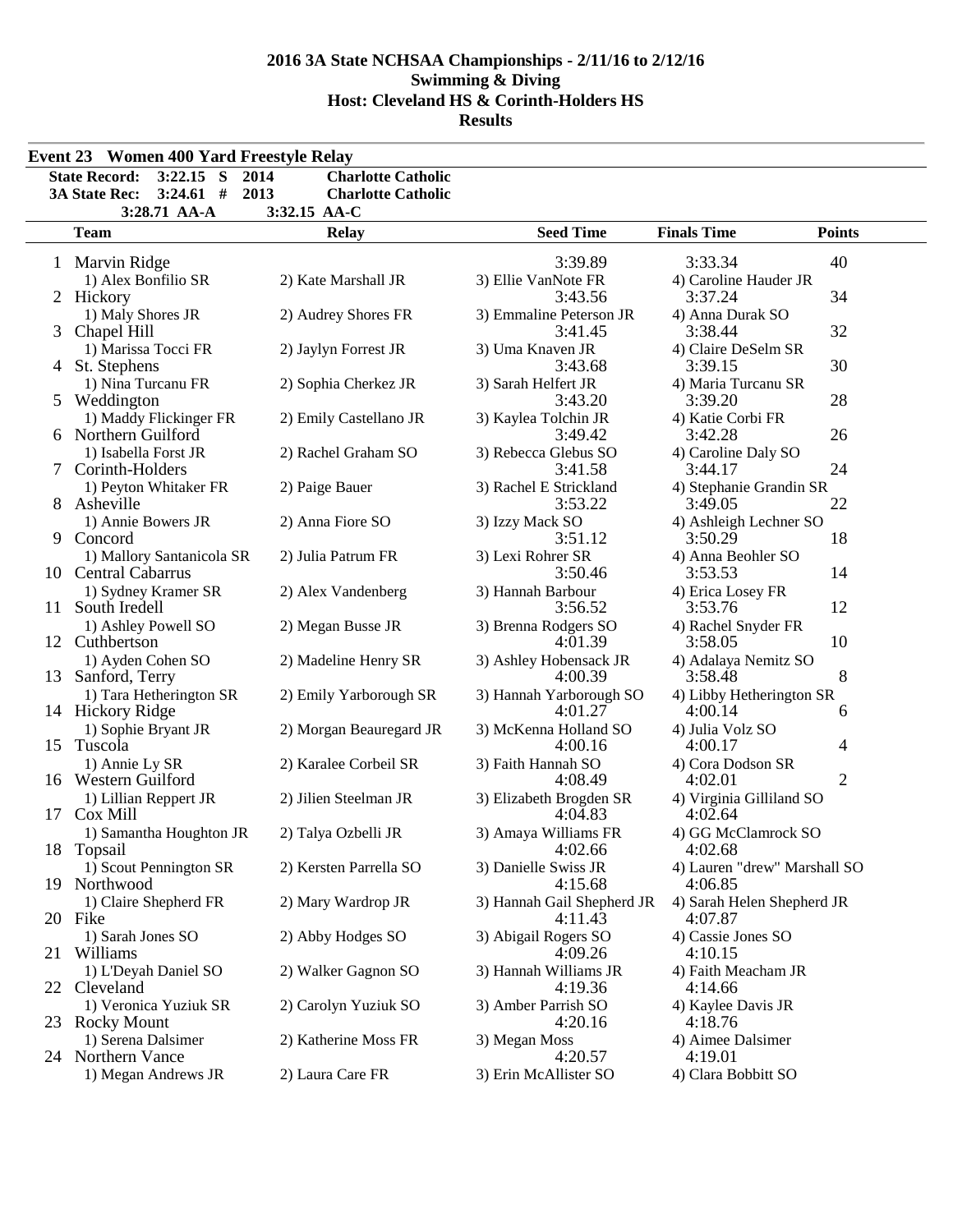|                              | $3:22.15$ S<br><b>State Record:</b> | 2014<br><b>Charlotte Catholic</b> |                                |                                  |                |  |  |
|------------------------------|-------------------------------------|-----------------------------------|--------------------------------|----------------------------------|----------------|--|--|
|                              | $3:24.61$ #<br><b>3A State Rec:</b> | 2013<br><b>Charlotte Catholic</b> |                                |                                  |                |  |  |
| 3:28.71 AA-A<br>3:32.15 AA-C |                                     |                                   |                                |                                  |                |  |  |
|                              | <b>Team</b>                         | <b>Relay</b>                      | <b>Seed Time</b>               | <b>Finals Time</b>               | <b>Points</b>  |  |  |
|                              |                                     |                                   | 3:39.89                        | 3:33.34                          | 40             |  |  |
|                              | 1 Marvin Ridge                      |                                   |                                |                                  |                |  |  |
|                              | 1) Alex Bonfilio SR                 | 2) Kate Marshall JR               | 3) Ellie VanNote FR<br>3:43.56 | 4) Caroline Hauder JR<br>3:37.24 | 34             |  |  |
|                              | 2 Hickory                           |                                   |                                |                                  |                |  |  |
|                              | 1) Maly Shores JR                   | 2) Audrey Shores FR               | 3) Emmaline Peterson JR        | 4) Anna Durak SO                 |                |  |  |
| 3                            | Chapel Hill                         |                                   | 3:41.45                        | 3:38.44                          | 32             |  |  |
|                              | 1) Marissa Tocci FR                 | 2) Jaylyn Forrest JR              | 3) Uma Knaven JR               | 4) Claire DeSelm SR              |                |  |  |
|                              | 4 St. Stephens                      |                                   | 3:43.68                        | 3:39.15                          | 30             |  |  |
|                              | 1) Nina Turcanu FR                  | 2) Sophia Cherkez JR              | 3) Sarah Helfert JR            | 4) Maria Turcanu SR              |                |  |  |
|                              | 5 Weddington                        |                                   | 3:43.20                        | 3:39.20                          | 28             |  |  |
|                              | 1) Maddy Flickinger FR              | 2) Emily Castellano JR            | 3) Kaylea Tolchin JR           | 4) Katie Corbi FR                |                |  |  |
|                              | 6 Northern Guilford                 |                                   | 3:49.42                        | 3:42.28                          | 26             |  |  |
|                              | 1) Isabella Forst JR                | 2) Rachel Graham SO               | 3) Rebecca Glebus SO           | 4) Caroline Daly SO              |                |  |  |
| $7^{\circ}$                  | Corinth-Holders                     |                                   | 3:41.58                        | 3:44.17                          | 24             |  |  |
|                              | 1) Peyton Whitaker FR               | 2) Paige Bauer                    | 3) Rachel E Strickland         | 4) Stephanie Grandin SR          |                |  |  |
|                              | 8 Asheville                         |                                   | 3:53.22                        | 3:49.05                          | 22             |  |  |
|                              | 1) Annie Bowers JR                  | 2) Anna Fiore SO                  | 3) Izzy Mack SO                | 4) Ashleigh Lechner SO           |                |  |  |
| 9                            | Concord                             |                                   | 3:51.12                        | 3:50.29                          | 18             |  |  |
|                              | 1) Mallory Santanicola SR           | 2) Julia Patrum FR                | 3) Lexi Rohrer SR              | 4) Anna Beohler SO               |                |  |  |
|                              | 10 Central Cabarrus                 |                                   | 3:50.46                        | 3:53.53                          | 14             |  |  |
|                              | 1) Sydney Kramer SR                 | 2) Alex Vandenberg                | 3) Hannah Barbour              | 4) Erica Losey FR                |                |  |  |
| 11 -                         | South Iredell                       |                                   | 3:56.52                        | 3:53.76                          | 12             |  |  |
|                              | 1) Ashley Powell SO                 | 2) Megan Busse JR                 | 3) Brenna Rodgers SO           | 4) Rachel Snyder FR              |                |  |  |
|                              | 12 Cuthbertson                      |                                   | 4:01.39                        | 3:58.05                          | 10             |  |  |
|                              | 1) Ayden Cohen SO                   | 2) Madeline Henry SR              | 3) Ashley Hobensack JR         | 4) Adalaya Nemitz SO             |                |  |  |
| 13                           | Sanford, Terry                      |                                   | 4:00.39                        | 3:58.48                          | 8              |  |  |
|                              | 1) Tara Hetherington SR             | 2) Emily Yarborough SR            | 3) Hannah Yarborough SO        | 4) Libby Hetherington SR         |                |  |  |
|                              | 14 Hickory Ridge                    |                                   | 4:01.27                        | 4:00.14                          | 6              |  |  |
|                              | 1) Sophie Bryant JR                 | 2) Morgan Beauregard JR           | 3) McKenna Holland SO          | 4) Julia Volz SO                 |                |  |  |
|                              | 15 Tuscola                          |                                   | 4:00.16                        | 4:00.17                          | 4              |  |  |
|                              | 1) Annie Ly SR                      | 2) Karalee Corbeil SR             | 3) Faith Hannah SO             | 4) Cora Dodson SR                |                |  |  |
|                              | 16 Western Guilford                 |                                   | 4:08.49                        | 4:02.01                          | $\overline{2}$ |  |  |
|                              | 1) Lillian Reppert JR               | 2) Jilien Steelman JR             | 3) Elizabeth Brogden SR        | 4) Virginia Gilliland SO         |                |  |  |
|                              | 17 Cox Mill                         |                                   | 4:04.83                        | 4:02.64                          |                |  |  |
|                              | 1) Samantha Houghton JR             | 2) Talya Ozbelli JR               | 3) Amaya Williams FR           | 4) GG McClamrock SO              |                |  |  |
|                              | 18 Topsail                          |                                   | 4:02.66                        | 4:02.68                          |                |  |  |
|                              | 1) Scout Pennington SR              | 2) Kersten Parrella SO            | 3) Danielle Swiss JR           | 4) Lauren "drew" Marshall SO     |                |  |  |
| 19                           | Northwood                           |                                   | 4:15.68                        | 4:06.85                          |                |  |  |
|                              | 1) Claire Shepherd FR               | 2) Mary Wardrop JR                | 3) Hannah Gail Shepherd JR     | 4) Sarah Helen Shepherd JR       |                |  |  |
| 20 Fike                      |                                     |                                   | 4:11.43                        | 4:07.87                          |                |  |  |
|                              | 1) Sarah Jones SO                   | 2) Abby Hodges SO                 | 3) Abigail Rogers SO           | 4) Cassie Jones SO               |                |  |  |
| 21                           | Williams                            |                                   | 4:09.26                        | 4:10.15                          |                |  |  |
|                              |                                     |                                   |                                |                                  |                |  |  |
|                              | 1) L'Deyah Daniel SO                | 2) Walker Gagnon SO               | 3) Hannah Williams JR          | 4) Faith Meacham JR              |                |  |  |
| 22                           | Cleveland                           |                                   | 4:19.36                        | 4:14.66                          |                |  |  |
|                              | 1) Veronica Yuziuk SR               | 2) Carolyn Yuziuk SO              | 3) Amber Parrish SO            | 4) Kaylee Davis JR               |                |  |  |
|                              | 23 Rocky Mount                      |                                   | 4:20.16                        | 4:18.76                          |                |  |  |
|                              | 1) Serena Dalsimer                  | 2) Katherine Moss FR              | 3) Megan Moss                  | 4) Aimee Dalsimer                |                |  |  |
|                              | 24 Northern Vance                   |                                   | 4:20.57                        | 4:19.01                          |                |  |  |
|                              | 1) Megan Andrews JR                 | 2) Laura Care FR                  | 3) Erin McAllister SO          | 4) Clara Bobbitt SO              |                |  |  |